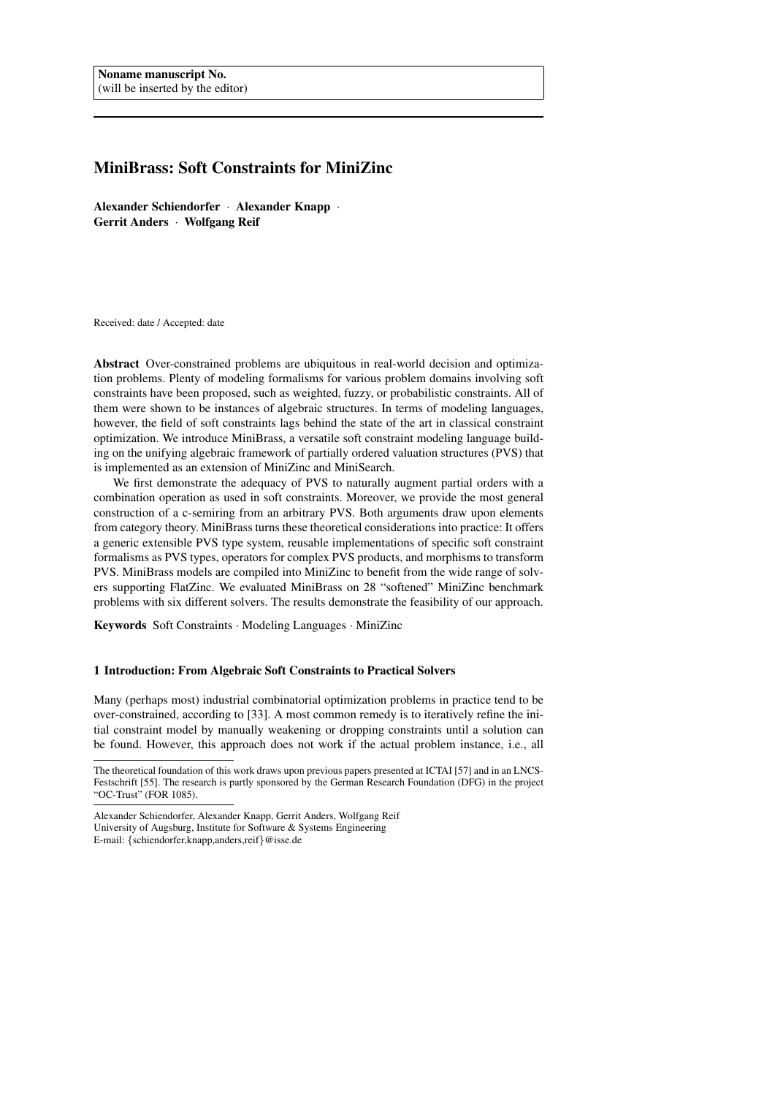# MiniBrass: Soft Constraints for MiniZinc

Alexander Schiendorfer · Alexander Knapp · Gerrit Anders · Wolfgang Reif

Received: date / Accepted: date

Abstract Over-constrained problems are ubiquitous in real-world decision and optimization problems. Plenty of modeling formalisms for various problem domains involving soft constraints have been proposed, such as weighted, fuzzy, or probabilistic constraints. All of them were shown to be instances of algebraic structures. In terms of modeling languages, however, the field of soft constraints lags behind the state of the art in classical constraint optimization. We introduce MiniBrass, a versatile soft constraint modeling language building on the unifying algebraic framework of partially ordered valuation structures (PVS) that is implemented as an extension of MiniZinc and MiniSearch.

We first demonstrate the adequacy of PVS to naturally augment partial orders with a combination operation as used in soft constraints. Moreover, we provide the most general construction of a c-semiring from an arbitrary PVS. Both arguments draw upon elements from category theory. MiniBrass turns these theoretical considerations into practice: It offers a generic extensible PVS type system, reusable implementations of specific soft constraint formalisms as PVS types, operators for complex PVS products, and morphisms to transform PVS. MiniBrass models are compiled into MiniZinc to benefit from the wide range of solvers supporting FlatZinc. We evaluated MiniBrass on 28 "softened" MiniZinc benchmark problems with six different solvers. The results demonstrate the feasibility of our approach.

Keywords Soft Constraints · Modeling Languages · MiniZinc

### <span id="page-0-0"></span>1 Introduction: From Algebraic Soft Constraints to Practical Solvers

Many (perhaps most) industrial combinatorial optimization problems in practice tend to be over-constrained, according to [\[33\]](#page-41-0). A most common remedy is to iteratively refine the initial constraint model by manually weakening or dropping constraints until a solution can be found. However, this approach does not work if the actual problem instance, i.e., all

The theoretical foundation of this work draws upon previous papers presented at ICTAI [\[57\]](#page-42-0) and in an LNCS-Festschrift [\[55\]](#page-42-1). The research is partly sponsored by the German Research Foundation (DFG) in the project "OC-Trust" (FOR 1085).

Alexander Schiendorfer, Alexander Knapp, Gerrit Anders, Wolfgang Reif University of Augsburg, Institute for Software & Systems Engineering E-mail: {schiendorfer,knapp,anders,reif}@isse.de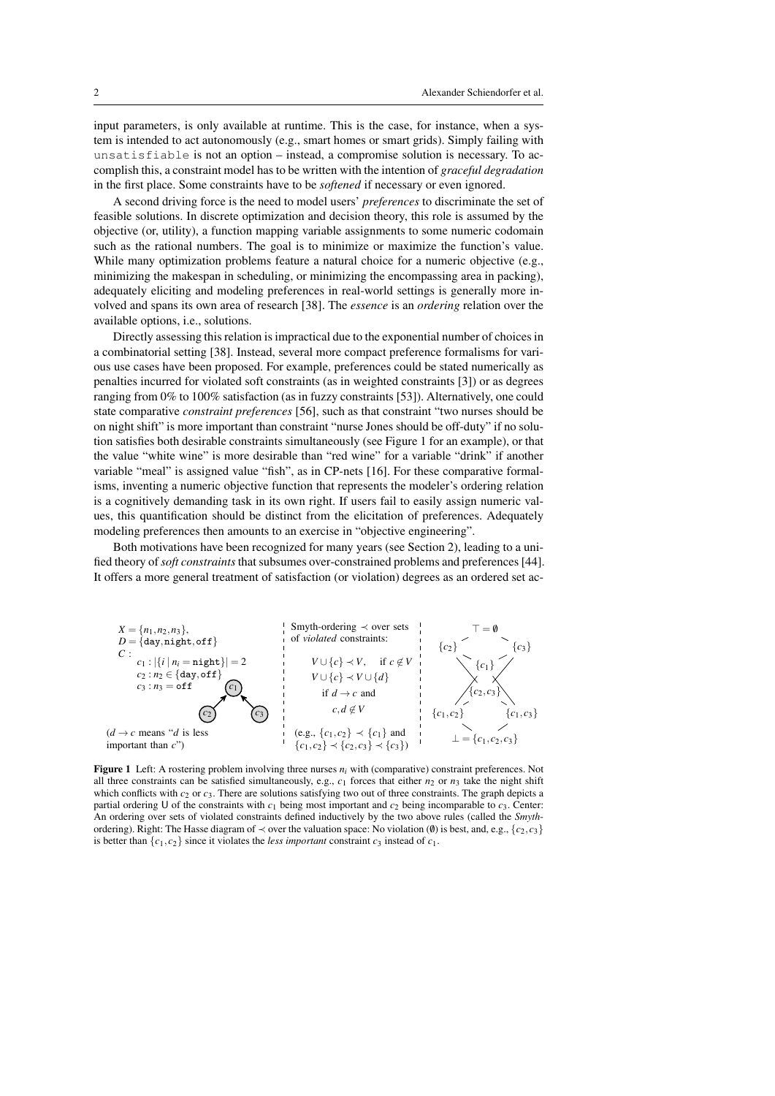input parameters, is only available at runtime. This is the case, for instance, when a system is intended to act autonomously (e.g., smart homes or smart grids). Simply failing with unsatisfiable is not an option – instead, a compromise solution is necessary. To accomplish this, a constraint model has to be written with the intention of *graceful degradation* in the first place. Some constraints have to be *softened* if necessary or even ignored.

A second driving force is the need to model users' *preferences* to discriminate the set of feasible solutions. In discrete optimization and decision theory, this role is assumed by the objective (or, utility), a function mapping variable assignments to some numeric codomain such as the rational numbers. The goal is to minimize or maximize the function's value. While many optimization problems feature a natural choice for a numeric objective (e.g., minimizing the makespan in scheduling, or minimizing the encompassing area in packing), adequately eliciting and modeling preferences in real-world settings is generally more involved and spans its own area of research [\[38\]](#page-41-1). The *essence* is an *ordering* relation over the available options, i.e., solutions.

Directly assessing this relation is impractical due to the exponential number of choices in a combinatorial setting [\[38\]](#page-41-1). Instead, several more compact preference formalisms for various use cases have been proposed. For example, preferences could be stated numerically as penalties incurred for violated soft constraints (as in weighted constraints [\[3\]](#page-40-0)) or as degrees ranging from 0% to 100% satisfaction (as in fuzzy constraints [\[53\]](#page-42-2)). Alternatively, one could state comparative *constraint preferences* [\[56\]](#page-42-3), such as that constraint "two nurses should be on night shift" is more important than constraint "nurse Jones should be off-duty" if no solution satisfies both desirable constraints simultaneously (see Figure [1](#page-1-0) for an example), or that the value "white wine" is more desirable than "red wine" for a variable "drink" if another variable "meal" is assigned value "fish", as in CP-nets [\[16\]](#page-40-1). For these comparative formalisms, inventing a numeric objective function that represents the modeler's ordering relation is a cognitively demanding task in its own right. If users fail to easily assign numeric values, this quantification should be distinct from the elicitation of preferences. Adequately modeling preferences then amounts to an exercise in "objective engineering".

Both motivations have been recognized for many years (see Section [2\)](#page-3-0), leading to a unified theory of*soft constraints*that subsumes over-constrained problems and preferences [\[44\]](#page-42-4). It offers a more general treatment of satisfaction (or violation) degrees as an ordered set ac-



<span id="page-1-0"></span>Figure 1 Left: A rostering problem involving three nurses *n<sup>i</sup>* with (comparative) constraint preferences. Not all three constraints can be satisfied simultaneously, e.g.,  $c_1$  forces that either  $n_2$  or  $n_3$  take the night shift which conflicts with  $c_2$  or  $c_3$ . There are solutions satisfying two out of three constraints. The graph depicts a partial ordering U of the constraints with  $c_1$  being most important and  $c_2$  being incomparable to  $c_3$ . Center: An ordering over sets of violated constraints defined inductively by the two above rules (called the *Smyth*ordering). Right: The Hasse diagram of  $\prec$  over the valuation space: No violation (0) is best, and, e.g.,  $\{c_2, c_3\}$ is better than  $\{c_1, c_2\}$  since it violates the *less important* constraint  $c_3$  instead of  $c_1$ .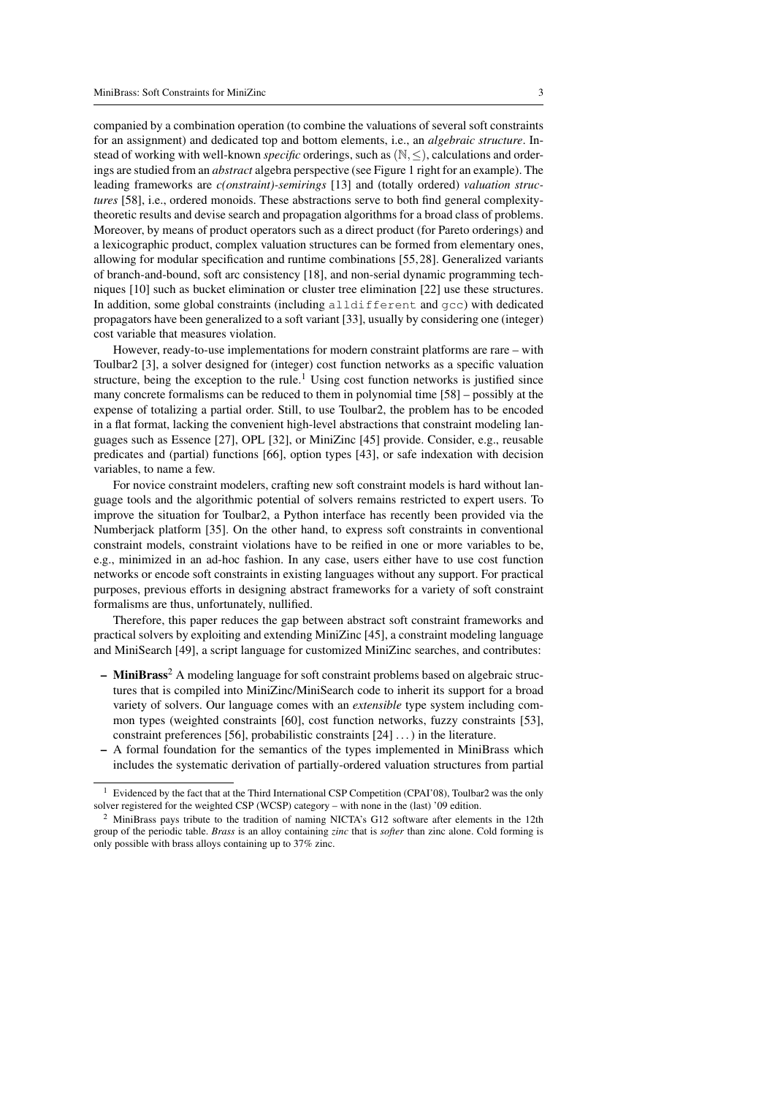companied by a combination operation (to combine the valuations of several soft constraints for an assignment) and dedicated top and bottom elements, i.e., an *algebraic structure*. Instead of working with well-known *specific* orderings, such as  $(N, \leq)$ , calculations and orderings are studied from an *abstract* algebra perspective (see Figure [1](#page-1-0) right for an example). The leading frameworks are *c(onstraint)-semirings* [\[13\]](#page-40-2) and (totally ordered) *valuation structures* [\[58\]](#page-42-5), i.e., ordered monoids. These abstractions serve to both find general complexitytheoretic results and devise search and propagation algorithms for a broad class of problems. Moreover, by means of product operators such as a direct product (for Pareto orderings) and a lexicographic product, complex valuation structures can be formed from elementary ones, allowing for modular specification and runtime combinations [\[55,](#page-42-1) [28\]](#page-41-2). Generalized variants of branch-and-bound, soft arc consistency [\[18\]](#page-41-3), and non-serial dynamic programming techniques [\[10\]](#page-40-3) such as bucket elimination or cluster tree elimination [\[22\]](#page-41-4) use these structures. In addition, some global constraints (including alldifferent and gcc) with dedicated propagators have been generalized to a soft variant [\[33\]](#page-41-0), usually by considering one (integer) cost variable that measures violation.

However, ready-to-use implementations for modern constraint platforms are rare – with Toulbar2 [\[3\]](#page-40-0), a solver designed for (integer) cost function networks as a specific valuation structure, being the exception to the rule.<sup>[1](#page-2-0)</sup> Using cost function networks is justified since many concrete formalisms can be reduced to them in polynomial time [\[58\]](#page-42-5) – possibly at the expense of totalizing a partial order. Still, to use Toulbar2, the problem has to be encoded in a flat format, lacking the convenient high-level abstractions that constraint modeling languages such as Essence [\[27\]](#page-41-5), OPL [\[32\]](#page-41-6), or MiniZinc [\[45\]](#page-42-6) provide. Consider, e.g., reusable predicates and (partial) functions [\[66\]](#page-42-7), option types [\[43\]](#page-41-7), or safe indexation with decision variables, to name a few.

For novice constraint modelers, crafting new soft constraint models is hard without language tools and the algorithmic potential of solvers remains restricted to expert users. To improve the situation for Toulbar2, a Python interface has recently been provided via the Numberjack platform [\[35\]](#page-41-8). On the other hand, to express soft constraints in conventional constraint models, constraint violations have to be reified in one or more variables to be, e.g., minimized in an ad-hoc fashion. In any case, users either have to use cost function networks or encode soft constraints in existing languages without any support. For practical purposes, previous efforts in designing abstract frameworks for a variety of soft constraint formalisms are thus, unfortunately, nullified.

Therefore, this paper reduces the gap between abstract soft constraint frameworks and practical solvers by exploiting and extending MiniZinc [\[45\]](#page-42-6), a constraint modeling language and MiniSearch [\[49\]](#page-42-8), a script language for customized MiniZinc searches, and contributes:

- $-$  MiniBrass<sup>[2](#page-2-1)</sup> A modeling language for soft constraint problems based on algebraic structures that is compiled into MiniZinc/MiniSearch code to inherit its support for a broad variety of solvers. Our language comes with an *extensible* type system including common types (weighted constraints [\[60\]](#page-42-9), cost function networks, fuzzy constraints [\[53\]](#page-42-2), constraint preferences [\[56\]](#page-42-3), probabilistic constraints [\[24\]](#page-41-9) . . . ) in the literature.
- A formal foundation for the semantics of the types implemented in MiniBrass which includes the systematic derivation of partially-ordered valuation structures from partial

<span id="page-2-0"></span><sup>&</sup>lt;sup>1</sup> Evidenced by the fact that at the Third International CSP Competition (CPAI'08), Toulbar2 was the only solver registered for the weighted CSP (WCSP) category – with none in the (last) '09 edition.

<span id="page-2-1"></span><sup>&</sup>lt;sup>2</sup> MiniBrass pays tribute to the tradition of naming NICTA's G12 software after elements in the 12th group of the periodic table. *Brass* is an alloy containing *zinc* that is *softer* than zinc alone. Cold forming is only possible with brass alloys containing up to 37% zinc.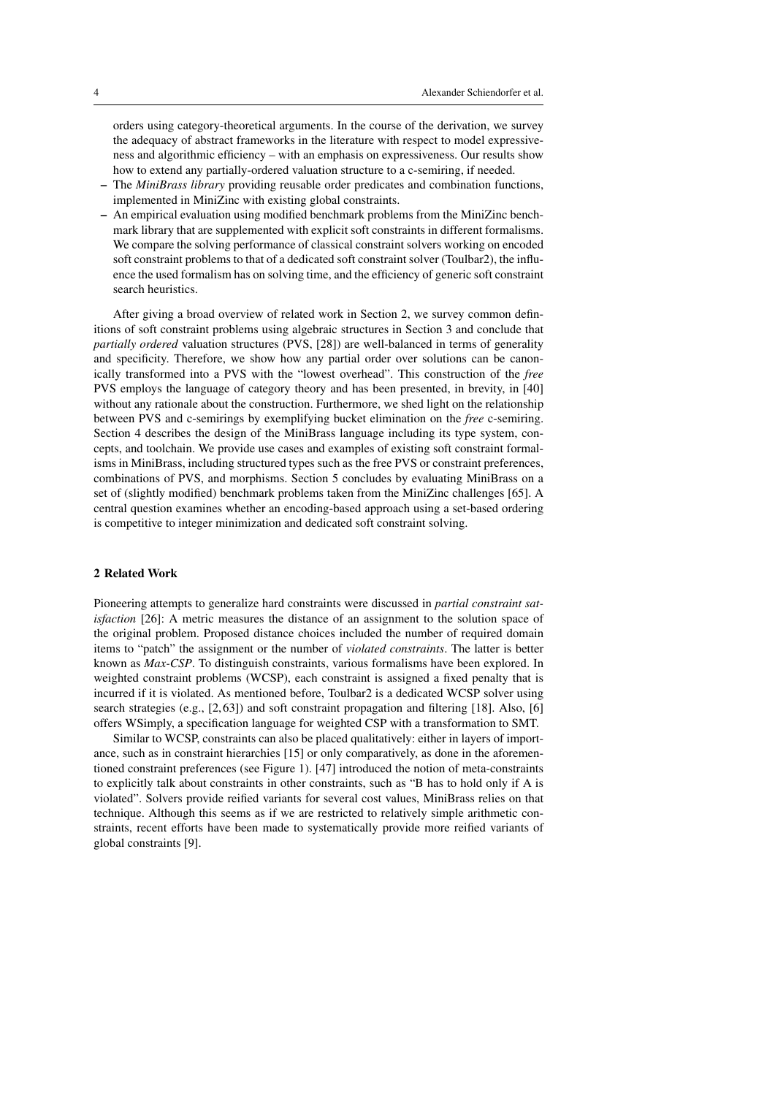orders using category-theoretical arguments. In the course of the derivation, we survey the adequacy of abstract frameworks in the literature with respect to model expressiveness and algorithmic efficiency – with an emphasis on expressiveness. Our results show how to extend any partially-ordered valuation structure to a c-semiring, if needed.

- The *MiniBrass library* providing reusable order predicates and combination functions, implemented in MiniZinc with existing global constraints.
- An empirical evaluation using modified benchmark problems from the MiniZinc benchmark library that are supplemented with explicit soft constraints in different formalisms. We compare the solving performance of classical constraint solvers working on encoded soft constraint problems to that of a dedicated soft constraint solver (Toulbar2), the influence the used formalism has on solving time, and the efficiency of generic soft constraint search heuristics.

After giving a broad overview of related work in Section [2,](#page-3-0) we survey common definitions of soft constraint problems using algebraic structures in Section [3](#page-5-0) and conclude that *partially ordered* valuation structures (PVS, [\[28\]](#page-41-2)) are well-balanced in terms of generality and specificity. Therefore, we show how any partial order over solutions can be canonically transformed into a PVS with the "lowest overhead". This construction of the *free* PVS employs the language of category theory and has been presented, in brevity, in [\[40\]](#page-41-10) without any rationale about the construction. Furthermore, we shed light on the relationship between PVS and c-semirings by exemplifying bucket elimination on the *free* c-semiring. Section [4](#page-20-0) describes the design of the MiniBrass language including its type system, concepts, and toolchain. We provide use cases and examples of existing soft constraint formalisms in MiniBrass, including structured types such as the free PVS or constraint preferences, combinations of PVS, and morphisms. Section [5](#page-33-0) concludes by evaluating MiniBrass on a set of (slightly modified) benchmark problems taken from the MiniZinc challenges [\[65\]](#page-42-10). A central question examines whether an encoding-based approach using a set-based ordering is competitive to integer minimization and dedicated soft constraint solving.

# <span id="page-3-0"></span>2 Related Work

Pioneering attempts to generalize hard constraints were discussed in *partial constraint satisfaction* [\[26\]](#page-41-11): A metric measures the distance of an assignment to the solution space of the original problem. Proposed distance choices included the number of required domain items to "patch" the assignment or the number of *violated constraints*. The latter is better known as *Max-CSP*. To distinguish constraints, various formalisms have been explored. In weighted constraint problems (WCSP), each constraint is assigned a fixed penalty that is incurred if it is violated. As mentioned before, Toulbar2 is a dedicated WCSP solver using search strategies (e.g.,  $[2, 63]$  $[2, 63]$ ) and soft constraint propagation and filtering [\[18\]](#page-41-3). Also, [\[6\]](#page-40-5) offers WSimply, a specification language for weighted CSP with a transformation to SMT.

Similar to WCSP, constraints can also be placed qualitatively: either in layers of importance, such as in constraint hierarchies [\[15\]](#page-40-6) or only comparatively, as done in the aforementioned constraint preferences (see Figure [1\)](#page-1-0). [\[47\]](#page-42-12) introduced the notion of meta-constraints to explicitly talk about constraints in other constraints, such as "B has to hold only if A is violated". Solvers provide reified variants for several cost values, MiniBrass relies on that technique. Although this seems as if we are restricted to relatively simple arithmetic constraints, recent efforts have been made to systematically provide more reified variants of global constraints [\[9\]](#page-40-7).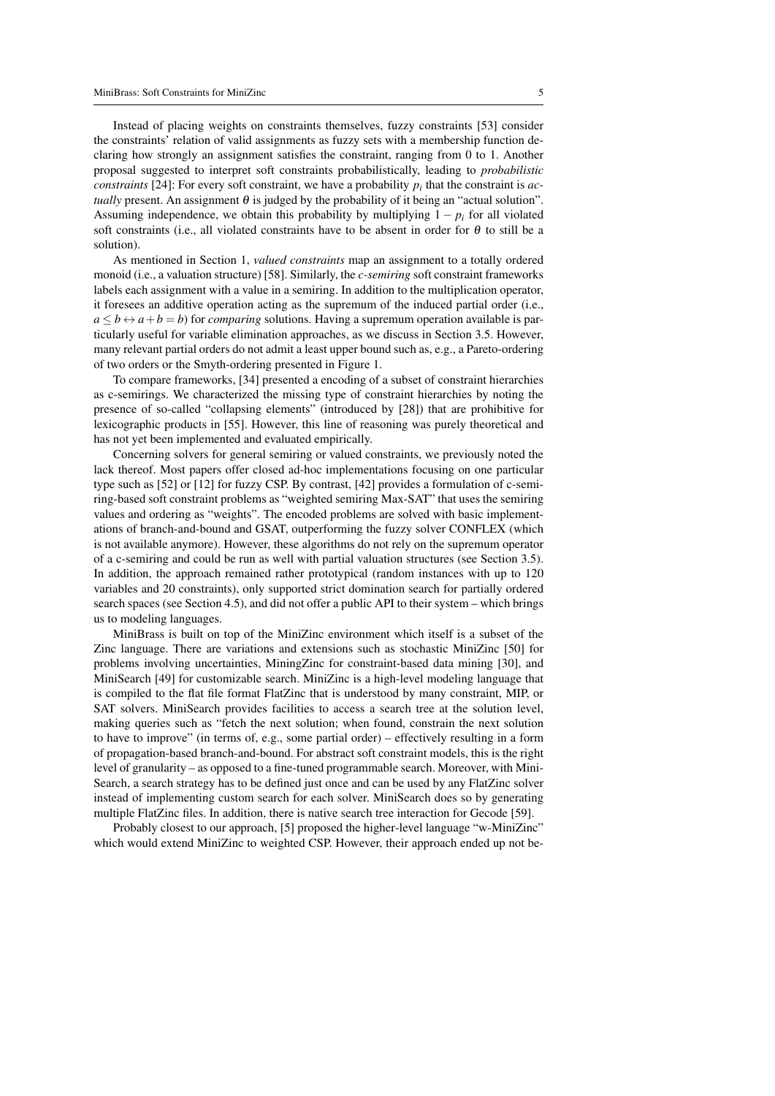Instead of placing weights on constraints themselves, fuzzy constraints [\[53\]](#page-42-2) consider the constraints' relation of valid assignments as fuzzy sets with a membership function declaring how strongly an assignment satisfies the constraint, ranging from 0 to 1. Another proposal suggested to interpret soft constraints probabilistically, leading to *probabilistic constraints* [\[24\]](#page-41-9): For every soft constraint, we have a probability  $p_i$  that the constraint is  $ac$ *tually* present. An assignment  $\theta$  is judged by the probability of it being an "actual solution". Assuming independence, we obtain this probability by multiplying  $1 - p_i$  for all violated soft constraints (i.e., all violated constraints have to be absent in order for  $\theta$  to still be a solution).

As mentioned in Section [1,](#page-0-0) *valued constraints* map an assignment to a totally ordered monoid (i.e., a valuation structure) [\[58\]](#page-42-5). Similarly, the *c-semiring* soft constraint frameworks labels each assignment with a value in a semiring. In addition to the multiplication operator, it foresees an additive operation acting as the supremum of the induced partial order (i.e.,  $a \leq b \leftrightarrow a + b = b$  for *comparing* solutions. Having a supremum operation available is particularly useful for variable elimination approaches, as we discuss in Section [3.5.](#page-17-0) However, many relevant partial orders do not admit a least upper bound such as, e.g., a Pareto-ordering of two orders or the Smyth-ordering presented in Figure [1.](#page-1-0)

To compare frameworks, [\[34\]](#page-41-12) presented a encoding of a subset of constraint hierarchies as c-semirings. We characterized the missing type of constraint hierarchies by noting the presence of so-called "collapsing elements" (introduced by [\[28\]](#page-41-2)) that are prohibitive for lexicographic products in [\[55\]](#page-42-1). However, this line of reasoning was purely theoretical and has not yet been implemented and evaluated empirically.

Concerning solvers for general semiring or valued constraints, we previously noted the lack thereof. Most papers offer closed ad-hoc implementations focusing on one particular type such as [\[52\]](#page-42-13) or [\[12\]](#page-40-8) for fuzzy CSP. By contrast, [\[42\]](#page-41-13) provides a formulation of c-semiring-based soft constraint problems as "weighted semiring Max-SAT" that uses the semiring values and ordering as "weights". The encoded problems are solved with basic implementations of branch-and-bound and GSAT, outperforming the fuzzy solver CONFLEX (which is not available anymore). However, these algorithms do not rely on the supremum operator of a c-semiring and could be run as well with partial valuation structures (see Section [3.5\)](#page-17-0). In addition, the approach remained rather prototypical (random instances with up to 120 variables and 20 constraints), only supported strict domination search for partially ordered search spaces (see Section [4.5\)](#page-32-0), and did not offer a public API to their system – which brings us to modeling languages.

MiniBrass is built on top of the MiniZinc environment which itself is a subset of the Zinc language. There are variations and extensions such as stochastic MiniZinc [\[50\]](#page-42-14) for problems involving uncertainties, MiningZinc for constraint-based data mining [\[30\]](#page-41-14), and MiniSearch [\[49\]](#page-42-8) for customizable search. MiniZinc is a high-level modeling language that is compiled to the flat file format FlatZinc that is understood by many constraint, MIP, or SAT solvers. MiniSearch provides facilities to access a search tree at the solution level, making queries such as "fetch the next solution; when found, constrain the next solution to have to improve" (in terms of, e.g., some partial order) – effectively resulting in a form of propagation-based branch-and-bound. For abstract soft constraint models, this is the right level of granularity – as opposed to a fine-tuned programmable search. Moreover, with Mini-Search, a search strategy has to be defined just once and can be used by any FlatZinc solver instead of implementing custom search for each solver. MiniSearch does so by generating multiple FlatZinc files. In addition, there is native search tree interaction for Gecode [\[59\]](#page-42-15).

Probably closest to our approach, [\[5\]](#page-40-9) proposed the higher-level language "w-MiniZinc" which would extend MiniZinc to weighted CSP. However, their approach ended up not be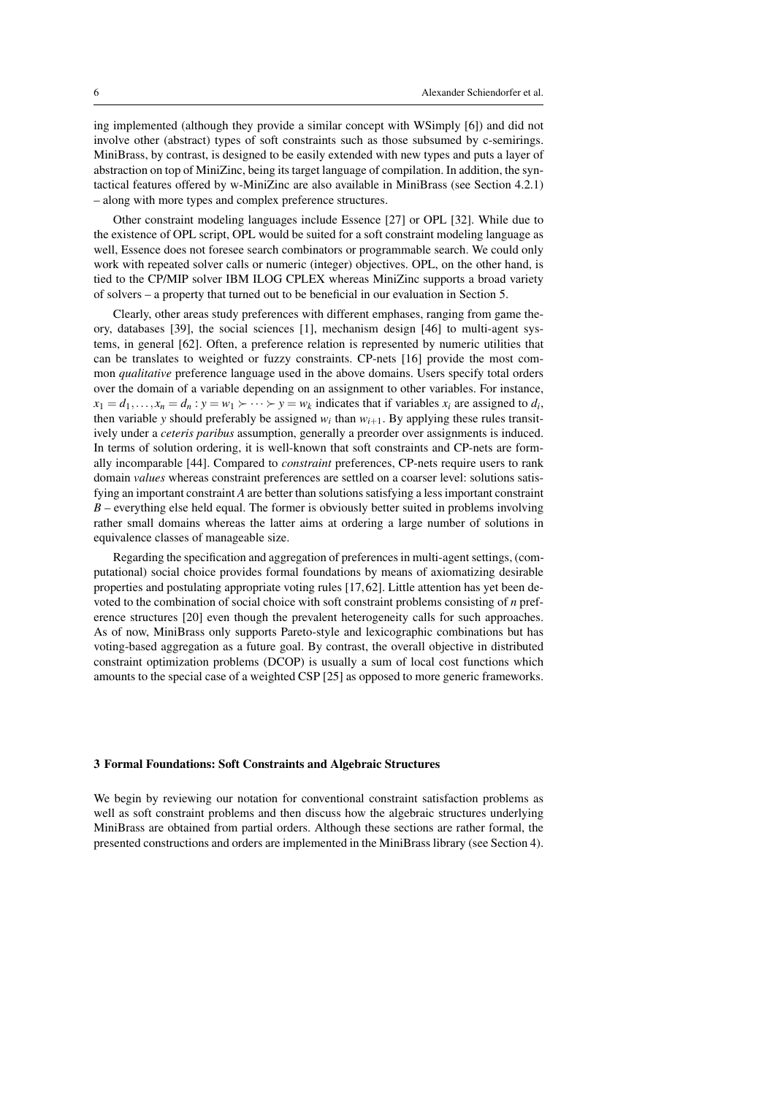ing implemented (although they provide a similar concept with WSimply [\[6\]](#page-40-5)) and did not involve other (abstract) types of soft constraints such as those subsumed by c-semirings. MiniBrass, by contrast, is designed to be easily extended with new types and puts a layer of abstraction on top of MiniZinc, being its target language of compilation. In addition, the syntactical features offered by w-MiniZinc are also available in MiniBrass (see Section [4.2.1\)](#page-25-0) – along with more types and complex preference structures.

Other constraint modeling languages include Essence [\[27\]](#page-41-5) or OPL [\[32\]](#page-41-6). While due to the existence of OPL script, OPL would be suited for a soft constraint modeling language as well, Essence does not foresee search combinators or programmable search. We could only work with repeated solver calls or numeric (integer) objectives. OPL, on the other hand, is tied to the CP/MIP solver IBM ILOG CPLEX whereas MiniZinc supports a broad variety of solvers – a property that turned out to be beneficial in our evaluation in Section [5.](#page-33-0)

Clearly, other areas study preferences with different emphases, ranging from game theory, databases [\[39\]](#page-41-15), the social sciences [\[1\]](#page-40-10), mechanism design [\[46\]](#page-42-16) to multi-agent systems, in general [\[62\]](#page-42-17). Often, a preference relation is represented by numeric utilities that can be translates to weighted or fuzzy constraints. CP-nets [\[16\]](#page-40-1) provide the most common *qualitative* preference language used in the above domains. Users specify total orders over the domain of a variable depending on an assignment to other variables. For instance,  $x_1 = d_1, \ldots, x_n = d_n : y = w_1 \succ \cdots \succ y = w_k$  indicates that if variables  $x_i$  are assigned to  $d_i$ , then variable *y* should preferably be assigned  $w_i$  than  $w_{i+1}$ . By applying these rules transitively under a *ceteris paribus* assumption, generally a preorder over assignments is induced. In terms of solution ordering, it is well-known that soft constraints and CP-nets are formally incomparable [\[44\]](#page-42-4). Compared to *constraint* preferences, CP-nets require users to rank domain *values* whereas constraint preferences are settled on a coarser level: solutions satisfying an important constraint *A* are better than solutions satisfying a less important constraint *B* – everything else held equal. The former is obviously better suited in problems involving rather small domains whereas the latter aims at ordering a large number of solutions in equivalence classes of manageable size.

Regarding the specification and aggregation of preferences in multi-agent settings, (computational) social choice provides formal foundations by means of axiomatizing desirable properties and postulating appropriate voting rules [\[17,](#page-41-16) [62\]](#page-42-17). Little attention has yet been devoted to the combination of social choice with soft constraint problems consisting of *n* preference structures [\[20\]](#page-41-17) even though the prevalent heterogeneity calls for such approaches. As of now, MiniBrass only supports Pareto-style and lexicographic combinations but has voting-based aggregation as a future goal. By contrast, the overall objective in distributed constraint optimization problems (DCOP) is usually a sum of local cost functions which amounts to the special case of a weighted CSP [\[25\]](#page-41-18) as opposed to more generic frameworks.

### <span id="page-5-0"></span>3 Formal Foundations: Soft Constraints and Algebraic Structures

We begin by reviewing our notation for conventional constraint satisfaction problems as well as soft constraint problems and then discuss how the algebraic structures underlying MiniBrass are obtained from partial orders. Although these sections are rather formal, the presented constructions and orders are implemented in the MiniBrass library (see Section [4\)](#page-20-0).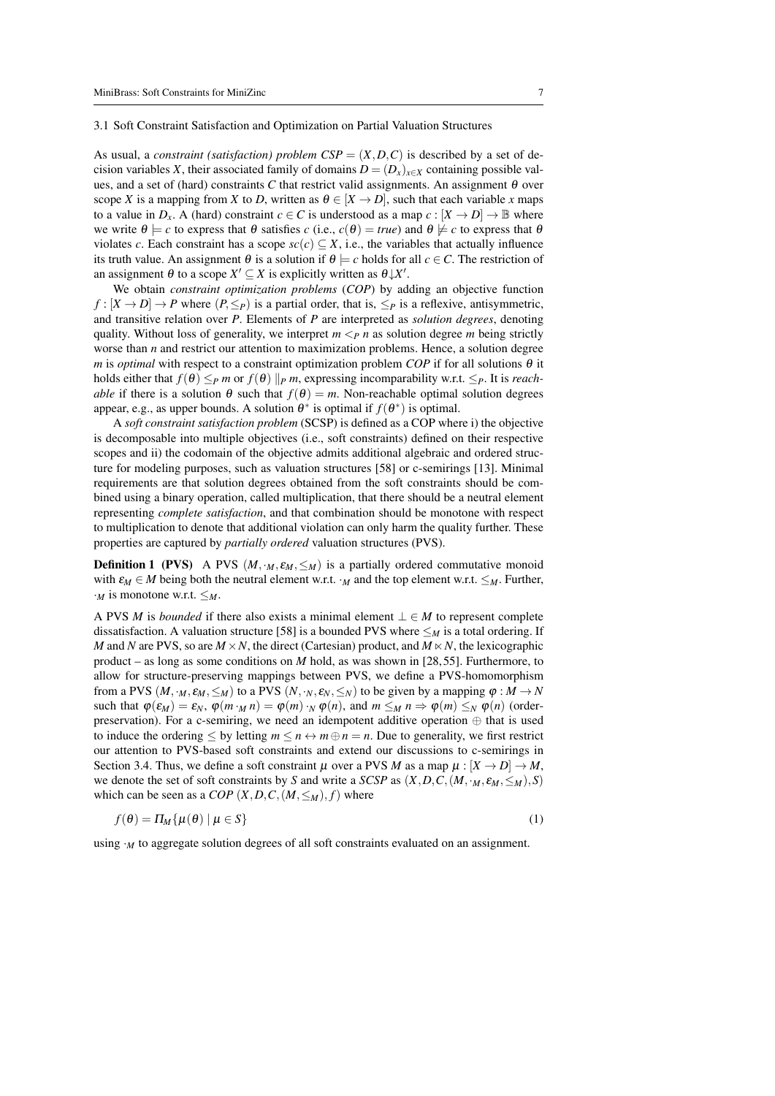### 3.1 Soft Constraint Satisfaction and Optimization on Partial Valuation Structures

As usual, a *constraint (satisfaction) problem*  $CSP = (X, D, C)$  *is described by a set of de*cision variables *X*, their associated family of domains  $D = (D_x)_{x \in X}$  containing possible values, and a set of (hard) constraints *C* that restrict valid assignments. An assignment  $\theta$  over scope *X* is a mapping from *X* to *D*, written as  $\theta \in [X \to D]$ , such that each variable *x* maps to a value in  $D_x$ . A (hard) constraint  $c \in C$  is understood as a map  $c : [X \to D] \to \mathbb{B}$  where we write  $\theta \models c$  to express that  $\theta$  satisfies *c* (i.e.,  $c(\theta) = true$ ) and  $\theta \not\models c$  to express that  $\theta$ violates *c*. Each constraint has a scope  $\mathfrak{so}(c) \subset X$ , i.e., the variables that actually influence its truth value. An assignment  $\theta$  is a solution if  $\theta \models c$  holds for all  $c \in C$ . The restriction of an assignment  $\theta$  to a scope  $X' \subseteq X$  is explicitly written as  $\theta \downarrow X'$ .

We obtain *constraint optimization problems* (*COP*) by adding an objective function  $f : [X \to D] \to P$  where  $(P, \leq_P)$  is a partial order, that is,  $\leq_P$  is a reflexive, antisymmetric, and transitive relation over *P*. Elements of *P* are interpreted as *solution degrees*, denoting quality. Without loss of generality, we interpret  $m < p n$  as solution degree *m* being strictly worse than *n* and restrict our attention to maximization problems. Hence, a solution degree *m* is *optimal* with respect to a constraint optimization problem *COP* if for all solutions  $\theta$  it holds either that  $f(\theta) \leq_P m$  or  $f(\theta) ||_P m$ , expressing incomparability w.r.t.  $\leq_P$ . It is *reachable* if there is a solution  $\theta$  such that  $f(\theta) = m$ . Non-reachable optimal solution degrees appear, e.g., as upper bounds. A solution  $\theta^*$  is optimal if  $f(\theta^*)$  is optimal.

A *soft constraint satisfaction problem* (SCSP) is defined as a COP where i) the objective is decomposable into multiple objectives (i.e., soft constraints) defined on their respective scopes and ii) the codomain of the objective admits additional algebraic and ordered structure for modeling purposes, such as valuation structures [\[58\]](#page-42-5) or c-semirings [\[13\]](#page-40-2). Minimal requirements are that solution degrees obtained from the soft constraints should be combined using a binary operation, called multiplication, that there should be a neutral element representing *complete satisfaction*, and that combination should be monotone with respect to multiplication to denote that additional violation can only harm the quality further. These properties are captured by *partially ordered* valuation structures (PVS).

**Definition 1 (PVS)** A PVS  $(M, \cdot_M, \epsilon_M, \leq_M)$  is a partially ordered commutative monoid with  $\varepsilon_M \in M$  being both the neutral element w.r.t.  $\cdot_M$  and the top element w.r.t.  $\leq_M$ . Further,  $\cdot_M$  is monotone w.r.t.  $\leq_M$ .

A PVS *M* is *bounded* if there also exists a minimal element ⊥ ∈ *M* to represent complete dissatisfaction. A valuation structure [\[58\]](#page-42-5) is a bounded PVS where  $\leq_M$  is a total ordering. If *M* and *N* are PVS, so are  $M \times N$ , the direct (Cartesian) product, and  $M \times N$ , the lexicographic product – as long as some conditions on *M* hold, as was shown in [\[28,](#page-41-2) [55\]](#page-42-1). Furthermore, to allow for structure-preserving mappings between PVS, we define a PVS-homomorphism from a PVS  $(M, \cdot_M, \varepsilon_M, \leq_M)$  to a PVS  $(N, \cdot_N, \varepsilon_N, \leq_N)$  to be given by a mapping  $\varphi : M \to N$ such that  $\varphi(\varepsilon_M) = \varepsilon_N$ ,  $\varphi(m \cdot_M n) = \varphi(m) \cdot_N \varphi(n)$ , and  $m \leq_M n \Rightarrow \varphi(m) \leq_N \varphi(n)$  (orderpreservation). For a c-semiring, we need an idempotent additive operation ⊕ that is used to induce the ordering  $\leq$  by letting  $m \leq n \leftrightarrow m \oplus n = n$ . Due to generality, we first restrict our attention to PVS-based soft constraints and extend our discussions to c-semirings in Section [3.4.](#page-13-0) Thus, we define a soft constraint  $\mu$  over a PVS *M* as a map  $\mu$  :  $[X \rightarrow D] \rightarrow M$ , we denote the set of soft constraints by *S* and write a *SCSP* as  $(X, D, C, (M, \cdot_M, \varepsilon_M, \le_M), S)$ which can be seen as a *COP*  $(X, D, C, (M, \leq_M), f)$  where

<span id="page-6-0"></span>
$$
f(\theta) = \Pi_M \{ \mu(\theta) \mid \mu \in S \}
$$
 (1)

using ·*M* to aggregate solution degrees of all soft constraints evaluated on an assignment.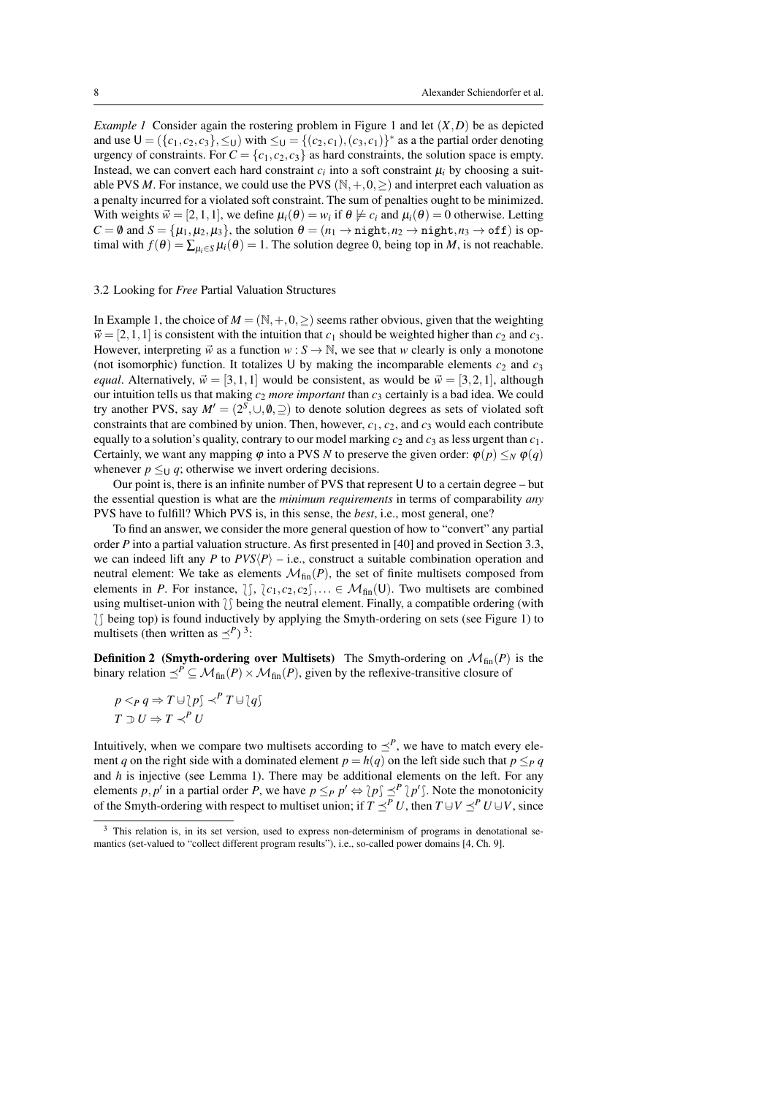*Example [1](#page-1-0)* Consider again the rostering problem in Figure 1 and let  $(X, D)$  be as depicted and use  $U = (\{c_1, c_2, c_3\}, \leq_U)$  with  $\leq_U = \{(c_2, c_1), (c_3, c_1)\}^*$  as a the partial order denoting urgency of constraints. For  $C = \{c_1, c_2, c_3\}$  as hard constraints, the solution space is empty. Instead, we can convert each hard constraint  $c_i$  into a soft constraint  $\mu_i$  by choosing a suitable PVS *M*. For instance, we could use the PVS  $(N, +, 0, \geq)$  and interpret each valuation as a penalty incurred for a violated soft constraint. The sum of penalties ought to be minimized. With weights  $\vec{w} = [2, 1, 1]$ , we define  $\mu_i(\theta) = w_i$  if  $\theta \not\models c_i$  and  $\mu_i(\theta) = 0$  otherwise. Letting  $C = \emptyset$  and  $S = {\mu_1, \mu_2, \mu_3}$ , the solution  $\theta = (n_1 \rightarrow \text{night}, n_2 \rightarrow \text{night}, n_3 \rightarrow \text{off})$  is optimal with  $f(\theta) = \sum_{\mu_i \in S} \mu_i(\theta) = 1$ . The solution degree 0, being top in *M*, is not reachable.

### <span id="page-7-1"></span>3.2 Looking for *Free* Partial Valuation Structures

In Example [1,](#page-6-0) the choice of  $M = (\mathbb{N}, +, 0, \geq)$  seems rather obvious, given that the weighting  $\vec{w} = [2,1,1]$  is consistent with the intuition that  $c_1$  should be weighted higher than  $c_2$  and  $c_3$ . However, interpreting  $\vec{w}$  as a function  $w : S \to \mathbb{N}$ , we see that *w* clearly is only a monotone (not isomorphic) function. It totalizes U by making the incomparable elements  $c_2$  and  $c_3$ *equal.* Alternatively,  $\vec{w} = [3, 1, 1]$  would be consistent, as would be  $\vec{w} = [3, 2, 1]$ , although our intuition tells us that making  $c_2$  *more important* than  $c_3$  certainly is a bad idea. We could try another PVS, say  $M' = (2^S, \cup, \emptyset, \supseteq)$  to denote solution degrees as sets of violated soft constraints that are combined by union. Then, however,  $c_1$ ,  $c_2$ , and  $c_3$  would each contribute equally to a solution's quality, contrary to our model marking  $c_2$  and  $c_3$  as less urgent than  $c_1$ . Certainly, we want any mapping  $\varphi$  into a PVS *N* to preserve the given order:  $\varphi(p) \leq_N \varphi(q)$ whenever  $p \leq U q$ ; otherwise we invert ordering decisions.

Our point is, there is an infinite number of PVS that represent  $U$  to a certain degree – but the essential question is what are the *minimum requirements* in terms of comparability *any* PVS have to fulfill? Which PVS is, in this sense, the *best*, i.e., most general, one?

To find an answer, we consider the more general question of how to "convert" any partial order *P* into a partial valuation structure. As first presented in [\[40\]](#page-41-10) and proved in Section [3.3,](#page-9-0) we can indeed lift any *P* to  $PVS\langle P \rangle$  – i.e., construct a suitable combination operation and neutral element: We take as elements  $\mathcal{M}_{fin}(P)$ , the set of finite multisets composed from elements in *P*. For instance,  $\iint_{C_1, C_2, C_2} \iint_{C_2, C_2} \ldots \in \mathcal{M}_{fin}(U)$ . Two multisets are combined using multiset-union with  $\{\int$  being the neutral element. Finally, a compatible ordering (with  $\{\}$  being top) is found inductively by applying the Smyth-ordering on sets (see Figure [1\)](#page-1-0) to multisets (then written as  $\preceq^P$ )<sup>[3](#page-7-0)</sup>:

**Definition 2** (Smyth-ordering over Multisets) The Smyth-ordering on  $\mathcal{M}_{fin}(P)$  is the binary relation  $\preceq^P \subseteq \mathcal{M}_{fin}(P) \times \mathcal{M}_{fin}(P)$ , given by the reflexive-transitive closure of

$$
p <_{P} q \Rightarrow T \cup \{p\} \prec^{P} T \cup \{q\}
$$
  

$$
T \supset U \Rightarrow T \prec^{P} U
$$

Intuitively, when we compare two multisets according to  $\preceq^P$ , we have to match every element *q* on the right side with a dominated element  $p = h(q)$  on the left side such that  $p \leq_P q$ and *h* is injective (see Lemma [1\)](#page-11-0). There may be additional elements on the left. For any elements *p*, *p*<sup>*i*</sup> in a partial order *P*, we have  $p \leq_p p' \Leftrightarrow \{p\} \leq^p p'$ . Note the monotonicity of the Smyth-ordering with respect to multiset union; if  $\overline{T} \prec^P U$ , then  $T \cup V \prec^P U \cup V$ , since

<span id="page-7-0"></span><sup>&</sup>lt;sup>3</sup> This relation is, in its set version, used to express non-determinism of programs in denotational semantics (set-valued to "collect different program results"), i.e., so-called power domains [\[4,](#page-40-11) Ch. 9].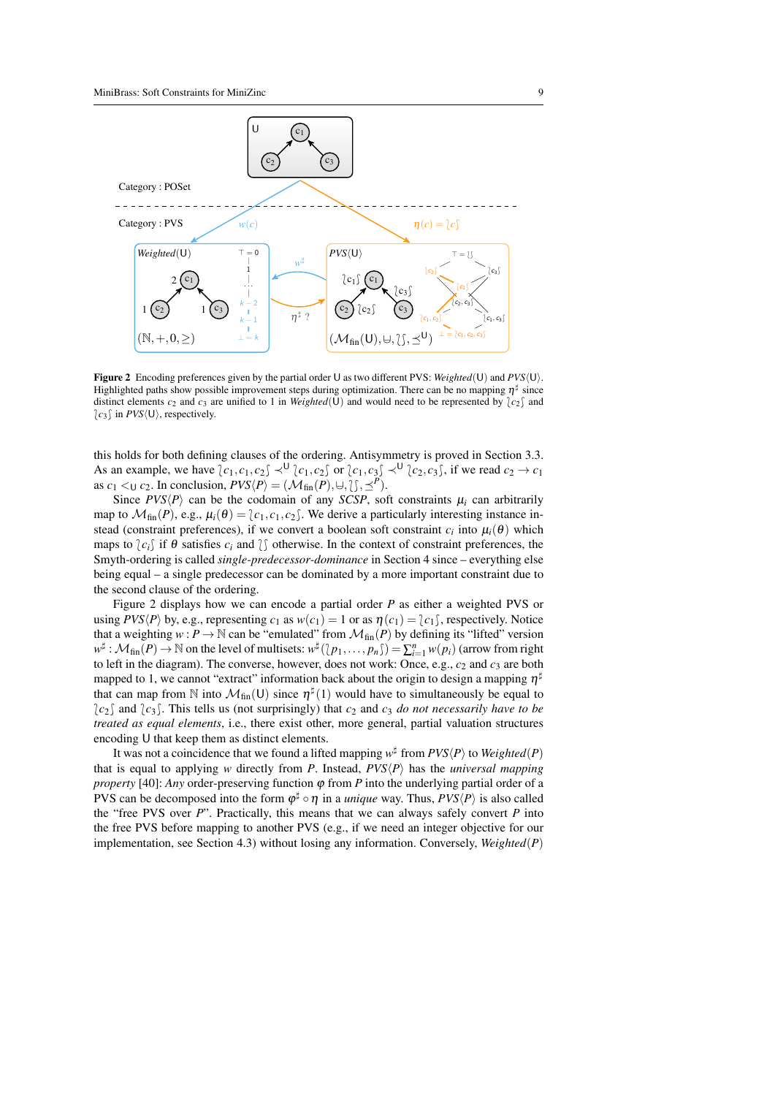

<span id="page-8-0"></span>Figure 2 Encoding preferences given by the partial order U as two different PVS: *Weighted*(U) and *PVS*(U). Highlighted paths show possible improvement steps during optimization. There can be no mapping  $\eta^{\sharp}$  since distinct elements  $c_2$  and  $c_3$  are unified to 1 in *Weighted*(U) and would need to be represented by  $\{c_2\}$  and  $\{c_3\}$  in  $PVS\langle U\rangle$ , respectively.

this holds for both defining clauses of the ordering. Antisymmetry is proved in Section [3.3.](#page-9-0) As an example, we have  $\{c_1, c_1, c_2\} \prec^{\mathsf{U}} \{c_1, c_2\}$  or  $\{c_1, c_3\} \prec^{\mathsf{U}} \{c_2, c_3\}$ , if we read  $c_2 \rightarrow c_1$ as  $c_1 <_U c_2$ . In conclusion,  $PVS(P) = (\mathcal{M}_{fin}(P), \cup, \{), \preceq^P\})$ .<br>Since  $PVS(P)$  and be the andomain of any SCSP and

Since  $PVS\langle P \rangle$  can be the codomain of any *SCSP*, soft constraints  $\mu_i$  can arbitrarily map to  $M_{fin}(P)$ , e.g.,  $\mu_i(\theta) = \{c_1, c_1, c_2\}$ . We derive a particularly interesting instance instead (constraint preferences), if we convert a boolean soft constraint  $c_i$  into  $\mu_i(\theta)$  which maps to  $\{c_i\}$  if  $\theta$  satisfies  $c_i$  and  $\{\}$  otherwise. In the context of constraint preferences, the Smyth-ordering is called *single-predecessor-dominance* in Section [4](#page-20-0) since – everything else being equal – a single predecessor can be dominated by a more important constraint due to the second clause of the ordering.

Figure [2](#page-8-0) displays how we can encode a partial order *P* as either a weighted PVS or using *PVS* $\langle P \rangle$  by, e.g., representing  $c_1$  as  $w(c_1) = 1$  or as  $\eta(c_1) = \{c_1\}$ , respectively. Notice that a weighting  $w : P \to \mathbb{N}$  can be "emulated" from  $\mathcal{M}_{fin}(P)$  by defining its "lifted" version  $w^{\sharp}$  :  $\mathcal{M}_{fin}(P) \to \mathbb{N}$  on the level of multisets:  $w^{\sharp}(\{p_1,\ldots,p_n\}) = \sum_{i=1}^n w(p_i)$  (arrow from right to left in the discrepan). The converge housing does not work: Open 2.3 a end a era both to left in the diagram). The converse, however, does not work: Once, e.g.,  $c_2$  and  $c_3$  are both mapped to 1, we cannot "extract" information back about the origin to design a mapping  $\eta^{\sharp}$ that can map from N into  $\mathcal{M}_{fin}(U)$  since  $\eta^{\sharp}(1)$  would have to simultaneously be equal to  $\{c_2\}$  and  $\{c_3\}$ . This tells us (not surprisingly) that  $c_2$  and  $c_3$  *do not necessarily have to be treated as equal elements*, i.e., there exist other, more general, partial valuation structures encoding U that keep them as distinct elements.

It was not a coincidence that we found a lifted mapping  $w^{\sharp}$  from  $PVS\langle P\rangle$  to *Weighted*(*P*) that is equal to applying *w* directly from *P*. Instead,  $PVS\langle P \rangle$  has the *universal mapping property* [\[40\]](#page-41-10): *Any* order-preserving function  $\varphi$  from *P* into the underlying partial order of a PVS can be decomposed into the form  $\varphi^{\sharp} \circ \eta$  in a *unique* way. Thus,  $PVS\langle P \rangle$  is also called the "free PVS over *P*". Practically, this means that we can always safely convert *P* into the free PVS before mapping to another PVS (e.g., if we need an integer objective for our implementation, see Section [4.3\)](#page-30-0) without losing any information. Conversely, *Weighted*(*P*)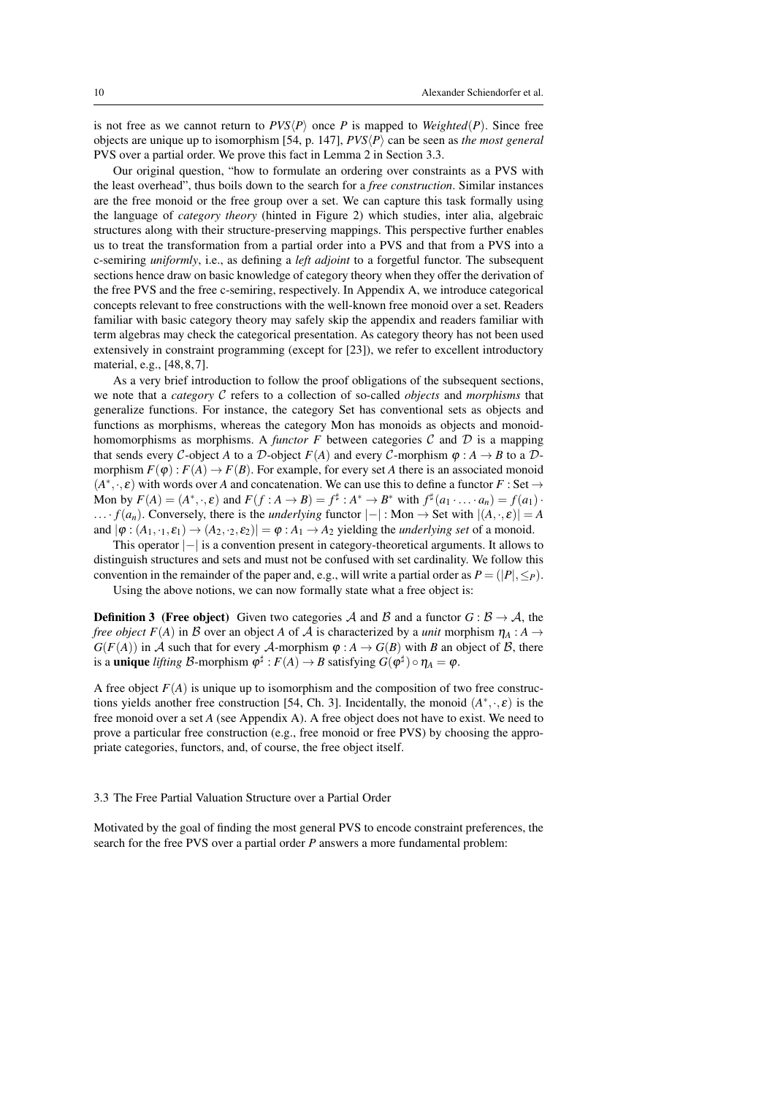is not free as we cannot return to  $PVS\langle P \rangle$  once *P* is mapped to *Weighted*(*P*). Since free objects are unique up to isomorphism [\[54,](#page-42-18) p. 147],  $PVS\langle P \rangle$  can be seen as *the most general* PVS over a partial order. We prove this fact in Lemma [2](#page-12-0) in Section [3.3.](#page-9-0)

Our original question, "how to formulate an ordering over constraints as a PVS with the least overhead", thus boils down to the search for a *free construction*. Similar instances are the free monoid or the free group over a set. We can capture this task formally using the language of *category theory* (hinted in Figure [2\)](#page-8-0) which studies, inter alia, algebraic structures along with their structure-preserving mappings. This perspective further enables us to treat the transformation from a partial order into a PVS and that from a PVS into a c-semiring *uniformly*, i.e., as defining a *left adjoint* to a forgetful functor. The subsequent sections hence draw on basic knowledge of category theory when they offer the derivation of the free PVS and the free c-semiring, respectively. In Appendix [A,](#page-43-0) we introduce categorical concepts relevant to free constructions with the well-known free monoid over a set. Readers familiar with basic category theory may safely skip the appendix and readers familiar with term algebras may check the categorical presentation. As category theory has not been used extensively in constraint programming (except for [\[23\]](#page-41-19)), we refer to excellent introductory material, e.g., [\[48,](#page-42-19) [8,](#page-40-12) [7\]](#page-40-13).

As a very brief introduction to follow the proof obligations of the subsequent sections, we note that a *category* C refers to a collection of so-called *objects* and *morphisms* that generalize functions. For instance, the category Set has conventional sets as objects and functions as morphisms, whereas the category Mon has monoids as objects and monoidhomomorphisms as morphisms. A *functor F* between categories  $C$  and  $D$  is a mapping that sends every C-object *A* to a D-object  $F(A)$  and every C-morphism  $\varphi : A \to B$  to a Dmorphism  $F(\varphi): F(A) \to F(B)$ . For example, for every set *A* there is an associated monoid  $(A^*, \cdot, \varepsilon)$  with words over *A* and concatenation. We can use this to define a functor  $F : Set \rightarrow$ Mon by  $F(A) = (A^*, \cdot, \varepsilon)$  and  $F(f : A \to B) = f^{\sharp} : A^* \to B^*$  with  $f^{\sharp}(a_1 \cdot \ldots \cdot a_n) = f(a_1) \cdot$ ... *· f*( $a_n$ ). Conversely, there is the *underlying* functor  $|-|$  : Mon  $\rightarrow$  Set with  $|(A, \cdot, \varepsilon)| = A$ and  $|\varphi : (A_1, \cdot_1, \varepsilon_1) \to (A_2, \cdot_2, \varepsilon_2)| = \varphi : A_1 \to A_2$  yielding the *underlying set* of a monoid.

This operator |−| is a convention present in category-theoretical arguments. It allows to distinguish structures and sets and must not be confused with set cardinality. We follow this convention in the remainder of the paper and, e.g., will write a partial order as  $P = (|P|, \leq_P)$ .

<span id="page-9-1"></span>Using the above notions, we can now formally state what a free object is:

**Definition 3** (Free object) Given two categories A and B and a functor  $G : \mathcal{B} \to \mathcal{A}$ , the *free object*  $F(A)$  in B over an object A of A is characterized by a *unit* morphism  $\eta_A : A \to$  $G(F(A))$  in A such that for every A-morphism  $\varphi : A \to G(B)$  with B an object of B, there is a **unique** lifting B-morphism  $\varphi^{\sharp}: F(A) \to B$  satisfying  $G(\varphi^{\sharp}) \circ \eta_A = \varphi$ .

A free object  $F(A)$  is unique up to isomorphism and the composition of two free construc-tions yields another free construction [\[54,](#page-42-18) Ch. 3]. Incidentally, the monoid  $(A^*, \cdot, \varepsilon)$  is the free monoid over a set *A* (see Appendix [A\)](#page-43-0). A free object does not have to exist. We need to prove a particular free construction (e.g., free monoid or free PVS) by choosing the appropriate categories, functors, and, of course, the free object itself.

<span id="page-9-0"></span>3.3 The Free Partial Valuation Structure over a Partial Order

Motivated by the goal of finding the most general PVS to encode constraint preferences, the search for the free PVS over a partial order *P* answers a more fundamental problem: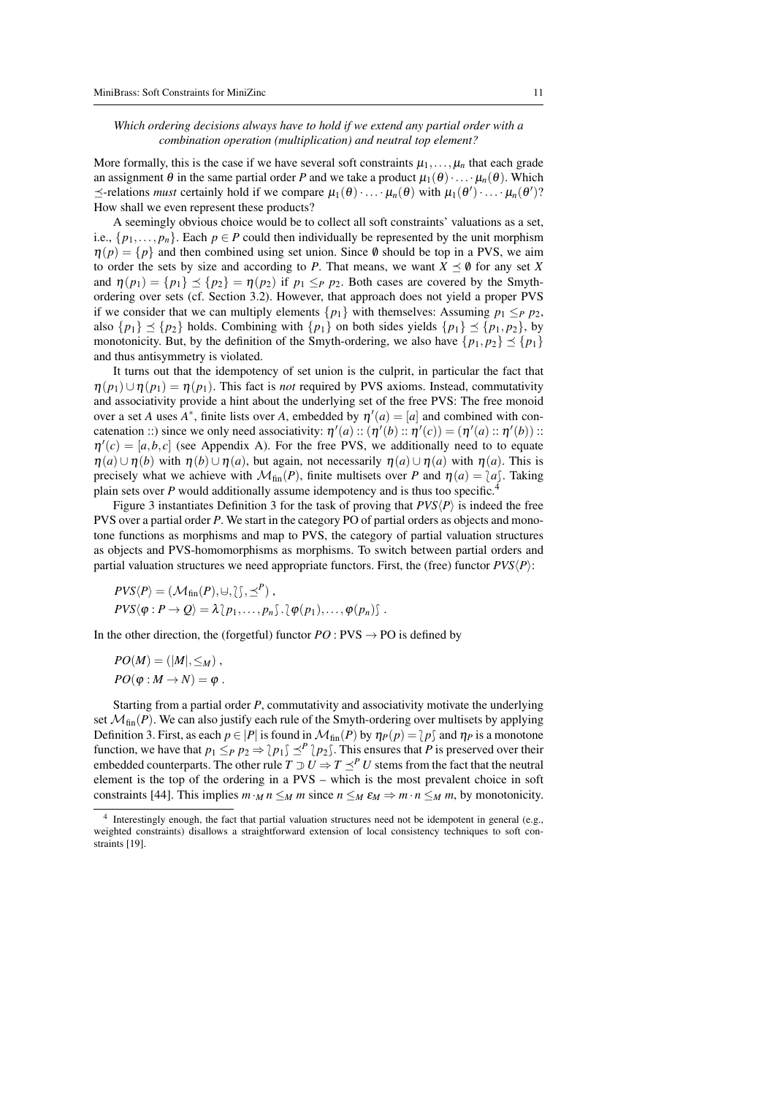### *Which ordering decisions always have to hold if we extend any partial order with a combination operation (multiplication) and neutral top element?*

More formally, this is the case if we have several soft constraints  $\mu_1, \ldots, \mu_n$  that each grade an assignment  $\theta$  in the same partial order *P* and we take a product  $\mu_1(\theta) \cdot ... \cdot \mu_n(\theta)$ . Which  $\preceq$ -relations *must* certainly hold if we compare  $\mu_1(\theta) \cdot \ldots \cdot \mu_n(\theta)$  with  $\mu_1(\theta') \cdot \ldots \cdot \mu_n(\theta')$ ? How shall we even represent these products?

A seemingly obvious choice would be to collect all soft constraints' valuations as a set, i.e.,  $\{p_1, \ldots, p_n\}$ . Each  $p \in P$  could then individually be represented by the unit morphism  $\eta(p) = \{p\}$  and then combined using set union. Since  $\emptyset$  should be top in a PVS, we aim to order the sets by size and according to *P*. That means, we want  $X \preceq \emptyset$  for any set *X* and  $\eta(p_1) = \{p_1\} \leq \{p_2\} = \eta(p_2)$  if  $p_1 \leq p_2$ . Both cases are covered by the Smythordering over sets (cf. Section [3.2\)](#page-7-1). However, that approach does not yield a proper PVS if we consider that we can multiply elements  $\{p_1\}$  with themselves: Assuming  $p_1 \leq p_2$ , also  $\{p_1\} \leq \{p_2\}$  holds. Combining with  $\{p_1\}$  on both sides yields  $\{p_1\} \leq \{p_1, p_2\}$ , by monotonicity. But, by the definition of the Smyth-ordering, we also have  $\{p_1, p_2\} \preceq \{p_1\}$ and thus antisymmetry is violated.

It turns out that the idempotency of set union is the culprit, in particular the fact that  $\eta(p_1) \cup \eta(p_1) = \eta(p_1)$ . This fact is *not* required by PVS axioms. Instead, commutativity and associativity provide a hint about the underlying set of the free PVS: The free monoid over a set *A* uses  $A^*$ , finite lists over *A*, embedded by  $\eta'(a) = [a]$  and combined with concatenation ::) since we only need associativity:  $\eta'(a)$  ::  $(\eta'(b)$  ::  $\eta'(c)) = (\eta'(a)$  ::  $\eta'(b)$  ::  $\eta'(c) = [a, b, c]$  (see Appendix [A\)](#page-43-0). For the free PVS, we additionally need to to equate  $\eta(a) \cup \eta(b)$  with  $\eta(b) \cup \eta(a)$ , but again, not necessarily  $\eta(a) \cup \eta(a)$  with  $\eta(a)$ . This is precisely what we achieve with  $\mathcal{M}_{fin}(P)$ , finite multisets over *P* and  $\eta(a) = \overline{a}$ . Taking plain sets over *P* would additionally assume idempotency and is thus too specific.<sup>[4](#page-10-0)</sup>

Figure [3](#page-9-1) instantiates Definition 3 for the task of proving that  $PVS\langle P \rangle$  is indeed the free PVS over a partial order *P*. We start in the category PO of partial orders as objects and monotone functions as morphisms and map to PVS, the category of partial valuation structures as objects and PVS-homomorphisms as morphisms. To switch between partial orders and partial valuation structures we need appropriate functors. First, the (free) functor  $PVS\langle P\rangle$ :

$$
PVS\langle P\rangle = (\mathcal{M}_{fin}(P), \cup, \{\}, \preceq^P),
$$
  
\n
$$
PVS\langle \varphi : P \to Q \rangle = \lambda \langle p_1, \ldots, p_n \rangle \cdot \langle \varphi(p_1), \ldots, \varphi(p_n) \rangle.
$$

In the other direction, the (forgetful) functor  $PO: PVS \rightarrow PO$  is defined by

$$
PO(M) = (|M|, \leq_M),
$$
  

$$
PO(\varphi : M \to N) = \varphi.
$$

Starting from a partial order *P*, commutativity and associativity motivate the underlying set  $\mathcal{M}_{fin}(P)$ . We can also justify each rule of the Smyth-ordering over multisets by applying Definition [3.](#page-9-1) First, as each  $p \in |P|$  is found in  $\mathcal{M}_{fin}(P)$  by  $\eta_P(p) = \{p\}$  and  $\eta_P$  is a monotone function, we have that  $p_1 \leq p_2 \Rightarrow \{p_1\} \leq^p \{p_2\}$ . This ensures that *P* is preserved over their embedded counterparts. The other rule  $T \supseteq U \to T \neq^p U$  store from the feet that the poutral embedded counterparts. The other rule  $T \supset U \Rightarrow T \preceq^P U$  stems from the fact that the neutral element is the top of the ordering in a PVS – which is the most prevalent choice in soft constraints [\[44\]](#page-42-4). This implies  $m \cdot_M n \leq_M m$  since  $n \leq_M \varepsilon_M \Rightarrow m \cdot n \leq_M m$ , by monotonicity.

<span id="page-10-0"></span><sup>4</sup> Interestingly enough, the fact that partial valuation structures need not be idempotent in general (e.g., weighted constraints) disallows a straightforward extension of local consistency techniques to soft constraints [\[19\]](#page-41-20).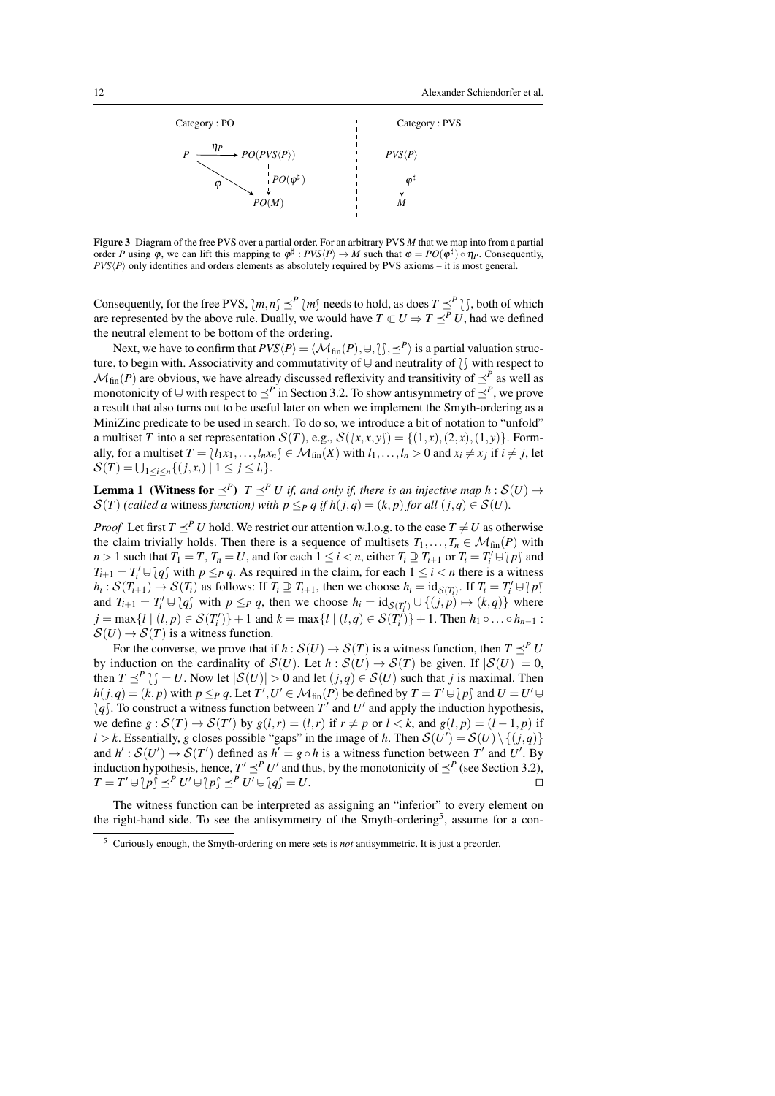

<span id="page-11-1"></span>Figure 3 Diagram of the free PVS over a partial order. For an arbitrary PVS *M* that we map into from a partial order *P* using  $\varphi$ , we can lift this mapping to  $\varphi^{\sharp}: PVS\langle P \rangle \to M$  such that  $\varphi = PO(\varphi^{\sharp}) \circ \eta_{P}$ . Consequently,  $PVS\langle P\rangle$  only identifies and orders elements as absolutely required by PVS axioms – it is most general.

Consequently, for the free PVS,  $\{m, n\} \leq^P \{m\}$  needs to hold, as does  $T \leq^P \{$ , both of which are represented by the above rule. Dually, we would have  $T \subset U \Rightarrow T \preceq^P U$ , had we defined the neutral element to be bottom of the ordering.

Next, we have to confirm that  $PVS\langle P \rangle = \langle \mathcal{M}_{fin}(P), \cup, \{ \} , \preceq^P \rangle$  is a partial valuation struc-<br>to begin with Associativity and commutativity of Land poutrality of  $\mathcal{L}_{fin}$  is the person to ture, to begin with. Associativity and commutativity of  $∪$  and neutrality of  $\uparrow$  with respect to  $\mathcal{M}_{fin}(P)$  are obvious, we have already discussed reflexivity and transitivity of  $\preceq^P$  as well as monotonicity of  $\cup$  with respect to  $\leq^P$  in Section [3.2.](#page-7-1) To show antisymmetry of  $\leq^P$ , we prove a result that also turns out to be useful later on when we implement the Smyth-ordering as a MiniZinc predicate to be used in search. To do so, we introduce a bit of notation to "unfold" a multiset *T* into a set representation  $S(T)$ , e.g.,  $S(\lambda x, x, y) = \{(1, x), (2, x), (1, y)\}$ . Formally, for a multiset  $T = \{l_1x_1, \ldots, l_nx_n\} \in \mathcal{M}_{fin}(X)$  with  $l_1, \ldots, l_n > 0$  and  $x_i \neq x_j$  if  $i \neq j$ , let  $\mathcal{S}(T) = \bigcup_{1 \le i \le n} \{ (j, x_i) \mid 1 \le j \le l_i \}.$ 

<span id="page-11-0"></span>**Lemma 1 (Witness for**  $\preceq^P$ )  $T \preceq^P U$  if, and only if, there is an injective map  $h : \mathcal{S}(U) \to$  $S(T)$  *(called a* witness *function)* with  $p \leq_P q$  *if*  $h(j,q) = (k, p)$  *for all*  $(j,q) \in S(U)$ *.* 

*Proof* Let first  $T \prec^P U$  hold. We restrict our attention w.l.o.g. to the case  $T \neq U$  as otherwise the claim trivially holds. Then there is a sequence of multisets  $T_1, \ldots, T_n \in \mathcal{M}_{fin}(P)$  with  $n > 1$  such that  $T_1 = T$ ,  $T_n = U$ , and for each  $1 \le i < n$ , either  $T_i \supseteq T_{i+1}$  or  $T_i = T'_i \cup \{p\}$  and  $T_i = T'_i \cup \{q\}$  with  $p \le a$ ,  $\Delta g$  required in the elements of each  $1 \le i \le n$  there is a withere  $T_{i+1} = T'_i \cup \{q\}$  with  $p \leq_P q$ . As required in the claim, for each  $1 \leq i < n$  there is a witness  $h_i: \mathcal{S}(T_{i+1}) \to \mathcal{S}(T_i)$  as follows: If  $T_i \supseteq T_{i+1}$ , then we choose  $h_i = \text{id}_{\mathcal{S}(T_i)}$ . If  $T_i = T'_i \cup \{p\}$ and  $T_{i+1} = T_i' \cup \{q\}$  with  $p \leq_P q$ , then we choose  $h_i = \text{id}_{\mathcal{S}(T_i')} \cup \{(j, p) \mapsto (k, q)\}$  where  $j = \max\{l \mid (l, p) \in S(T'_i)\} + 1$  and  $k = \max\{l \mid (l, q) \in S(T'_i)\} + 1$ . Then  $h_1 \circ \dots \circ h_{n-1}$ :  $\mathcal{S}(U) \rightarrow \mathcal{S}(T)$  is a witness function.

For the converse, we prove that if  $h : S(U) \to S(T)$  is a witness function, then  $T \preceq^P U$ by induction on the cardinality of  $S(U)$ . Let  $h : S(U) \to S(T)$  be given. If  $|S(U)| = 0$ , then  $T \preceq^P \{ \} = U$ . Now let  $|S(U)| > 0$  and let  $(j,q) \in S(U)$  such that *j* is maximal. Then  $h(j,q) = (h,n)$  with  $p \leq g$  Let  $T' \cup U \subseteq M$ . (2) be defined by  $T = T' \cup \{ g \}$  and  $U = U' \cup U'$  $h(j, q) = (k, p)$  with  $p \leq_{P} q$ . Let  $T', U' \in \mathcal{M}_{fin}(P)$  be defined by  $T = T' \cup \{p\}$  and  $U = U' \cup \{p\}$ .  $q$ . To construct a witness function between *T'* and *U'* and apply the induction hypothesis, we define  $g : S(T) \to S(T')$  by  $g(l,r) = (l,r)$  if  $r \neq p$  or  $l < k$ , and  $g(l,p) = (l-1,p)$  if *l* > *k*. Essentially, *g* closes possible "gaps" in the image of *h*. Then  $S(U') = S(U) \setminus \{(j,q)\}$ and  $h' : \mathcal{S}(U') \to \mathcal{S}(T')$  defined as  $h' = g \circ h$  is a witness function between  $T'$  and  $U'$ . By induction hypothesis, hence,  $T' \preceq^P U'$  and thus, by the monotonicity of  $\preceq^P$  (see Section [3.2\)](#page-7-1),  $T = T' \cup \{p\} \preceq^P U' \cup \{p\} \preceq^P U' \cup \{q\} = U.$ 

The witness function can be interpreted as assigning an "inferior" to every element on the right-hand side. To see the antisymmetry of the Smyth-ordering<sup>[5](#page-11-2)</sup>, assume for a con-

<span id="page-11-2"></span><sup>5</sup> Curiously enough, the Smyth-ordering on mere sets is *not* antisymmetric. It is just a preorder.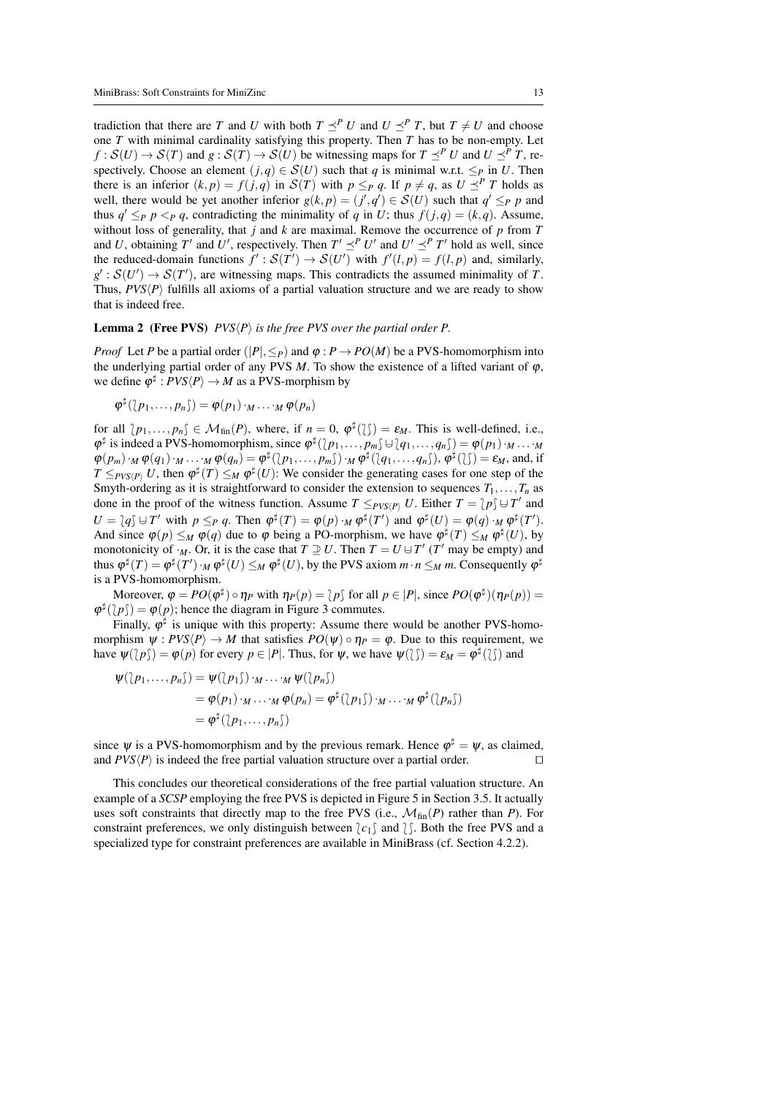tradiction that there are *T* and *U* with both  $T \preceq^{P} U$  and  $U \preceq^{P} T$ , but  $T \neq U$  and choose one *T* with minimal cardinality satisfying this property. Then *T* has to be non-empty. Let  $f : S(U) \to S(T)$  and  $g : S(T) \to S(U)$  be witnessing maps for  $T \preceq^P U$  and  $U \preceq^P T$ , respectively. Choose an element  $(j,q) \in S(U)$  such that *q* is minimal w.r.t.  $\leq_P$  in *U*. Then there is an inferior  $(k, p) = f(j, q)$  in  $S(T)$  with  $p \leq_P q$ . If  $p \neq q$ , as  $U \leq^P T$  holds as well, there would be yet another inferior  $g(k, p) = (j', q') \in S(U)$  such that  $q' \leq_P p$  and thus  $q' \leq_P p \leq_P q$ , contradicting the minimality of q in U; thus  $f(j,q) = (k,q)$ . Assume, without loss of generality, that *j* and *k* are maximal. Remove the occurrence of *p* from *T* and *U*, obtaining *T'* and *U'*, respectively. Then  $T' \preceq^P U'$  and  $U' \preceq^P T'$  hold as well, since the reduced-domain functions  $f' : S(T') \to S(U')$  with  $f'(l, p) = f(l, p)$  and, similarly,  $g': S(U') \to S(T')$ , are witnessing maps. This contradicts the assumed minimality of *T*. Thus,  $PVS\langle P \rangle$  fulfills all axioms of a partial valuation structure and we are ready to show that is indeed free.

### <span id="page-12-0"></span>**Lemma 2** (Free PVS)  $PVS\langle P \rangle$  *is the free PVS over the partial order P.*

*Proof* Let *P* be a partial order (|*P*|,  $\leq_P$ ) and  $\varphi$  :  $P \to PO(M)$  be a PVS-homomorphism into the underlying partial order of any PVS  $M$ . To show the existence of a lifted variant of  $\varphi$ , we define  $\varphi^{\sharp}: PVS\langle P \rangle \to M$  as a PVS-morphism by

$$
\varphi^{\sharp}(\langle p_1,\ldots,p_n\rangle)=\varphi(p_1)\cdot_M\ldots\cdot_M\varphi(p_n)
$$

for all  $\{p_1,\ldots,p_n\} \in \mathcal{M}_{fin}(P)$ , where, if  $n = 0$ ,  $\varphi^{\sharp}(\begin{bmatrix} \end{bmatrix}) = \varepsilon_M$ . This is well-defined, i.e.,  $\varphi^{\sharp}$  is indeed a PVS-homomorphism, since  $\varphi^{\sharp}([p_1, ..., p_m] \cup [q_1, ..., q_n]) = \varphi(p_1) \cdot M \cdots M_1$  $\varphi(p_m) \cdot_M \varphi(q_1) \cdot_M \ldots \cdot_M \varphi(q_n) = \varphi^{\sharp}([p_1, \ldots, p_m]) \cdot_M \varphi^{\sharp}([q_1, \ldots, q_n]), \varphi^{\sharp}([\zeta]) = \varepsilon_M$ , and, if  $T \leq_{PVS(P)} U$ , then  $\varphi^{\sharp}(T) \leq_M \varphi^{\sharp}(U)$ : We consider the generating cases for one step of the Smyth-ordering as it is straightforward to consider the extension to sequences  $T_1, \ldots, T_n$  as done in the proof of the witness function. Assume  $T \leq_{PVS(P)} U$ . Either  $T = \{p\} \cup T'$  and  $U = \{q\} \cup T'$  with  $p \leq_P q$ . Then  $\varphi^{\sharp}(T) = \varphi(p) \cdot_M \varphi^{\sharp}(T')$  and  $\varphi^{\sharp}(U) = \varphi(q) \cdot_M \varphi^{\sharp}(T')$ . And since  $\varphi(p) \leq_M \varphi(q)$  due to  $\varphi$  being a PO-morphism, we have  $\varphi^{\sharp}(T) \leq_M \varphi^{\sharp}(U)$ , by monotonicity of  $\cdot_M$ . Or, it is the case that  $T \supseteq U$ . Then  $T = U \cup T'$  (*T'* may be empty) and thus  $\varphi^{\sharp}(T) = \varphi^{\sharp}(T') \cdot_M \varphi^{\sharp}(U) \leq_M \varphi^{\sharp}(U)$ , by the PVS axiom  $m \cdot n \leq_M m$ . Consequently  $\varphi^{\sharp}$ is a PVS-homomorphism.

Moreover,  $\varphi = PO(\varphi^{\sharp}) \circ \eta_P$  with  $\eta_P(p) = \{p\}$  for all  $p \in |P|$ , since  $PO(\varphi^{\sharp})(\eta_P(p)) =$  $\varphi^{\sharp}(\lfloor p\rfloor) = \varphi(p)$ ; hence the diagram in Figure [3](#page-11-1) commutes.

Finally,  $\varphi^{\sharp}$  is unique with this property: Assume there would be another PVS-homomorphism  $\psi$ : *PVS* $\langle P \rangle \rightarrow M$  that satisfies  $PO(\psi) \circ \eta_P = \varphi$ . Due to this requirement, we have  $\psi(\lfloor p \rfloor) = \varphi(p)$  for every  $p \in |P|$ . Thus, for  $\psi$ , we have  $\psi(\lfloor \rfloor) = \varepsilon_M = \varphi^{\sharp}(\lfloor \rfloor)$  and

$$
\psi(\langle p_1,\ldots,p_n \rangle) = \psi(\langle p_1 \rangle) \cdot_M \cdots M \psi(\langle p_n \rangle)
$$
  
=  $\varphi(p_1) \cdot_M \cdots M \varphi(p_n) = \varphi^{\sharp}(\langle p_1 \rangle) \cdot_M \cdots M \varphi^{\sharp}(\langle p_n \rangle)$   
=  $\varphi^{\sharp}(\langle p_1,\ldots,p_n \rangle)$ 

since  $\psi$  is a PVS-homomorphism and by the previous remark. Hence  $\varphi^{\sharp} = \psi$ , as claimed, and  $PVS\langle P \rangle$  is indeed the free partial valuation structure over a partial order.

This concludes our theoretical considerations of the free partial valuation structure. An example of a *SCSP* employing the free PVS is depicted in Figure [5](#page-19-0) in Section [3.5.](#page-17-0) It actually uses soft constraints that directly map to the free PVS (i.e.,  $\mathcal{M}_{fin}(P)$  rather than *P*). For constraint preferences, we only distinguish between  $\{c_1\}$  and  $\{\}$ . Both the free PVS and a specialized type for constraint preferences are available in MiniBrass (cf. Section [4.2.2\)](#page-27-0).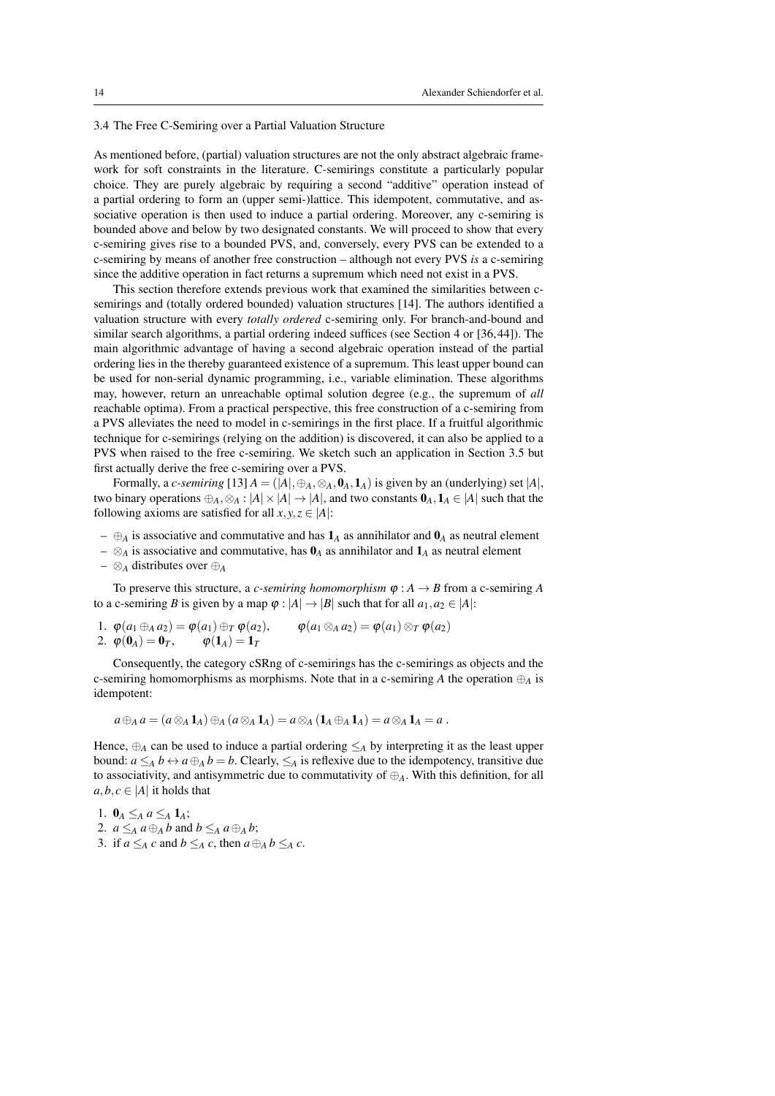<span id="page-13-0"></span>3.4 The Free C-Semiring over a Partial Valuation Structure

As mentioned before, (partial) valuation structures are not the only abstract algebraic framework for soft constraints in the literature. C-semirings constitute a particularly popular choice. They are purely algebraic by requiring a second "additive" operation instead of a partial ordering to form an (upper semi-)lattice. This idempotent, commutative, and associative operation is then used to induce a partial ordering. Moreover, any c-semiring is bounded above and below by two designated constants. We will proceed to show that every c-semiring gives rise to a bounded PVS, and, conversely, every PVS can be extended to a c-semiring by means of another free construction – although not every PVS *is* a c-semiring since the additive operation in fact returns a supremum which need not exist in a PVS.

This section therefore extends previous work that examined the similarities between csemirings and (totally ordered bounded) valuation structures [\[14\]](#page-40-14). The authors identified a valuation structure with every *totally ordered* c-semiring only. For branch-and-bound and similar search algorithms, a partial ordering indeed suffices (see Section [4](#page-20-0) or [\[36,](#page-41-21) [44\]](#page-42-4)). The main algorithmic advantage of having a second algebraic operation instead of the partial ordering lies in the thereby guaranteed existence of a supremum. This least upper bound can be used for non-serial dynamic programming, i.e., variable elimination. These algorithms may, however, return an unreachable optimal solution degree (e.g., the supremum of *all* reachable optima). From a practical perspective, this free construction of a c-semiring from a PVS alleviates the need to model in c-semirings in the first place. If a fruitful algorithmic technique for c-semirings (relying on the addition) is discovered, it can also be applied to a PVS when raised to the free c-semiring. We sketch such an application in Section [3.5](#page-17-0) but first actually derive the free c-semiring over a PVS.

Formally, a *c-semiring* [\[13\]](#page-40-2)  $A = (|A|, \oplus_A, \otimes_A, \mathbf{0}_A, \mathbf{1}_A)$  is given by an (underlying) set  $|A|$ , two binary operations  $\oplus_A$ ,  $\otimes_A$ :  $|A| \times |A| \to |A|$ , and two constants  $\mathbf{0}_A$ ,  $\mathbf{1}_A \in |A|$  such that the following axioms are satisfied for all  $x, y, z \in |A|$ :

- $-\bigoplus_{A}$  is associative and commutative and has  $1_A$  as annihilator and  $0_A$  as neutral element
- ⊗*<sup>A</sup>* is associative and commutative, has 0*<sup>A</sup>* as annihilator and 1*<sup>A</sup>* as neutral element
- ⊗*<sup>A</sup>* distributes over ⊕*<sup>A</sup>*

To preserve this structure, a *c-semiring homomorphism*  $\varphi : A \to B$  from a c-semiring A to a c-semiring *B* is given by a map  $\varphi : |A| \to |B|$  such that for all  $a_1, a_2 \in |A|$ :

1.  $\varphi(a_1 \oplus_A a_2) = \varphi(a_1) \oplus_T \varphi(a_2), \qquad \varphi(a_1 \otimes_A a_2) = \varphi(a_1) \otimes_T \varphi(a_2)$ 2.  $\varphi(\mathbf{0}_A) = \mathbf{0}_T$ ,  $\varphi(\mathbf{1}_A) = \mathbf{1}_T$ 

Consequently, the category cSRng of c-semirings has the c-semirings as objects and the c-semiring homomorphisms as morphisms. Note that in a c-semiring *A* the operation  $\oplus_A$  is idempotent:

$$
a\oplus_A a=(a\otimes_A 1_A)\oplus_A (a\otimes_A 1_A)=a\otimes_A (1_A\oplus_A 1_A)=a\otimes_A 1_A=a.
$$

Hence,  $\oplus_A$  can be used to induce a partial ordering  $\leq_A$  by interpreting it as the least upper bound:  $a \leq_A b \leftrightarrow a \oplus_A b = b$ . Clearly,  $\leq_A$  is reflexive due to the idempotency, transitive due to associativity, and antisymmetric due to commutativity of ⊕*A*. With this definition, for all  $a, b, c \in |A|$  it holds that

- 1.  $0_A \leq_A a \leq_A 1_A$ ;
- 2.  $a \leq_A a \oplus_A b$  and  $b \leq_A a \oplus_A b$ ;
- 3. if  $a \leq_A c$  and  $b \leq_A c$ , then  $a \oplus_A b \leq_A c$ .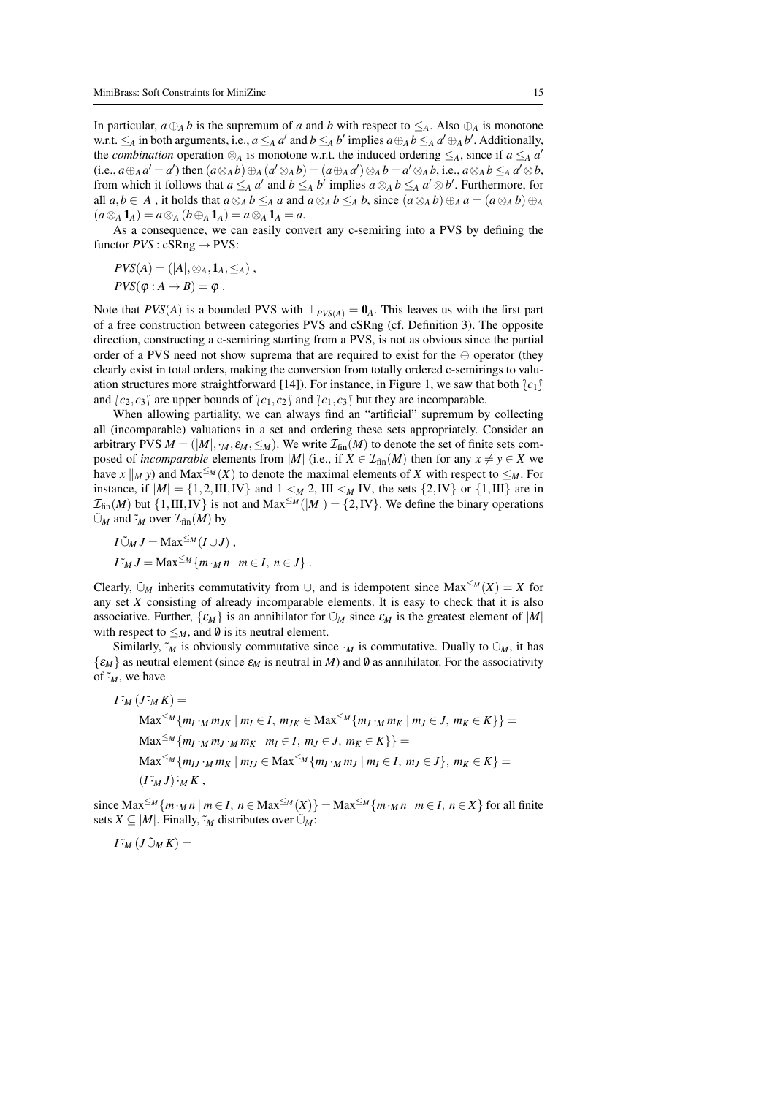In particular,  $a \oplus_A b$  is the supremum of *a* and *b* with respect to  $\leq_A$ . Also  $\oplus_A$  is monotone w.r.t.  $\leq_A$  in both arguments, i.e.,  $a \leq_A a'$  and  $b \leq_A b'$  implies  $a \oplus_A b \leq_A a' \oplus_A b'$ . Additionally, the *combination* operation  $\otimes_A$  is monotone w.r.t. the induced ordering  $\leq_A$ , since if  $a \leq_A a'$ (i.e.,  $a \oplus_A a' = a'$ ) then  $(a \otimes_A b) \oplus_A (a' \otimes_A b) = (a \oplus_A a') \otimes_A b = a' \otimes_A b$ , i.e.,  $a \otimes_A b \leq_A a' \otimes_B b$ from which it follows that  $a \leq_A a'$  and  $b \leq_A b'$  implies  $a \otimes_A b \leq_A a' \otimes b'$ . Furthermore, for all  $a, b \in |A|$ , it holds that  $a \otimes_A b \leq_A a$  and  $a \otimes_A b \leq_A b$ , since  $(a \otimes_A b) \oplus_A a = (a \otimes_A b) \oplus_A a$  $(a \otimes_A \mathbf{1}_A) = a \otimes_A (b \oplus_A \mathbf{1}_A) = a \otimes_A \mathbf{1}_A = a.$ 

As a consequence, we can easily convert any c-semiring into a PVS by defining the functor  $PVS$  : cSRng  $\rightarrow$  PVS:

$$
PVS(A) = (|A|, \otimes_A, \mathbf{1}_A, \leq_A),
$$
  

$$
PVS(\varphi : A \to B) = \varphi.
$$

Note that *PVS*(*A*) is a bounded PVS with  $\perp_{PVS(A)} = \mathbf{0}_A$ . This leaves us with the first part of a free construction between categories PVS and cSRng (cf. Definition [3\)](#page-9-1). The opposite direction, constructing a c-semiring starting from a PVS, is not as obvious since the partial order of a PVS need not show suprema that are required to exist for the  $oplus$  operator (they clearly exist in total orders, making the conversion from totally ordered c-semirings to valu-ation structures more straightforward [\[14\]](#page-40-14)). For instance, in Figure [1,](#page-1-0) we saw that both  $\{c_1\}$ and  $\{c_2, c_3\}$  are upper bounds of  $\{c_1, c_2\}$  and  $\{c_1, c_3\}$  but they are incomparable.

When allowing partiality, we can always find an "artificial" supremum by collecting all (incomparable) valuations in a set and ordering these sets appropriately. Consider an arbitrary PVS  $M = (|M|, \cdot_M, \varepsilon_M, \leq_M)$ . We write  $\mathcal{I}_{fin}(M)$  to denote the set of finite sets composed of *incomparable* elements from |*M*| (i.e., if  $X \in \mathcal{I}_{fin}(M)$  then for any  $x \neq y \in X$  we have  $x \parallel_M y$  and Max<sup>≤*M*</sup>(*X*) to denote the maximal elements of *X* with respect to  $\leq_M$ . For instance, if  $|M| = \{1, 2, III, IV\}$  and  $1 \leq M/2$ , III  $\leq M/IV$ , the sets  $\{2, IV\}$  or  $\{1, III\}$  are in  $\mathcal{I}_{fin}(M)$  but  $\{1,\text{III},\text{IV}\}$  is not and Max<sup> $\leq_M(|M|) = \{2,\text{IV}\}\$ . We define the binary operations</sup>  $\mathbb{C}_M$  and  $\tilde{\cdot}_M$  over  $\mathcal{I}_{fin}(M)$  by

$$
I \tilde{\cup}_M J = \text{Max}^{\leq M} (I \cup J) ,
$$
  
\n
$$
I \tilde{\cup}_M J = \text{Max}^{\leq M} \{ m \cdot_M n \mid m \in I, n \in J \} .
$$

Clearly,  $\mathcal{C}_M$  inherits commutativity from  $\cup$ , and is idempotent since Max<sup>≤*M*</sup>(*X*) = *X* for any set *X* consisting of already incomparable elements. It is easy to check that it is also associative. Further,  $\{\varepsilon_M\}$  is an annihilator for  $\tilde{\cup}_M$  since  $\varepsilon_M$  is the greatest element of  $|M|$ with respect to  $\leq_M$ , and  $\emptyset$  is its neutral element.

Similarly,  $\tilde{\cdot}_M$  is obviously commutative since  $\cdot_M$  is commutative. Dually to  $\tilde{\cup}_M$ , it has  $\{\varepsilon_M\}$  as neutral element (since  $\varepsilon_M$  is neutral in *M*) and 0 as annihilator. For the associativity of  $\tilde{v}_M$ , we have

$$
I^{\tau}M (J^{\tau}M K) =
$$
  
\n
$$
Max^{\leq M} \{m_I \cdot_M m_{JK} \mid m_I \in I, m_{JK} \in \text{Max}^{\leq M} \{m_J \cdot_M m_K \mid m_J \in J, m_K \in K\} \} =
$$
  
\n
$$
Max^{\leq M} \{m_I \cdot_M m_J \cdot_M m_K \mid m_I \in I, m_J \in J, m_K \in K\} =
$$
  
\n
$$
Max^{\leq M} \{m_{IJ} \cdot_M m_K \mid m_{IJ} \in \text{Max}^{\leq M} \{m_I \cdot_M m_J \mid m_I \in I, m_J \in J\}, m_K \in K \} =
$$
  
\n
$$
(I^{\tau}M J)^{\tau}M K,
$$

since Max<sup>≤*M*</sup> { $m \cdot_M n \mid m \in I$ ,  $n \in \text{Max}^{\leq M}(X)$ } = Max<sup>≤*M*</sup> { $m \cdot_M n \mid m \in I$ ,  $n \in X$ } for all finite sets *X* ⊆ |*M*|. Finally,  $\tilde{A}$ <sup>*M*</sup> distributes over  $\tilde{U}_M$ :

 $I^{\sim}_{M}(J\mathcal{O}_{M}K) =$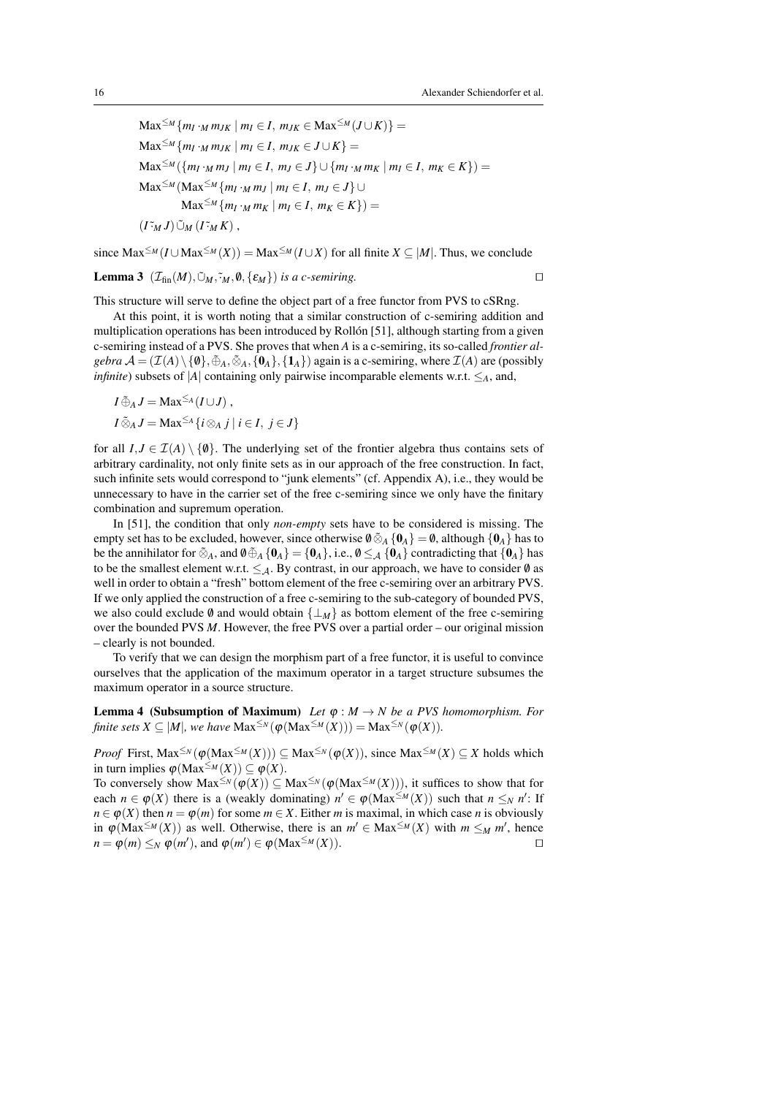<span id="page-15-1"></span> $\text{Max} \leq M \{ m_I \cdot_M m_{JK} \mid m_I \in I, m_{JK} \in \text{Max} \leq M (J \cup K) \} =$  $\text{Max} \leq M \{ m_I \cdot_M m_{JK} \mid m_I \in I, m_{JK} \in J \cup K \} =$  $\text{Max}^{\leq M}(\{m_l \cdot_M m_J \mid m_l \in I, m_j \in J\} \cup \{m_l \cdot_M m_K \mid m_l \in I, m_K \in K\}) =$  $\text{Max} \leq M (\text{Max} \leq M \{m_I \cdot_M m_J \mid m_I \in I, m_J \in J\} \cup$  $\text{Max}^{\leq M} \{ m_I \cdot_M m_K \mid m_I \in I, m_K \in K \}$ ) =  $(I \tilde{G}_M J) \tilde{\cup}_M (I \tilde{G}_M K)$ ,

since  $\text{Max} \leq M(I \cup \text{Max} \leq M(X)) = \text{Max} \leq M(I \cup X)$  for all finite  $X \subseteq |M|$ . Thus, we conclude

**Lemma 3**  $(\mathcal{I}_{fin}(M), \tilde{\cup}_M, \tilde{\cdot}_M, \emptyset, \{\varepsilon_M\})$  *is a c-semiring.* 

This structure will serve to define the object part of a free functor from PVS to cSRng.

At this point, it is worth noting that a similar construction of c-semiring addition and multiplication operations has been introduced by Rollón [\[51\]](#page-42-20), although starting from a given c-semiring instead of a PVS. She proves that when *A* is a c-semiring, its so-called *frontier algebra*  $A = (\mathcal{I}(A) \setminus \{0\}, \tilde{\oplus}_A, \tilde{\otimes}_A, \{0_A\}, \{1_A\})$  again is a c-semiring, where  $\mathcal{I}(A)$  are (possibly *infinite*) subsets of  $|A|$  containing only pairwise incomparable elements w.r.t.  $\leq_A$ , and,

$$
I \tilde{\oplus}_A J = \text{Max}^{\leq A} (I \cup J) ,
$$
  
\n
$$
I \tilde{\otimes}_A J = \text{Max}^{\leq A} \{ i \otimes_A j \mid i \in I, j \in J \}
$$

for all  $I, J \in \mathcal{I}(A) \setminus \{\emptyset\}$ . The underlying set of the frontier algebra thus contains sets of arbitrary cardinality, not only finite sets as in our approach of the free construction. In fact, such infinite sets would correspond to "junk elements" (cf. Appendix [A\)](#page-43-0), i.e., they would be unnecessary to have in the carrier set of the free c-semiring since we only have the finitary combination and supremum operation.

In [\[51\]](#page-42-20), the condition that only *non-empty* sets have to be considered is missing. The empty set has to be excluded, however, since otherwise  $\delta \tilde{\otimes}_A \{0_A\} = \emptyset$ , although  $\{0_A\}$  has to be the annihilator for  $\tilde{\otimes}_A$ , and  $\emptyset \tilde{\oplus}_A {\mathbf{0}_A} = {\mathbf{0}_A}$ , i.e.,  $\emptyset \leq_A {\mathbf{0}_A}$  contradicting that  ${\mathbf{0}_A}$  has to be the smallest element w.r.t.  $\leq_A$ . By contrast, in our approach, we have to consider  $\emptyset$  as well in order to obtain a "fresh" bottom element of the free c-semiring over an arbitrary PVS. If we only applied the construction of a free c-semiring to the sub-category of bounded PVS, we also could exclude  $\emptyset$  and would obtain  $\{\perp_M\}$  as bottom element of the free c-semiring over the bounded PVS *M*. However, the free PVS over a partial order – our original mission – clearly is not bounded.

<span id="page-15-0"></span>To verify that we can design the morphism part of a free functor, it is useful to convince ourselves that the application of the maximum operator in a target structure subsumes the maximum operator in a source structure.

**Lemma 4 (Subsumption of Maximum)** Let  $\varphi : M \to N$  be a PVS homomorphism. For *finite sets*  $X \subseteq |M|$ *, we have*  $\text{Max}^{\leq N}(\varphi(\text{Max}^{\leq M}(X))) = \text{Max}^{\leq N}(\varphi(X))$ *.* 

*Proof* First,  $Max^{\leq N}(\phi(Max^{\leq M}(X)))$  ⊆  $Max^{\leq N}(\phi(X))$ , since  $Max^{\leq M}(X)$  ⊆ *X* holds which in turn implies  $\varphi(\text{Max}^{\leq M}(X)) \subseteq \varphi(X)$ .

To conversely show  $Max^{\leq N}(\varphi(X)) \subseteq Max^{\leq N}(\varphi(Max^{\leq M}(X))),$  it suffices to show that for each  $n \in \varphi(X)$  there is a (weakly dominating)  $n' \in \varphi(\text{Max}^{\leq M}(X))$  such that  $n \leq_N n'$ : If  $n \in \varphi(X)$  then  $n = \varphi(m)$  for some  $m \in X$ . Either *m* is maximal, in which case *n* is obviously in  $\varphi(\text{Max} \leq M(X))$  as well. Otherwise, there is an  $m' \in \text{Max} \leq M(X)$  with  $m \leq_M m'$ , hence  $n = \varphi(m) \leq_N \varphi(m'),$  and  $\varphi(m') \in \varphi(\text{Max}^{\leq_M}(X)).$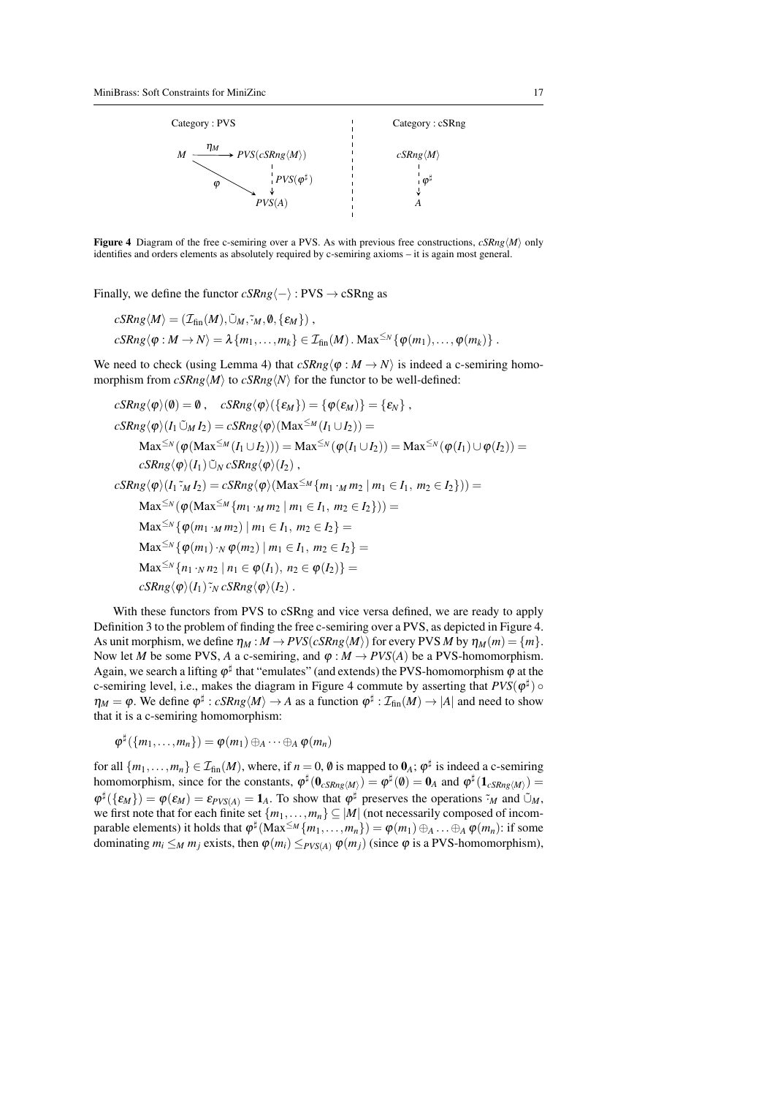

<span id="page-16-0"></span>Figure 4 Diagram of the free c-semiring over a PVS. As with previous free constructions,  $cS R n g \langle M \rangle$  only identifies and orders elements as absolutely required by c-semiring axioms – it is again most general.

Finally, we define the functor  $cSRng\langle - \rangle$ : PVS → cSRng as

$$
cSRng\langle M \rangle = (\mathcal{I}_{fin}(M), \mathcal{I}_M, \mathcal{I}_M, \emptyset, \{\varepsilon_M\}),
$$
  
\n
$$
cSRng\langle \varphi : M \to N \rangle = \lambda \{m_1, \dots, m_k\} \in \mathcal{I}_{fin}(M) \cdot Max^{\leq_N} \{\varphi(m_1), \dots, \varphi(m_k)\} .
$$

We need to check (using Lemma [4\)](#page-15-0) that  $cSRn\mathfrak{g}(\mathfrak{g}: M \to N)$  is indeed a c-semiring homomorphism from  $cSRng\langle M \rangle$  to  $cSRng\langle N \rangle$  for the functor to be well-defined:

$$
cSRng \langle \varphi \rangle(\theta) = \theta , \quad cSRng \langle \varphi \rangle(\{\epsilon_M\}) = \{\varphi(\epsilon_M)\} = \{\epsilon_N\} ,
$$
  
\n
$$
cSRng \langle \varphi \rangle(I_1 \cup_M I_2) = cSRng \langle \varphi \rangle(\text{Max}^{\leq M}(I_1 \cup I_2)) =
$$
  
\n
$$
\text{Max}^{\leq N}(\varphi(\text{Max}^{\leq M}(I_1 \cup I_2))) = \text{Max}^{\leq N}(\varphi(I_1 \cup I_2)) = \text{Max}^{\leq N}(\varphi(I_1) \cup \varphi(I_2)) =
$$
  
\n
$$
cSRng \langle \varphi \rangle(I_1 \cap \varphi \rangle \text{CSRng}(\varphi) \langle I_2 \rangle ,
$$
  
\n
$$
\text{CSRng} \langle \varphi \rangle(I_1 \cap \varphi \rangle) = cSRng \langle \varphi \rangle(\text{Max}^{\leq M}\{m_1 \cdot_M m_2 \mid m_1 \in I_1, m_2 \in I_2\}) ) =
$$
  
\n
$$
\text{Max}^{\leq N}\{ \varphi(\text{Max}^{\leq M}\{m_1 \cdot_M m_2 \mid m_1 \in I_1, m_2 \in I_2\} ) \} =
$$
  
\n
$$
\text{Max}^{\leq N}\{ \varphi(m_1 \cdot_M m_2) \mid m_1 \in I_1, m_2 \in I_2 \} =
$$
  
\n
$$
\text{Max}^{\leq N}\{ \varphi(m_1) \cdot_N \varphi(m_2) \mid m_1 \in I_1, m_2 \in I_2 \} =
$$
  
\n
$$
\text{Max}^{\leq N}\{ n_1 \cdot_N n_2 \mid n_1 \in \varphi(I_1), n_2 \in \varphi(I_2) \} =
$$
  
\n
$$
\text{CSRng} \langle \varphi \rangle(I_1) \cap \varphi \text{CSRng} \langle \varphi \rangle(I_2) .
$$

With these functors from PVS to cSRng and vice versa defined, we are ready to apply Definition [3](#page-9-1) to the problem of finding the free c-semiring over a PVS, as depicted in Figure [4.](#page-16-0) As unit morphism, we define  $\eta_M : M \to PVS(cSRng\langle M \rangle)$  for every PVS *M* by  $\eta_M(m) = \{m\}.$ Now let *M* be some PVS, *A* a c-semiring, and  $\varphi : M \to PVS(A)$  be a PVS-homomorphism. Again, we search a lifting  $\varphi^{\sharp}$  that "emulates" (and extends) the PVS-homomorphism  $\varphi$  at the c-semiring level, i.e., makes the diagram in Figure [4](#page-16-0) commute by asserting that  $PVS(\varphi^{\sharp}) \circ$  $\eta_M = \varphi$ . We define  $\varphi^{\sharp}: cSRng\langle M \rangle \to A$  as a function  $\varphi^{\sharp}: \mathcal{I}_{fin}(M) \to |A|$  and need to show that it is a c-semiring homomorphism:

 $\varphi^{\sharp}(\{m_1,\ldots,m_n\}) = \varphi(m_1) \oplus_A \cdots \oplus_A \varphi(m_n)$ 

for all  $\{m_1,\ldots,m_n\} \in \mathcal{I}_{fin}(M)$ , where, if  $n = 0$ ,  $\emptyset$  is mapped to  $\mathbf{0}_A$ ;  $\varphi^{\sharp}$  is indeed a c-semiring homomorphism, since for the constants,  $\varphi^{\sharp}(\mathbf{0}_{cSRng\langle M \rangle}) = \varphi^{\sharp}(\mathbf{0}) = \mathbf{0}_A$  and  $\varphi^{\sharp}(\mathbf{1}_{cSRng\langle M \rangle}) =$  $\varphi^{\sharp}(\{\epsilon_M\}) = \varphi(\epsilon_M) = \epsilon_{PVS(A)} = 1_A$ . To show that  $\varphi^{\sharp}$  preserves the operations  $\tilde{\cdot}_M$  and  $\tilde{\cup}_M$ , we first note that for each finite set  $\{m_1, \ldots, m_n\} \subseteq |M|$  (not necessarily composed of incomparable elements) it holds that  $\varphi^{\sharp}(\widetilde{Max}^{\leq M}\{m_1,\ldots,m_n\}) = \varphi(m_1) \oplus_A \ldots \oplus_A \varphi(m_n)$ : if some dominating  $m_i \leq_M m_j$  exists, then  $\varphi(m_i) \leq_{PVS(A)} \varphi(m_j)$  (since  $\varphi$  is a PVS-homomorphism),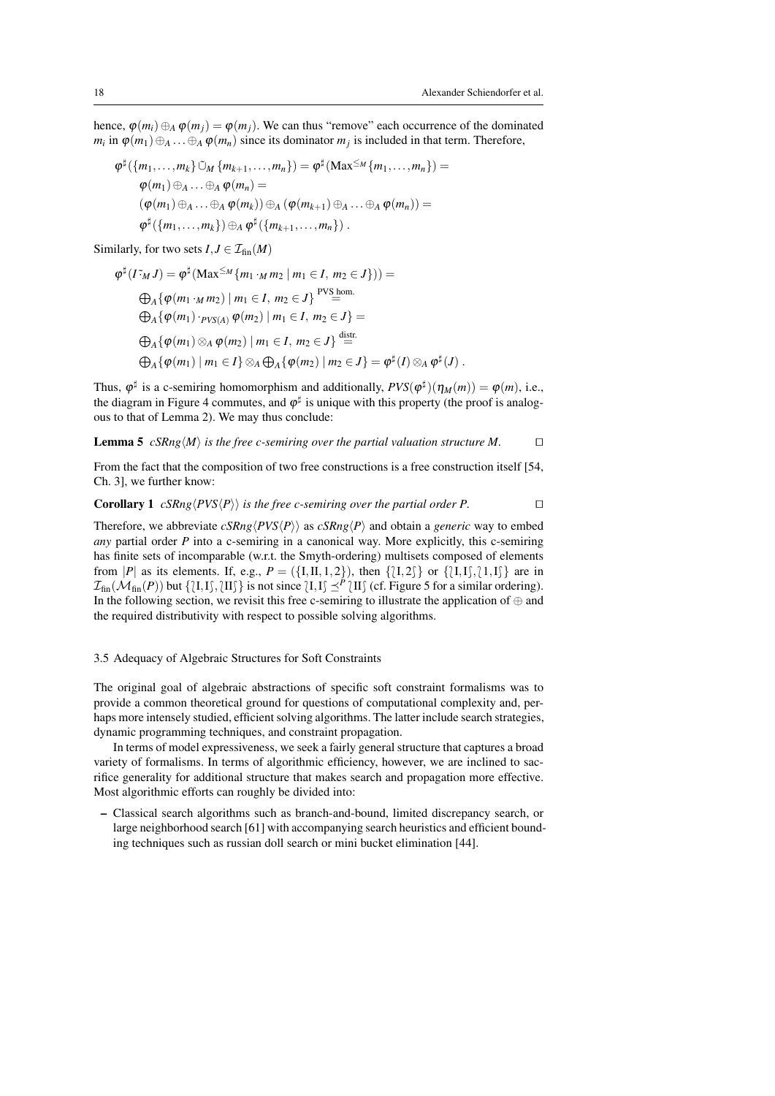hence,  $\varphi(m_i) \oplus_A \varphi(m_i) = \varphi(m_i)$ . We can thus "remove" each occurrence of the dominated  $m_i$  in  $\varphi(m_1) \oplus_A \ldots \oplus_A \varphi(m_n)$  since its dominator  $m_j$  is included in that term. Therefore,

$$
\varphi^{\sharp}(\{m_1,\ldots,m_k\}\bigcirc_M\{m_{k+1},\ldots,m_n\}) = \varphi^{\sharp}(\text{Max}^{\leq M}\{m_1,\ldots,m_n\}) =
$$

$$
\varphi(m_1) \oplus_A \ldots \oplus_A \varphi(m_n) =
$$

$$
(\varphi(m_1) \oplus_A \ldots \oplus_A \varphi(m_k)) \oplus_A (\varphi(m_{k+1}) \oplus_A \ldots \oplus_A \varphi(m_n)) =
$$

$$
\varphi^{\sharp}(\{m_1,\ldots,m_k\}) \oplus_A \varphi^{\sharp}(\{m_{k+1},\ldots,m_n\}).
$$

Similarly, for two sets  $I, J \in \mathcal{I}_{fin}(M)$ 

$$
\varphi^{\sharp}(I^{\tau}MJ) = \varphi^{\sharp}(\text{Max}^{\leq M}\{m_1 \cdot_M m_2 \mid m_1 \in I, m_2 \in J\})) =
$$
  
\n
$$
\bigoplus_{A} \{\varphi(m_1 \cdot_M m_2) \mid m_1 \in I, m_2 \in J\} \text{PVS-hom.}
$$
  
\n
$$
\bigoplus_{A} \{\varphi(m_1) \cdot_{PVS(A)} \varphi(m_2) \mid m_1 \in I, m_2 \in J\} =
$$
  
\n
$$
\bigoplus_{A} \{\varphi(m_1) \otimes_A \varphi(m_2) \mid m_1 \in I, m_2 \in J\} \stackrel{\text{distr.}}{=} \bigoplus_{A} \{\varphi(m_1) \mid m_1 \in I\} \otimes_A \bigoplus_{A} \{\varphi(m_2) \mid m_2 \in J\} = \varphi^{\sharp}(I) \otimes_A \varphi^{\sharp}(J).
$$

Thus,  $\varphi^{\sharp}$  is a c-semiring homomorphism and additionally,  $PVS(\varphi^{\sharp})(\eta_M(m)) = \varphi(m)$ , i.e., the diagram in Figure [4](#page-16-0) commutes, and  $\varphi^{\sharp}$  is unique with this property (the proof is analogous to that of Lemma [2\)](#page-12-0). We may thus conclude:

**Lemma 5**  $cSRng\langle M \rangle$  *is the free c-semiring over the partial valuation structure M.*  $\square$ 

From the fact that the composition of two free constructions is a free construction itself [\[54,](#page-42-18) Ch. 3], we further know:

# **Corollary 1**  $cSRng\langle PVS\langle P\rangle\rangle$  *is the free c-semiring over the partial order P.*  $\square$

Therefore, we abbreviate  $cSRng\langle PVS\rangle$  as  $cSRng\langle P\rangle$  and obtain a *generic* way to embed *any* partial order *P* into a c-semiring in a canonical way. More explicitly, this c-semiring has finite sets of incomparable (w.r.t. the Smyth-ordering) multisets composed of elements from |*P*| as its elements. If, e.g.,  $P = (\{I,II,1,2\})$ , then  $\{[I,2]\}$  or  $\{[I,I], [I,1]\}$  are in  $\mathcal{I}_{fin}(\mathcal{M}_{fin}(P))$  but  $\{[1,1], [1]\}\$  is not since  $[1,1] \preceq^P [1]$  (cf. Figure [5](#page-19-0) for a similar ordering). In the following section, we revisit this free c-semiring to illustrate the application of ⊕ and the required distributivity with respect to possible solving algorithms.

### <span id="page-17-0"></span>3.5 Adequacy of Algebraic Structures for Soft Constraints

The original goal of algebraic abstractions of specific soft constraint formalisms was to provide a common theoretical ground for questions of computational complexity and, perhaps more intensely studied, efficient solving algorithms. The latter include search strategies, dynamic programming techniques, and constraint propagation.

In terms of model expressiveness, we seek a fairly general structure that captures a broad variety of formalisms. In terms of algorithmic efficiency, however, we are inclined to sacrifice generality for additional structure that makes search and propagation more effective. Most algorithmic efforts can roughly be divided into:

– Classical search algorithms such as branch-and-bound, limited discrepancy search, or large neighborhood search [\[61\]](#page-42-21) with accompanying search heuristics and efficient bounding techniques such as russian doll search or mini bucket elimination [\[44\]](#page-42-4).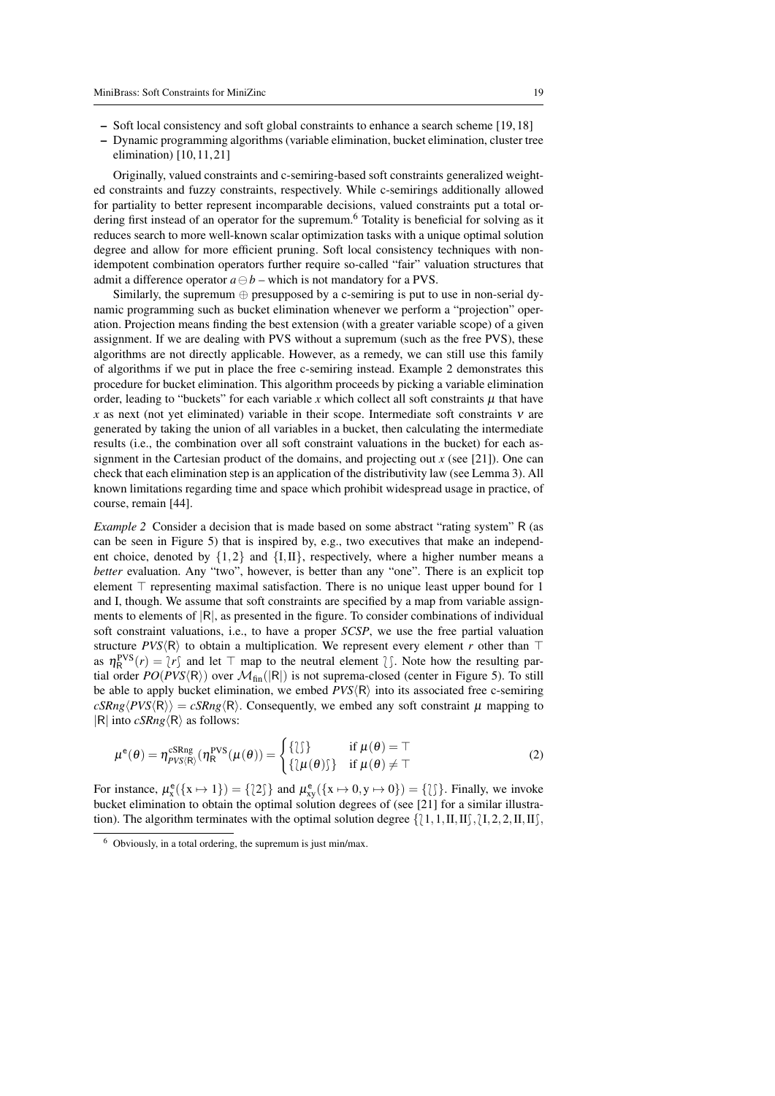- Soft local consistency and soft global constraints to enhance a search scheme [\[19,](#page-41-20) [18\]](#page-41-3)
- Dynamic programming algorithms (variable elimination, bucket elimination, cluster tree elimination) [\[10,](#page-40-3) [11,](#page-40-15) [21\]](#page-41-22)

Originally, valued constraints and c-semiring-based soft constraints generalized weighted constraints and fuzzy constraints, respectively. While c-semirings additionally allowed for partiality to better represent incomparable decisions, valued constraints put a total or-dering first instead of an operator for the supremum.<sup>[6](#page-18-0)</sup> Totality is beneficial for solving as it reduces search to more well-known scalar optimization tasks with a unique optimal solution degree and allow for more efficient pruning. Soft local consistency techniques with nonidempotent combination operators further require so-called "fair" valuation structures that admit a difference operator  $a \ominus b$  – which is not mandatory for a PVS.

Similarly, the supremum  $\oplus$  presupposed by a c-semiring is put to use in non-serial dynamic programming such as bucket elimination whenever we perform a "projection" operation. Projection means finding the best extension (with a greater variable scope) of a given assignment. If we are dealing with PVS without a supremum (such as the free PVS), these algorithms are not directly applicable. However, as a remedy, we can still use this family of algorithms if we put in place the free c-semiring instead. Example [2](#page-18-1) demonstrates this procedure for bucket elimination. This algorithm proceeds by picking a variable elimination order, leading to "buckets" for each variable *x* which collect all soft constraints  $\mu$  that have  $x$  as next (not yet eliminated) variable in their scope. Intermediate soft constraints  $v$  are generated by taking the union of all variables in a bucket, then calculating the intermediate results (i.e., the combination over all soft constraint valuations in the bucket) for each assignment in the Cartesian product of the domains, and projecting out *x* (see [\[21\]](#page-41-22)). One can check that each elimination step is an application of the distributivity law (see Lemma [3\)](#page-15-1). All known limitations regarding time and space which prohibit widespread usage in practice, of course, remain [\[44\]](#page-42-4).

<span id="page-18-1"></span>*Example 2* Consider a decision that is made based on some abstract "rating system" R (as can be seen in Figure [5\)](#page-19-0) that is inspired by, e.g., two executives that make an independent choice, denoted by  $\{1,2\}$  and  $\{I,II\}$ , respectively, where a higher number means a *better* evaluation. Any "two", however, is better than any "one". There is an explicit top element  $\top$  representing maximal satisfaction. There is no unique least upper bound for 1 and I, though. We assume that soft constraints are specified by a map from variable assignments to elements of  $|R|$ , as presented in the figure. To consider combinations of individual soft constraint valuations, i.e., to have a proper *SCSP*, we use the free partial valuation structure  $PVS\langle R \rangle$  to obtain a multiplication. We represent every element *r* other than  $\top$ as  $\eta_{\text{R}}^{\text{PVS}}(r) = \gamma_{\text{S}}^{\text{PVS}}$  and let  $\top$  map to the neutral element  $\gamma_{\text{S}}^{\text{PVS}}$ . Note how the resulting par-<br>tial grader  $DG(DVS/D)$  over  $M_{\text{S}}$  ([D]) is not supposed soleced (gapter in Figure 5). To sti tial order  $PO(PVS\langle R\rangle)$  over  $\mathcal{M}_{fin}(|R|)$  is not suprema-closed (center in Figure [5\)](#page-19-0). To still be able to apply bucket elimination, we embed  $PVS\langle R\rangle$  into its associated free c-semiring  $cSRng\langle PVS\langle R\rangle\rangle = cSRng\langle R\rangle$ . Consequently, we embed any soft constraint  $\mu$  mapping to  $|R|$  into  $cSRng\langle R\rangle$  as follows:

<span id="page-18-2"></span>
$$
\mu^e(\theta) = \eta_{PVS(R)}^{\text{cSRng}}(\eta_R^{\text{PVS}}(\mu(\theta))) = \begin{cases} \{ \text{or} \quad \text{if } \mu(\theta) = \top \\ \{ \mu(\theta) \} \} & \text{if } \mu(\theta) \neq \top \end{cases}
$$
 (2)

For instance,  $\mu_{\mathcal{R}}^{\mathcal{R}}(\{\mathbf{x} \mapsto 1\}) = \{2\}$  and  $\mu_{\mathcal{R}}^{\mathcal{R}}(\{\mathbf{x} \mapsto 0, \mathbf{y} \mapsto 0\}) = \{1\}$ . Finally, we invoke bucket elimination to obtain the optimal solution degrees of (see [\[21\]](#page-41-22) for a similar illustration). The algorithm terminates with the optimal solution degree  $\{1, 1, I, II, I, I, 2, 2, II, II, \}$ ,

<span id="page-18-0"></span> $6$  Obviously, in a total ordering, the supremum is just min/max.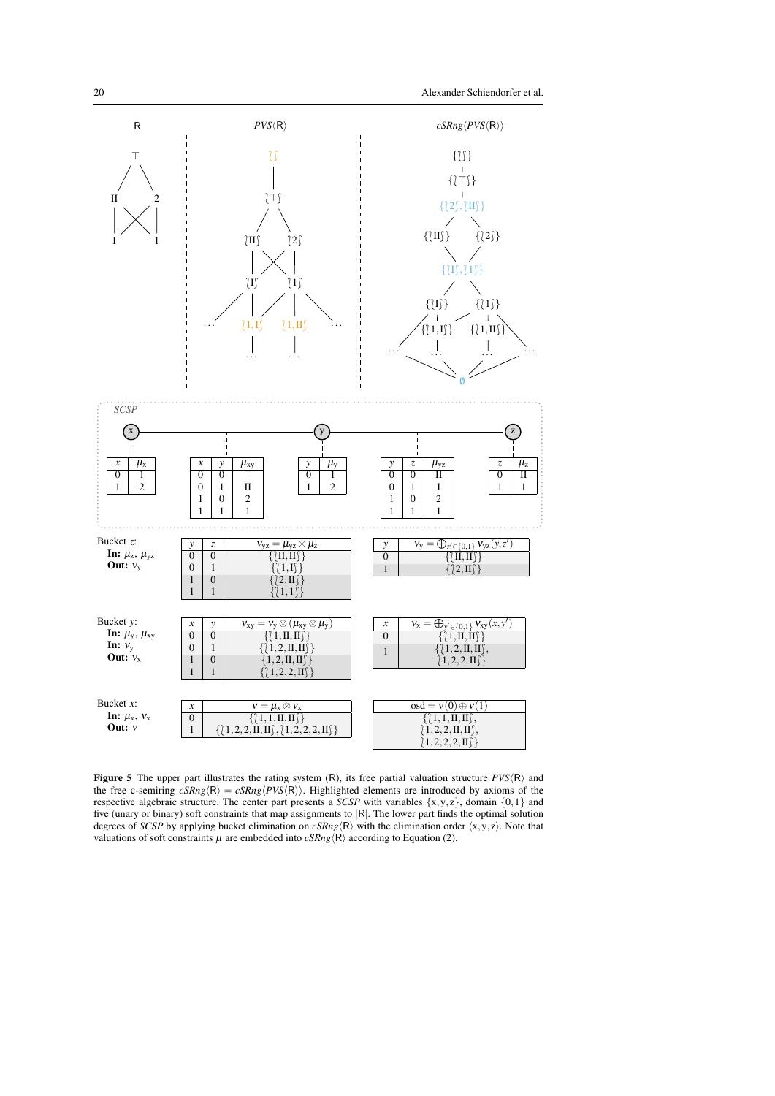

<span id="page-19-0"></span>Figure 5 The upper part illustrates the rating system  $(R)$ , its free partial valuation structure  $PVS\langle R\rangle$  and the free c-semiring  $cSRng\langle R \rangle = cSRng\langle PVS\langle R \rangle$ . Highlighted elements are introduced by axioms of the respective algebraic structure. The center part presents a *SCSP* with variables  $\{x, y, z\}$ , domain  $\{0, 1\}$  and five (unary or binary) soft constraints that map assignments to |R|. The lower part finds the optimal solution degrees of *SCSP* by applying bucket elimination on  $cSRng\langle R \rangle$  with the elimination order  $\langle x, y, z \rangle$ . Note that valuations of soft constraints  $\mu$  are embedded into  $cSRng\langle R\rangle$  according to Equation [\(2\)](#page-18-2).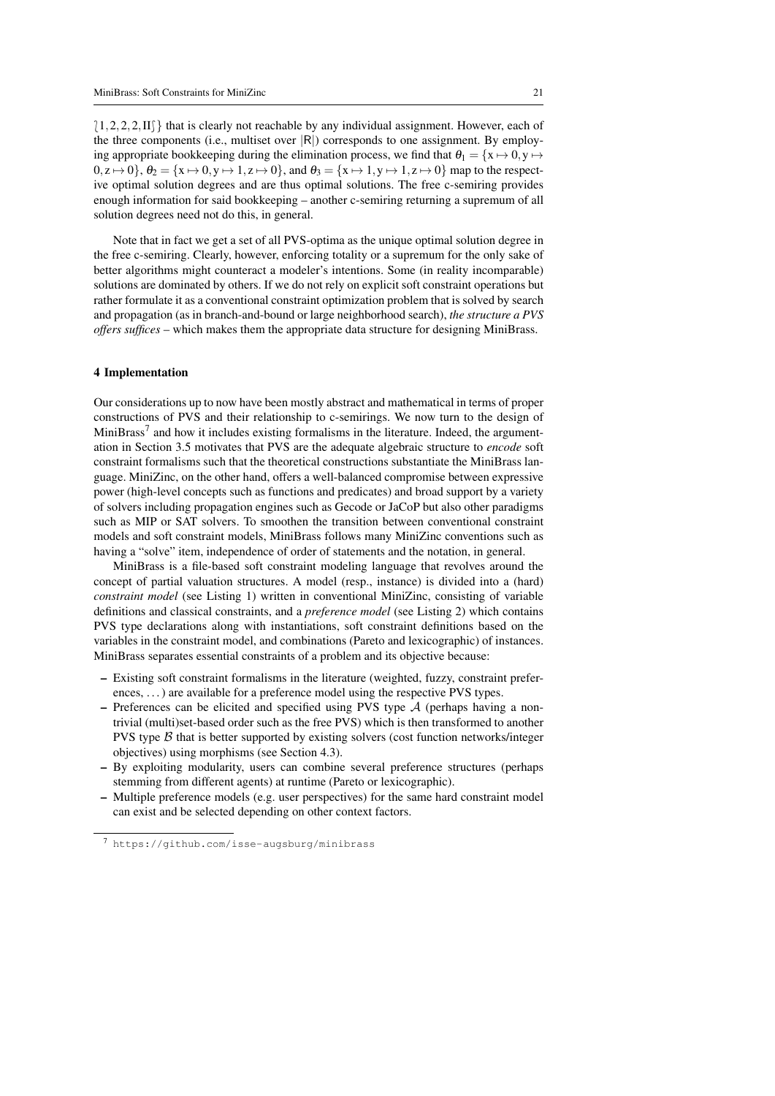${1,2,2,2,\text{II}}$  that is clearly not reachable by any individual assignment. However, each of the three components (i.e., multiset over  $|R|$ ) corresponds to one assignment. By employing appropriate bookkeeping during the elimination process, we find that  $\theta_1 = \{x \mapsto 0, y \mapsto$  $0, z \mapsto 0$ ,  $\theta_2 = \{x \mapsto 0, y \mapsto 1, z \mapsto 0\}$ , and  $\theta_3 = \{x \mapsto 1, y \mapsto 1, z \mapsto 0\}$  map to the respective optimal solution degrees and are thus optimal solutions. The free c-semiring provides enough information for said bookkeeping – another c-semiring returning a supremum of all solution degrees need not do this, in general.

Note that in fact we get a set of all PVS-optima as the unique optimal solution degree in the free c-semiring. Clearly, however, enforcing totality or a supremum for the only sake of better algorithms might counteract a modeler's intentions. Some (in reality incomparable) solutions are dominated by others. If we do not rely on explicit soft constraint operations but rather formulate it as a conventional constraint optimization problem that is solved by search and propagation (as in branch-and-bound or large neighborhood search), *the structure a PVS offers suffices* – which makes them the appropriate data structure for designing MiniBrass.

### <span id="page-20-0"></span>4 Implementation

Our considerations up to now have been mostly abstract and mathematical in terms of proper constructions of PVS and their relationship to c-semirings. We now turn to the design of MiniBrass<sup>[7](#page-20-1)</sup> and how it includes existing formalisms in the literature. Indeed, the argumentation in Section [3.5](#page-17-0) motivates that PVS are the adequate algebraic structure to *encode* soft constraint formalisms such that the theoretical constructions substantiate the MiniBrass language. MiniZinc, on the other hand, offers a well-balanced compromise between expressive power (high-level concepts such as functions and predicates) and broad support by a variety of solvers including propagation engines such as Gecode or JaCoP but also other paradigms such as MIP or SAT solvers. To smoothen the transition between conventional constraint models and soft constraint models, MiniBrass follows many MiniZinc conventions such as having a "solve" item, independence of order of statements and the notation, in general.

MiniBrass is a file-based soft constraint modeling language that revolves around the concept of partial valuation structures. A model (resp., instance) is divided into a (hard) *constraint model* (see Listing [1\)](#page-21-0) written in conventional MiniZinc, consisting of variable definitions and classical constraints, and a *preference model* (see Listing [2\)](#page-22-0) which contains PVS type declarations along with instantiations, soft constraint definitions based on the variables in the constraint model, and combinations (Pareto and lexicographic) of instances. MiniBrass separates essential constraints of a problem and its objective because:

- Existing soft constraint formalisms in the literature (weighted, fuzzy, constraint preferences, ...) are available for a preference model using the respective PVS types.
- Preferences can be elicited and specified using PVS type  $A$  (perhaps having a nontrivial (multi)set-based order such as the free PVS) which is then transformed to another PVS type  $\beta$  that is better supported by existing solvers (cost function networks/integer objectives) using morphisms (see Section [4.3\)](#page-30-0).
- By exploiting modularity, users can combine several preference structures (perhaps stemming from different agents) at runtime (Pareto or lexicographic).
- Multiple preference models (e.g. user perspectives) for the same hard constraint model can exist and be selected depending on other context factors.

<span id="page-20-1"></span><sup>7</sup> <https://github.com/isse-augsburg/minibrass>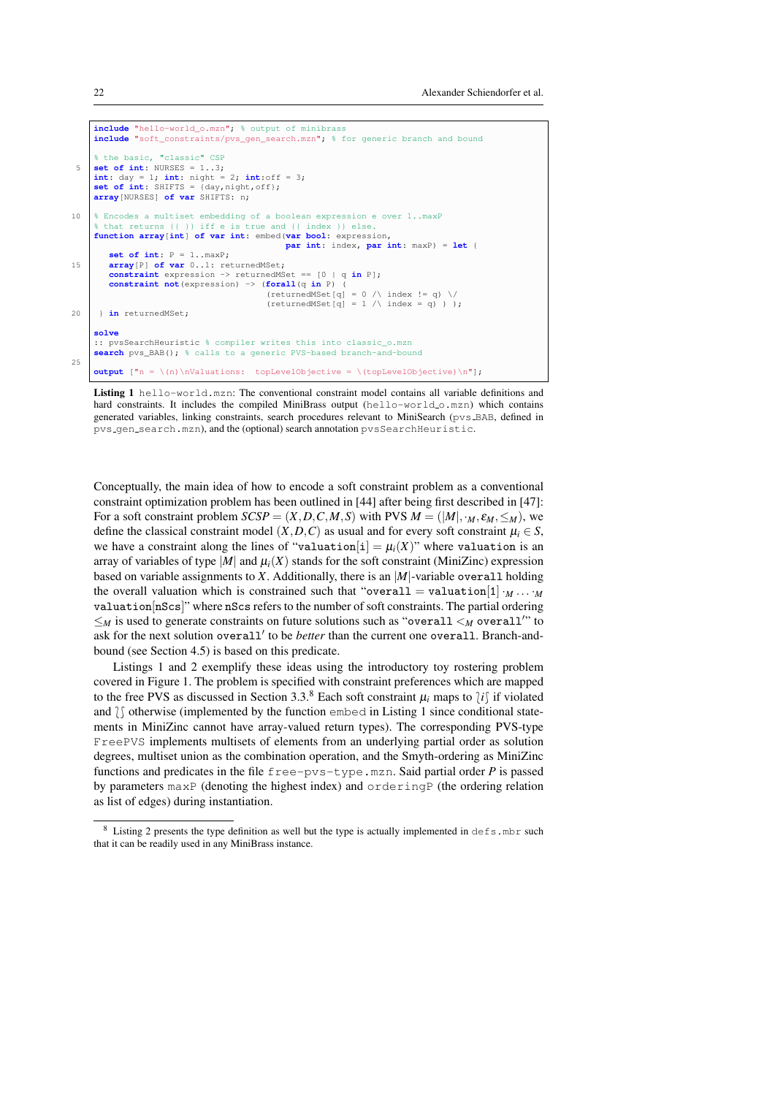```
include "hello-world o.mzn"; % output of minibrass
     include "soft_constraints/pvs_gen_search.mzn"; % for generic branch and bound
     % the basic, "classic" CSP
5 set of int: NURSES = 1..3;
     int: day = 1; int: night = 2; int:off = 3;
set of int: SHIFTS = {day,night,off};
     array[NURSES] of var SHIFTS: n;
10 % Encodes a multiset embedding of a boolean expression e over 1..maxP
       that returns \{ \} } iff e is true and \{ \} index } } else.
     function array[int] of var int: embed(var bool: expression,
                                                 par int: index, par int: maxP) = let {
          set of int: P = 1..maxP;
15 array<sup>[P]</sup> of var 0..1: returnedMSet;<br>
constraint expression -> returnedMSet == [0 | q \text{ in } P];
        constraint not(expression) -> (forall(q in P) (
                                              (\text{returnedMSet}[q] = 0 \ / \ \text{index} := q) \ \ \}(\text{returnedMSet}[q] = 1 \land \text{index} = q) );
20 in returnedMSet;
     solve
     :: pvsSearchHeuristic % compiler writes this into classic_o.mzn
     search pvs_BAB(); % calls to a generic PVS-based branch-and-bound
25
     output [\n"n = \n\\
\langle n \rangle \in \mathbb{Z} topLevelObjective = \langle (topLevelObjective) \rangle \in \mathbb{Z};
```
Listing 1 hello-world.mzn: The conventional constraint model contains all variable definitions and hard constraints. It includes the compiled MiniBrass output (hello-world.o.mzn) which contains generated variables, linking constraints, search procedures relevant to MiniSearch (pvs\_BAB, defined in pvs gen search.mzn), and the (optional) search annotation pvsSearchHeuristic.

Conceptually, the main idea of how to encode a soft constraint problem as a conventional constraint optimization problem has been outlined in [\[44\]](#page-42-4) after being first described in [\[47\]](#page-42-12): For a soft constraint problem *SCSP* =  $(X, D, C, M, S)$  with PVS  $M = (|M|, \cdot_M, \varepsilon_M, \leq_M)$ , we define the classical constraint model  $(X, D, C)$  as usual and for every soft constraint  $\mu_i \in S$ , we have a constraint along the lines of "valuation $[i] = \mu_i(X)$ " where valuation is an array of variables of type  $|M|$  and  $\mu_i(X)$  stands for the soft constraint (MiniZinc) expression based on variable assignments to *X*. Additionally, there is an |*M*|-variable overall holding the overall valuation which is constrained such that "overall = valuation[1]  $\cdot_M \cdots \cdot_M$ valuation[nScs]" where nScs refers to the number of soft constraints. The partial ordering  $\leq_M$  is used to generate constraints on future solutions such as "overall  $\leq_M$  overall" to ask for the next solution overall' to be *better* than the current one overall. Branch-andbound (see Section [4.5\)](#page-32-0) is based on this predicate.

Listings [1](#page-21-0) and [2](#page-22-0) exemplify these ideas using the introductory toy rostering problem covered in Figure [1.](#page-1-0) The problem is specified with constraint preferences which are mapped to the free PVS as discussed in Section [3.3.](#page-9-0)<sup>[8](#page-21-1)</sup> Each soft constraint  $\mu_i$  maps to  $\lambda_i$  if violated and  $\int \int$  otherwise (implemented by the function embed in Listing [1](#page-21-0) since conditional statements in MiniZinc cannot have array-valued return types). The corresponding PVS-type FreePVS implements multisets of elements from an underlying partial order as solution degrees, multiset union as the combination operation, and the Smyth-ordering as MiniZinc functions and predicates in the file free-pvs-type.mzn. Said partial order *P* is passed by parameters  $maxP$  (denoting the highest index) and  $orderingP$  (the ordering relation as list of edges) during instantiation.

<span id="page-21-1"></span><sup>8</sup> Listing [2](#page-22-0) presents the type definition as well but the type is actually implemented in defs.mbr such that it can be readily used in any MiniBrass instance.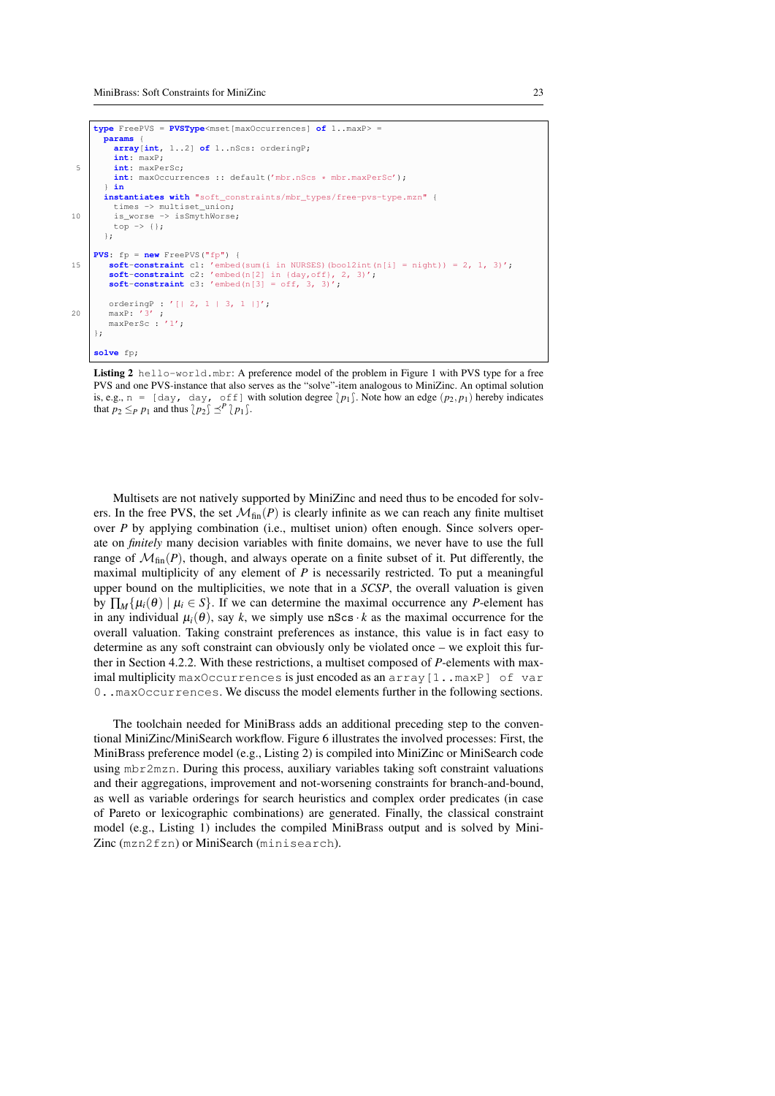```
type FreePVS = PVSType<mset[maxOccurrences] of 1..maxP> =
       params {
          array[int, 1..2] of 1..nScs: orderingP;
          int: maxP;
5 int: maxPerSc;
          int: maxOccurrences :: default('mbr.nScs * mbr.maxPerSc');
          } in
        instantiates with "soft_constraints/mbr_types/free-pvs-type.mzn" {
          times -> multiset union:
10 is_worse -> isSmythWorse;
          \overline{\text{top}} \rightarrow \{\}};
     PVS: fp = new FreePVS("fp") {
15 soft-constraint cl: 'embed(sum(i in NURSES)(bool2int(n[i] = night)) = 2, 1, 3)';<br>
soft-constraint c2: 'embed(n[2] in {day, off}, 2, 3)';<br>
soft-constraint c3: 'embed(n[3] = off, 3, 3)';
         orderingP : '[| 2, 1 | 3, 1 |]';
20 maxP: '3' ;
        maxPerSc : '1';
     };
     solve fp;
```
Listing 2 hello-world.mbr: A preference model of the problem in Figure [1](#page-1-0) with PVS type for a free PVS and one PVS-instance that also serves as the "solve"-item analogous to MiniZinc. An optimal solution is, e.g.,  $n = [\text{day}, \text{day}, \text{off}]$  with solution degree  $[p_1]$ . Note how an edge  $(p_2, p_1)$  hereby indicates that  $p_2 \leq_P p_1$  and thus  $\lfloor p_2 \rfloor \leq^P \lfloor p_1 \rfloor$ .

Multisets are not natively supported by MiniZinc and need thus to be encoded for solvers. In the free PVS, the set  $\mathcal{M}_{fin}(P)$  is clearly infinite as we can reach any finite multiset over *P* by applying combination (i.e., multiset union) often enough. Since solvers operate on *finitely* many decision variables with finite domains, we never have to use the full range of  $\mathcal{M}_{fin}(P)$ , though, and always operate on a finite subset of it. Put differently, the maximal multiplicity of any element of *P* is necessarily restricted. To put a meaningful upper bound on the multiplicities, we note that in a *SCSP*, the overall valuation is given by  $\prod_M {\mu_i(\theta) \mid \mu_i \in S}$ . If we can determine the maximal occurrence any *P*-element has in any individual  $\mu_i(\theta)$ , say k, we simply use  $nScs \cdot k$  as the maximal occurrence for the overall valuation. Taking constraint preferences as instance, this value is in fact easy to determine as any soft constraint can obviously only be violated once – we exploit this further in Section [4.2.2.](#page-27-0) With these restrictions, a multiset composed of *P*-elements with maximal multiplicity maxOccurrences is just encoded as an array[1..maxP] of var 0..maxOccurrences. We discuss the model elements further in the following sections.

The toolchain needed for MiniBrass adds an additional preceding step to the conventional MiniZinc/MiniSearch workflow. Figure [6](#page-23-0) illustrates the involved processes: First, the MiniBrass preference model (e.g., Listing [2\)](#page-22-0) is compiled into MiniZinc or MiniSearch code using mbr2mzn. During this process, auxiliary variables taking soft constraint valuations and their aggregations, improvement and not-worsening constraints for branch-and-bound, as well as variable orderings for search heuristics and complex order predicates (in case of Pareto or lexicographic combinations) are generated. Finally, the classical constraint model (e.g., Listing [1\)](#page-21-0) includes the compiled MiniBrass output and is solved by Mini-Zinc (mzn2fzn) or MiniSearch (minisearch).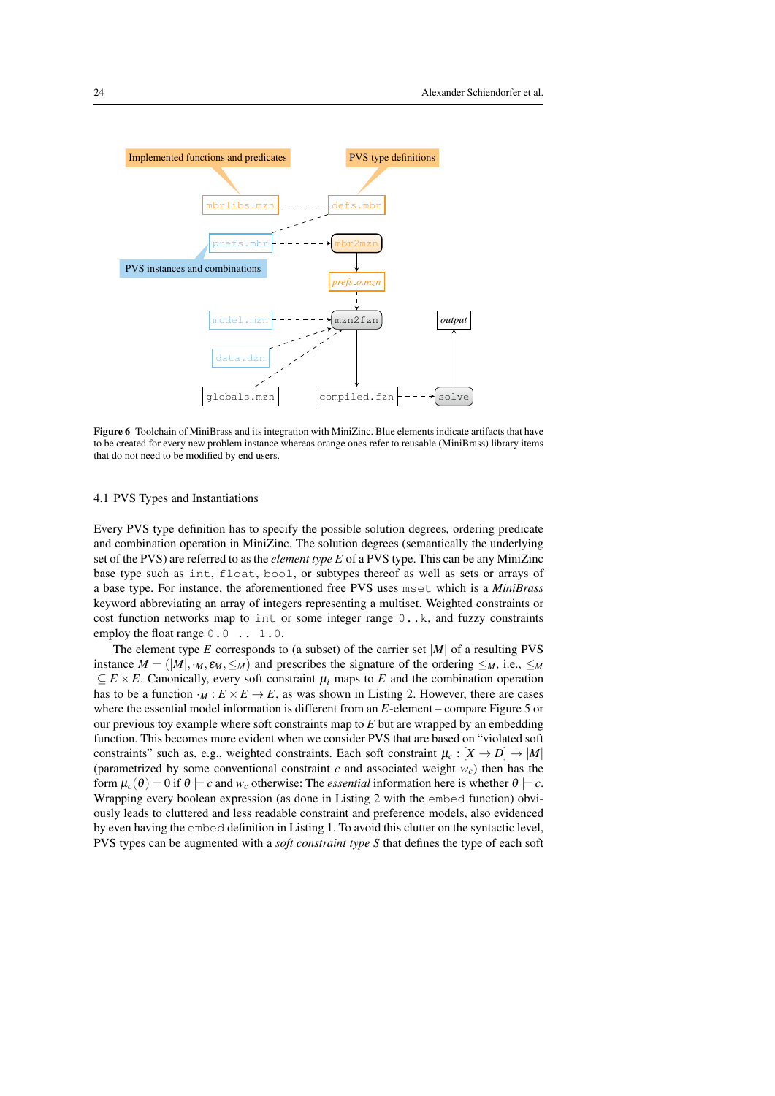

<span id="page-23-0"></span>Figure 6 Toolchain of MiniBrass and its integration with MiniZinc. Blue elements indicate artifacts that have to be created for every new problem instance whereas orange ones refer to reusable (MiniBrass) library items that do not need to be modified by end users.

#### 4.1 PVS Types and Instantiations

Every PVS type definition has to specify the possible solution degrees, ordering predicate and combination operation in MiniZinc. The solution degrees (semantically the underlying set of the PVS) are referred to as the *element type E* of a PVS type. This can be any MiniZinc base type such as int, float, bool, or subtypes thereof as well as sets or arrays of a base type. For instance, the aforementioned free PVS uses mset which is a *MiniBrass* keyword abbreviating an array of integers representing a multiset. Weighted constraints or cost function networks map to int or some integer range 0..k, and fuzzy constraints employ the float range  $0.0 \ldots 1.0$ .

The element type  $E$  corresponds to (a subset) of the carrier set  $|M|$  of a resulting PVS instance  $M = (|M|, \cdot_M, \varepsilon_M, \leq_M)$  and prescribes the signature of the ordering  $\leq_M$ , i.e.,  $\leq_M$  $\subseteq E \times E$ . Canonically, every soft constraint  $\mu_i$  maps to E and the combination operation has to be a function  $\cdot_M : E \times E \to E$ , as was shown in Listing [2.](#page-22-0) However, there are cases where the essential model information is different from an *E*-element – compare Figure [5](#page-19-0) or our previous toy example where soft constraints map to *E* but are wrapped by an embedding function. This becomes more evident when we consider PVS that are based on "violated soft constraints" such as, e.g., weighted constraints. Each soft constraint  $\mu_c : [X \to D] \to |M|$ (parametrized by some conventional constraint  $c$  and associated weight  $w_c$ ) then has the form  $\mu_c(\theta) = 0$  if  $\theta \models c$  and  $w_c$  otherwise: The *essential* information here is whether  $\theta \models c$ . Wrapping every boolean expression (as done in Listing [2](#page-22-0) with the embed function) obviously leads to cluttered and less readable constraint and preference models, also evidenced by even having the embed definition in Listing [1.](#page-21-0) To avoid this clutter on the syntactic level, PVS types can be augmented with a *soft constraint type S* that defines the type of each soft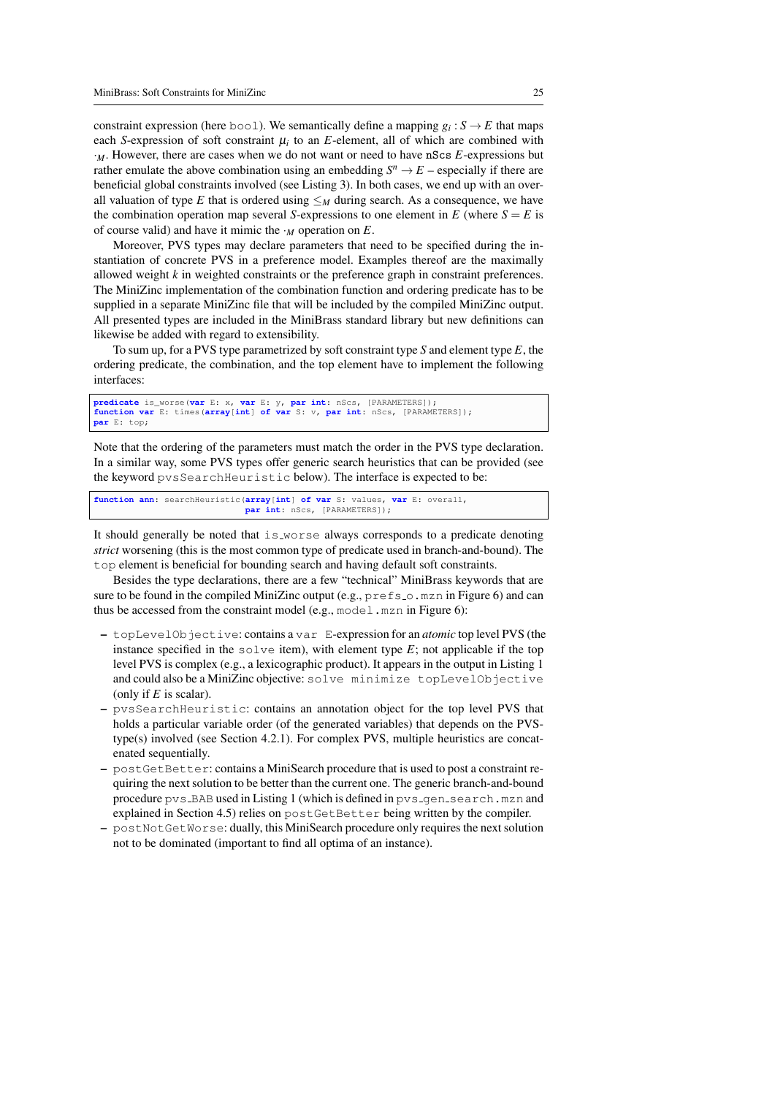constraint expression (here  $\text{bool}$ ). We semantically define a mapping  $g_i : S \to E$  that maps each *S*-expression of soft constraint  $\mu_i$  to an *E*-element, all of which are combined with ·*M*. However, there are cases when we do not want or need to have nScs *E*-expressions but rather emulate the above combination using an embedding  $S^n \to E$  – especially if there are beneficial global constraints involved (see Listing [3\)](#page-29-0). In both cases, we end up with an overall valuation of type *E* that is ordered using  $\leq_M$  during search. As a consequence, we have the combination operation map several *S*-expressions to one element in *E* (where  $S = E$  is of course valid) and have it mimic the ·*<sup>M</sup>* operation on *E*.

Moreover, PVS types may declare parameters that need to be specified during the instantiation of concrete PVS in a preference model. Examples thereof are the maximally allowed weight *k* in weighted constraints or the preference graph in constraint preferences. The MiniZinc implementation of the combination function and ordering predicate has to be supplied in a separate MiniZinc file that will be included by the compiled MiniZinc output. All presented types are included in the MiniBrass standard library but new definitions can likewise be added with regard to extensibility.

To sum up, for a PVS type parametrized by soft constraint type *S* and element type *E*, the ordering predicate, the combination, and the top element have to implement the following interfaces:

```
predicate is_worse(var E: x, var E: y, par int: nScs, [PARAMETERS]);<br>function var E: times(array[int] of var S: v, par int: nScs, [PARAMETERS]);
par E: top;
```
Note that the ordering of the parameters must match the order in the PVS type declaration. In a similar way, some PVS types offer generic search heuristics that can be provided (see the keyword pvsSearchHeuristic below). The interface is expected to be:

```
function ann: searchHeuristic(array[int] of var S: values, var E: overall,
                              par int: nScs, [PARAMETERS]);
```
It should generally be noted that is worse always corresponds to a predicate denoting *strict* worsening (this is the most common type of predicate used in branch-and-bound). The top element is beneficial for bounding search and having default soft constraints.

Besides the type declarations, there are a few "technical" MiniBrass keywords that are sure to be found in the compiled MiniZinc output (e.g.,  $prefs \circ \circ \dots \circ \circ n$  in Figure [6\)](#page-23-0) and can thus be accessed from the constraint model (e.g.,  $model$ .mzn in Figure [6\)](#page-23-0):

- topLevelObjective: contains a var E-expression for an *atomic* top level PVS (the instance specified in the  $s \circ \exists v \in \mathbb{R}$ , with element type  $E$ ; not applicable if the top level PVS is complex (e.g., a lexicographic product). It appears in the output in Listing [1](#page-21-0) and could also be a MiniZinc objective: solve minimize topLevelObjective (only if *E* is scalar).
- pvsSearchHeuristic: contains an annotation object for the top level PVS that holds a particular variable order (of the generated variables) that depends on the PVStype(s) involved (see Section [4.2.1\)](#page-25-0). For complex PVS, multiple heuristics are concatenated sequentially.
- postGetBetter: contains a MiniSearch procedure that is used to post a constraint requiring the next solution to be better than the current one. The generic branch-and-bound procedure pvs BAB used in Listing [1](#page-21-0) (which is defined in pvs gen search.mzn and explained in Section [4.5\)](#page-32-0) relies on postGetBetter being written by the compiler.
- postNotGetWorse: dually, this MiniSearch procedure only requires the next solution not to be dominated (important to find all optima of an instance).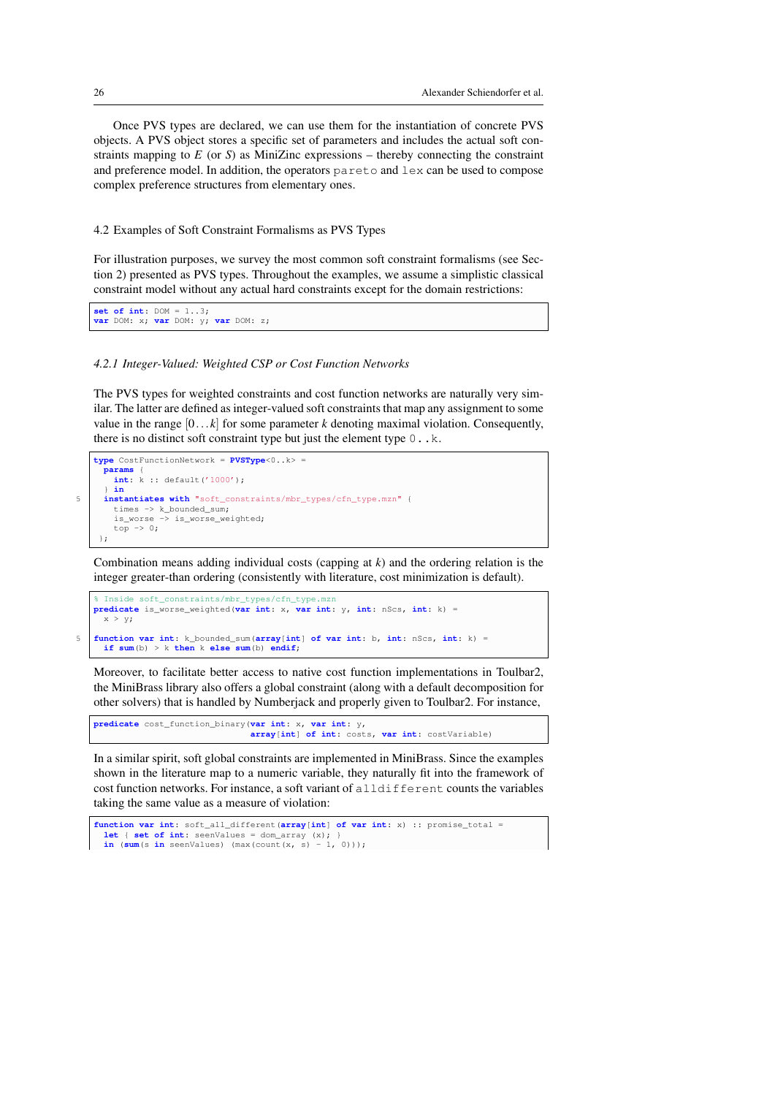Once PVS types are declared, we can use them for the instantiation of concrete PVS objects. A PVS object stores a specific set of parameters and includes the actual soft constraints mapping to  $E$  (or  $S$ ) as MiniZinc expressions – thereby connecting the constraint and preference model. In addition, the operators pareto and lex can be used to compose complex preference structures from elementary ones.

### 4.2 Examples of Soft Constraint Formalisms as PVS Types

For illustration purposes, we survey the most common soft constraint formalisms (see Section [2\)](#page-3-0) presented as PVS types. Throughout the examples, we assume a simplistic classical constraint model without any actual hard constraints except for the domain restrictions:

```
set of int: DOM = 1..3;
var DOM: x; var DOM: y; var DOM: z;
```
### <span id="page-25-0"></span>*4.2.1 Integer-Valued: Weighted CSP or Cost Function Networks*

The PVS types for weighted constraints and cost function networks are naturally very similar. The latter are defined as integer-valued soft constraints that map any assignment to some value in the range  $[0...k]$  for some parameter k denoting maximal violation. Consequently, there is no distinct soft constraint type but just the element type  $0 \dots k$ .

```
type CostFunctionNetwork = PVSType<0..k> =
     params {
       int: k :: default('1000');
     } in
5 instantiates with "soft_constraints/mbr_types/cfn_type.mzn" {
       times -> k bounded sum;
       is_worse -> is_worse_weighted;
       top -> 0;
    };
```
Combination means adding individual costs (capping at *k*) and the ordering relation is the integer greater-than ordering (consistently with literature, cost minimization is default).

```
% Inside soft_constraints/mbr_types/cfn_type.mzn
    predicate is_worse_weighted(var int: x, var int: y, int: nScs, int: k) =
     x > y;5 function var int: k_bounded_sum(array[int] of var int: b, int: nScs, int: k) =
     if sum(b) > k then k else sum(b) endif;
```
Moreover, to facilitate better access to native cost function implementations in Toulbar2, the MiniBrass library also offers a global constraint (along with a default decomposition for other solvers) that is handled by Numberjack and properly given to Toulbar2. For instance,

**predicate** cost\_function\_binary(**var int**: x, **var int**: y, **array**[**int**] **of int**: costs, **var int**: costVariable)

In a similar spirit, soft global constraints are implemented in MiniBrass. Since the examples shown in the literature map to a numeric variable, they naturally fit into the framework of cost function networks. For instance, a soft variant of alldifferent counts the variables taking the same value as a measure of violation:

```
function var int: soft_all_different(array[int] of var int: x) :: promise_total =
 let { set of int: seenValues = dom_array (x); }
 in (sum(s in seenValues) (max(count(x, s) - 1, 0)));
```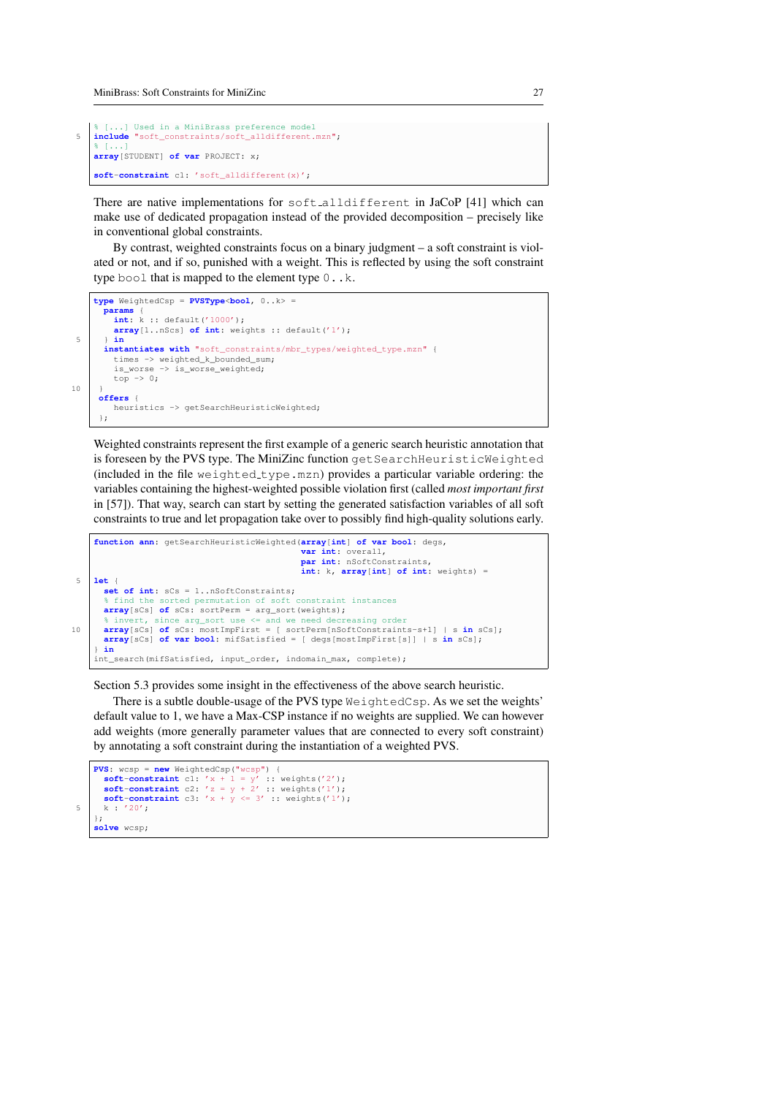10 }

```
% [...] Used in a MiniBrass preference model
5 include "soft_constraints/soft_alldifferent.mzn";
   % [...]
   array[STUDENT] of var PROJECT: x;
    soft-constraint c1: 'soft_alldifferent(x)';
```
There are native implementations for soft\_alldifferent in JaCoP [\[41\]](#page-41-23) which can make use of dedicated propagation instead of the provided decomposition – precisely like in conventional global constraints.

By contrast, weighted constraints focus on a binary judgment – a soft constraint is violated or not, and if so, punished with a weight. This is reflected by using the soft constraint type bool that is mapped to the element type  $0 \ldots k$ .

```
type WeightedCsp = PVSType<bool, 0..k> =
     params {
       int: k :: default('1000');
       array[1..nScs] of int: weights :: default('1');
5 } in
     instantiates with "soft_constraints/mbr_types/weighted_type.mzn" {
       times -> weighted k bounded sum;
       is_worse -> is_worse_weighted;
       top -> 0;
    offers {
       heuristics -> getSearchHeuristicWeighted;
    };
```
Weighted constraints represent the first example of a generic search heuristic annotation that is foreseen by the PVS type. The MiniZinc function getSearchHeuristicWeighted (included in the file weighted type.mzn) provides a particular variable ordering: the variables containing the highest-weighted possible violation first (called *most important first* in [\[57\]](#page-42-0)). That way, search can start by setting the generated satisfaction variables of all soft constraints to true and let propagation take over to possibly find high-quality solutions early.

```
function ann: getSearchHeuristicWeighted(array[int] of var bool: degs,
                                             var int: overall,
                                             par int: nSoftConstraints,
                                             int: k, array[int] of int: weights) =
5 let {
      set of int: sCs = 1..nSoftConstraints;
      % find the sorted permutation of soft constraint instances
      array[sCs] of sCs: sortPerm = arg_sort(weights);
                since arg_score use \leq and we need decreasing order10 array[sCs] of sCs: mostImpFirst = [ sortPerm[nSoftConstraints-s+1] | s in sCs];
      array[sCs] of var bool: mifSatisfied = [ degs[mostImpFirst[s]] | s in sCs];
      } in
    int_search(mifSatisfied, input_order, indomain_max, complete);
```
Section [5.3](#page-38-0) provides some insight in the effectiveness of the above search heuristic.

There is a subtle double-usage of the PVS type WeightedCsp. As we set the weights' default value to 1, we have a Max-CSP instance if no weights are supplied. We can however add weights (more generally parameter values that are connected to every soft constraint) by annotating a soft constraint during the instantiation of a weighted PVS.

```
PVS: wcsp = new WeightedCsp("wcsp") {<br>
soft-constraint c1: 'x + 1 = y' :: weights('2');<br>
soft-constraint c2: 'z = y + 2' :: weights('1');
         soft-constraint c3: 'x + y \le 3' :: weights('1');
5 \times 120';
      };
      solve wcsp;
```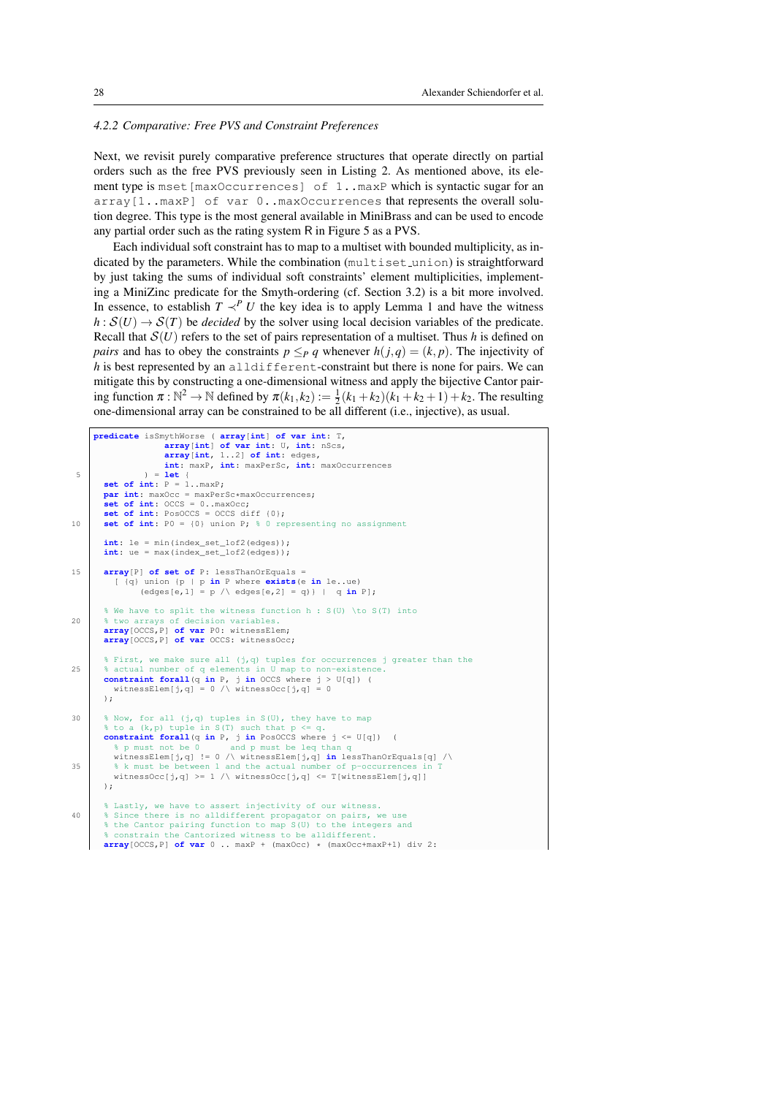# <span id="page-27-0"></span>*4.2.2 Comparative: Free PVS and Constraint Preferences*

Next, we revisit purely comparative preference structures that operate directly on partial orders such as the free PVS previously seen in Listing [2.](#page-22-0) As mentioned above, its element type is mset  $[\text{maxOccurrences}]$  of  $1 \dots \text{maxP}$  which is syntactic sugar for an array[1..maxP] of var 0..maxOccurrences that represents the overall solution degree. This type is the most general available in MiniBrass and can be used to encode any partial order such as the rating system R in Figure [5](#page-19-0) as a PVS.

Each individual soft constraint has to map to a multiset with bounded multiplicity, as indicated by the parameters. While the combination (multiset union) is straightforward by just taking the sums of individual soft constraints' element multiplicities, implementing a MiniZinc predicate for the Smyth-ordering (cf. Section [3.2\)](#page-7-1) is a bit more involved. In essence, to establish  $T \prec^P U$  the key idea is to apply Lemma [1](#page-11-0) and have the witness  $h : S(U) \rightarrow S(T)$  be *decided* by the solver using local decision variables of the predicate. Recall that  $\mathcal{S}(U)$  refers to the set of pairs representation of a multiset. Thus *h* is defined on *pairs* and has to obey the constraints  $p \leq_{P} q$  whenever  $h(j,q) = (k, p)$ . The injectivity of *h* is best represented by an alldifferent-constraint but there is none for pairs. We can mitigate this by constructing a one-dimensional witness and apply the bijective Cantor pairing function  $\pi : \mathbb{N}^2 \to \mathbb{N}$  defined by  $\pi(k_1, k_2) := \frac{1}{2}(k_1 + k_2)(k_1 + k_2 + 1) + k_2$ . The resulting one-dimensional array can be constrained to be all different (i.e., injective), as usual.

```
predicate isSmythWorse ( array[int] of var int: T,
                      array[int] of var int: U, int: nScs,
                      array[int, 1..2] of int: edges,
                      int: maxP, int: maxPerSc, int: maxOccurrences
 5 ) = let {
       set of int: P = 1..maxP;
       par int: maxOcc = maxPerSc*maxOccurrences;
       set of int: OCCS = 0..maxOcc;
set of int: PosOCCS = OCCS diff {0};<br>
10 set of int: P0 = {0} union P; % 0 representing no assignment
       int: le = min(index_set_1of2(edges));
       int: ue = max(index_set_1of2(edges));
15 array[P] of set of P: lessThanOrEquals =<br>
[ {q} union {p | p in P where exists(e in le..ue)<br>
(edges[e,1] = p /\ edges[e,2] = q}} | q in P];
        % We have to split the witness function h : S(U) \to S(T) into
20 % two arrays of decision variable
        array[OCCS,P] of var P0: witnessElem;
array[OCCS,P] of var OCCS: witnessOcc;
        % First, we make sure all (j,q) tuples for occurrences j greater than the
25 & actual number of q elements in U map to non-existence
        constraint forall(q in P, j in OCCS where j > U[q]) (<br>witnessElem[j,q] = 0 /\ witnessOcc[j,q] = 0<br>);
30 \frac{1}{2} Now, for all (j,q) tuples in S(U), they have to map
        \ast to a (k, p) tuple in S(T) such that p \leq q.
       constraint forall(q in P, \dot{\mathbf{i}} in PosOCCS where \dot{\mathbf{i}} <= U[q]) (
          % p must not be 0 and p must be leq than q
witnessElem[j,q] != 0 /\ witnessElem[j,q] in lessThanOrEquals[q] /\
35 % k must be between 1 and the actual number of p-occurrences in
          witnessOcc[j,q] >= 1 /\ witnessOcc[j,q] <= T[witnessElem[j,q]]
        );
       % Lastly, we have to assert injectivity of our witness.
40 % Since there is no alldifferent propagator on pairs, we use
          the Cantor pairing function to map S(U) to the integers and
         constrain the Cantorized witness to be alldifferent.
       array[OCCS,P] of var 0 .. maxP + (maxOcc) * (maxOcc+maxP+1) div 2:
```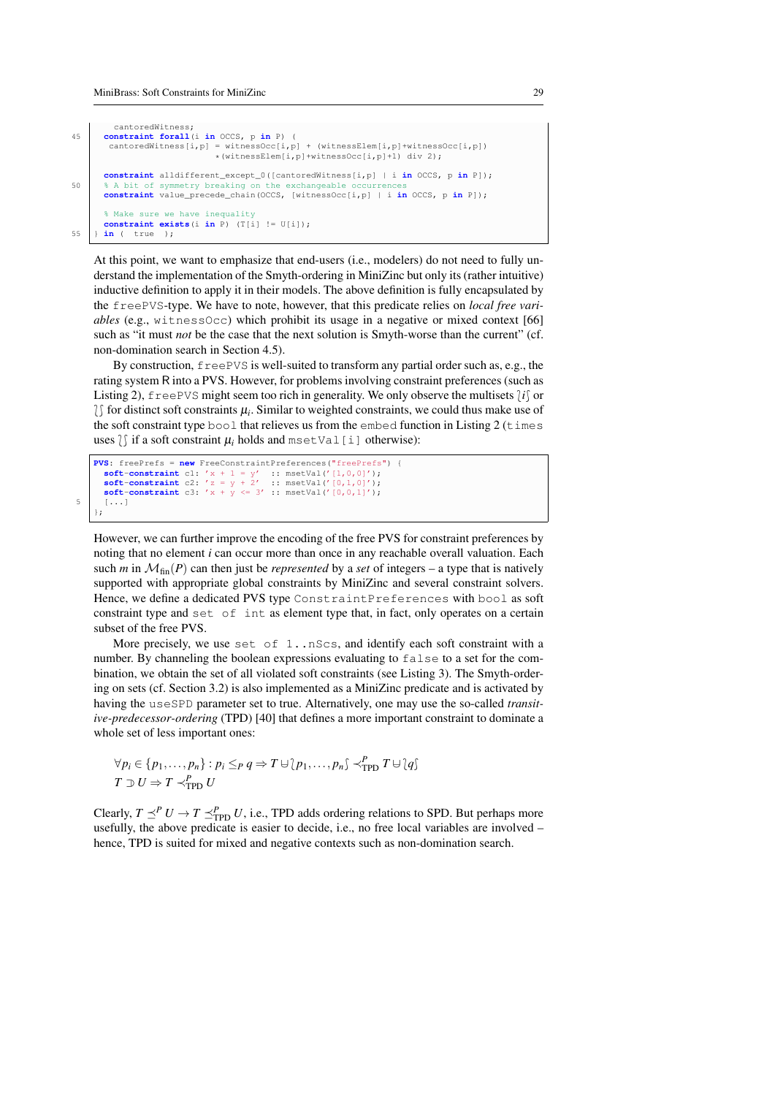```
cantoredWitness;
45 constraint forall(i in OCCS, p in P) (
       cantoredWitness[i,p] = witnessOcc[i,p] + (witnessElem[i,p]+witnessOcc[i,p])
                            *(witnessElem[i,p]+witnessOcc[i,p]+1) div 2);
      constraint alldifferent_except_0([cantoredWitness[i,p] | i in OCCS, p in P]);
50 % A bit of symmetry breaking on the exchangeable
      constraint value_precede_chain(OCCS, [witnessOcc[i,p] | i in OCCS, p in P]);
      % Make sure we have inequality
      constraint exists(i in P) (T[i] != U[i]);
55 } in ( true );
```
At this point, we want to emphasize that end-users (i.e., modelers) do not need to fully understand the implementation of the Smyth-ordering in MiniZinc but only its (rather intuitive) inductive definition to apply it in their models. The above definition is fully encapsulated by the freePVS-type. We have to note, however, that this predicate relies on *local free variables* (e.g., witnessOcc) which prohibit its usage in a negative or mixed context [\[66\]](#page-42-7) such as "it must *not* be the case that the next solution is Smyth-worse than the current" (cf. non-domination search in Section [4.5\)](#page-32-0).

By construction,  $f \text{reePVS}$  is well-suited to transform any partial order such as, e.g., the rating system R into a PVS. However, for problems involving constraint preferences (such as Listing [2\)](#page-22-0), freePVS might seem too rich in generality. We only observe the multisets  $i$  f or  $\iint$  for distinct soft constraints  $\mu_i$ . Similar to weighted constraints, we could thus make use of the soft constraint turn he so littlet relieves us from the sorbed function in Listing 2 (t image the soft constraint type bool that relieves us from the embed function in Listing  $2$  (times uses  $\int \int$  if a soft constraint  $\mu_i$  holds and msetVal [i] otherwise):

```
PVS: freePrefs = new FreeConstraintPreferences("freePrefs") {
       soft-constraint c1: 'x + 1 = y' :: msetVal('[1,0,0]');<br>soft-constraint c2: 'z = y + 2' :: msetVal('[0,1,0]');
       soft-constraint c3: 'x + y <= 3' :: msetVal('[0,0,1]');
5 [...]
    };
```
However, we can further improve the encoding of the free PVS for constraint preferences by noting that no element *i* can occur more than once in any reachable overall valuation. Each such *m* in  $\mathcal{M}_{fin}(P)$  can then just be *represented* by a *set* of integers – a type that is natively supported with appropriate global constraints by MiniZinc and several constraint solvers. Hence, we define a dedicated PVS type ConstraintPreferences with bool as soft constraint type and set of int as element type that, in fact, only operates on a certain subset of the free PVS.

More precisely, we use set of 1..nScs, and identify each soft constraint with a number. By channeling the boolean expressions evaluating to false to a set for the combination, we obtain the set of all violated soft constraints (see Listing [3\)](#page-29-0). The Smyth-ordering on sets (cf. Section [3.2\)](#page-7-1) is also implemented as a MiniZinc predicate and is activated by having the useSPD parameter set to true. Alternatively, one may use the so-called *transitive-predecessor-ordering* (TPD) [\[40\]](#page-41-10) that defines a more important constraint to dominate a whole set of less important ones:

$$
\forall p_i \in \{p_1, \dots, p_n\} : p_i \leq_P q \Rightarrow T \cup \{p_1, \dots, p_n\} \prec_{\text{TPD}}^P T \cup \{q\}
$$
  

$$
T \supset U \Rightarrow T \prec_{\text{TPD}}^P U
$$

Clearly,  $T \preceq^P U \to T \preceq^P_{\text{TPD}} U$ , i.e., TPD adds ordering relations to SPD. But perhaps more usefully, the above predicate is easier to decide, i.e., no free local variables are involved – hence, TPD is suited for mixed and negative contexts such as non-domination search.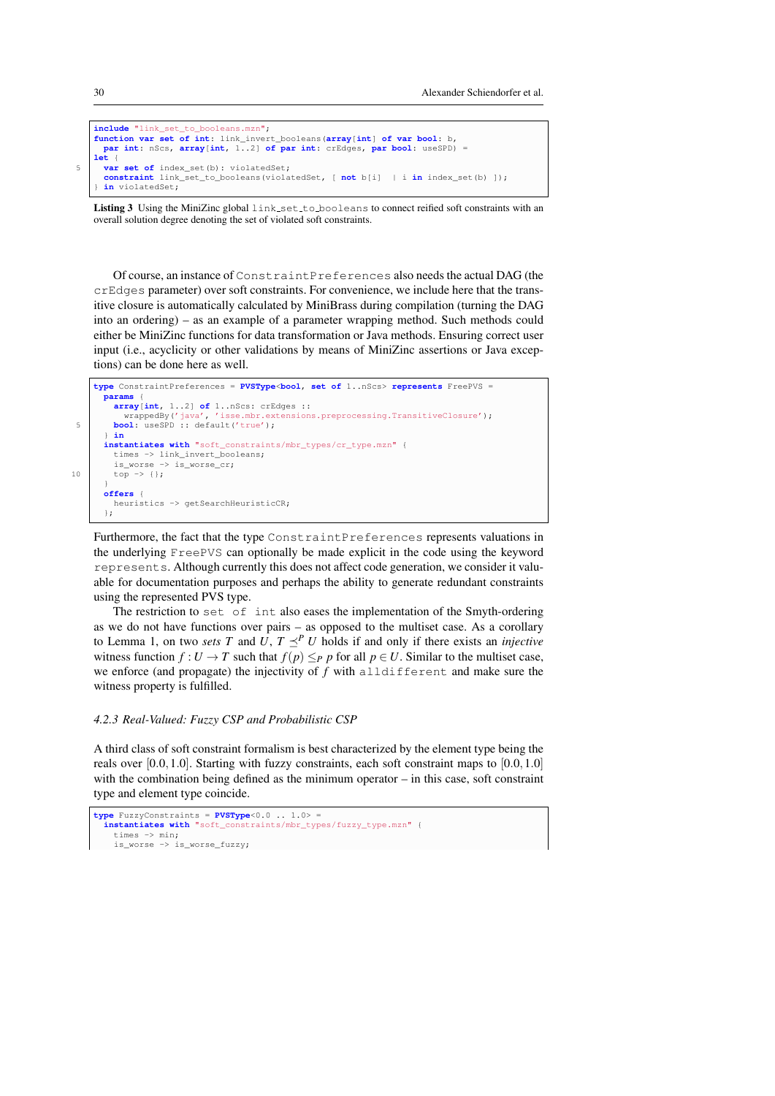```
include "link_set_to_booleans.mzn";
   function var set of int: link_invert_booleans(array[int] of var bool: b,
     par int: nScs, array[int, 1..2] of par int: crEdges, par bool: useSPD) =
   let {
5 var set of index_set(b): violatedSet;
     constraint link_set_to_booleans(violatedSet, [ not b[i] | i in index_set(b) ]);
   } in violatedSet;
```
Listing 3 Using the MiniZinc global link set to booleans to connect reified soft constraints with an overall solution degree denoting the set of violated soft constraints.

Of course, an instance of ConstraintPreferences also needs the actual DAG (the crEdges parameter) over soft constraints. For convenience, we include here that the transitive closure is automatically calculated by MiniBrass during compilation (turning the DAG into an ordering) – as an example of a parameter wrapping method. Such methods could either be MiniZinc functions for data transformation or Java methods. Ensuring correct user input (i.e., acyclicity or other validations by means of MiniZinc assertions or Java exceptions) can be done here as well.

```
type ConstraintPreferences = PVSType<bool, set of 1..nScs> represents FreePVS =
      params {
        array[int, 1..2] of 1..nScs: crEdges ::
           wrappedBy('java', 'isse.mbr.extensions.preprocessing.TransitiveClosure');
5 bool: useSPD :: default('true');
        } in
      instantiates with "soft_constraints/mbr_types/cr_type.mzn" {
        times -> link_invert_booleans;
is_worse -> is_worse_cr;
10 top -> {};
      }
offers {
        heuristics -> getSearchHeuristicCR;
      };
```
Furthermore, the fact that the type ConstraintPreferences represents valuations in the underlying FreePVS can optionally be made explicit in the code using the keyword represents. Although currently this does not affect code generation, we consider it valuable for documentation purposes and perhaps the ability to generate redundant constraints using the represented PVS type.

The restriction to set of int also eases the implementation of the Smyth-ordering as we do not have functions over pairs – as opposed to the multiset case. As a corollary to Lemma [1,](#page-11-0) on two *sets* T and  $\overline{U}$ ,  $T \preceq^P U$  holds if and only if there exists an *injective* witness function  $f: U \to T$  such that  $f(p) \leq_P p$  for all  $p \in U$ . Similar to the multiset case, we enforce (and propagate) the injectivity of *f* with alldifferent and make sure the witness property is fulfilled.

# *4.2.3 Real-Valued: Fuzzy CSP and Probabilistic CSP*

A third class of soft constraint formalism is best characterized by the element type being the reals over  $[0.0, 1.0]$ . Starting with fuzzy constraints, each soft constraint maps to  $[0.0, 1.0]$ with the combination being defined as the minimum operator – in this case, soft constraint type and element type coincide.

```
type FuzzyConstraints = PVSType<0.0 .. 1.0> =
  instantiates with "soft_constraints/mbr_types/fuzzy_type.mzn" {
   times -> min;
   is_worse -> is_worse_fuzzy;
```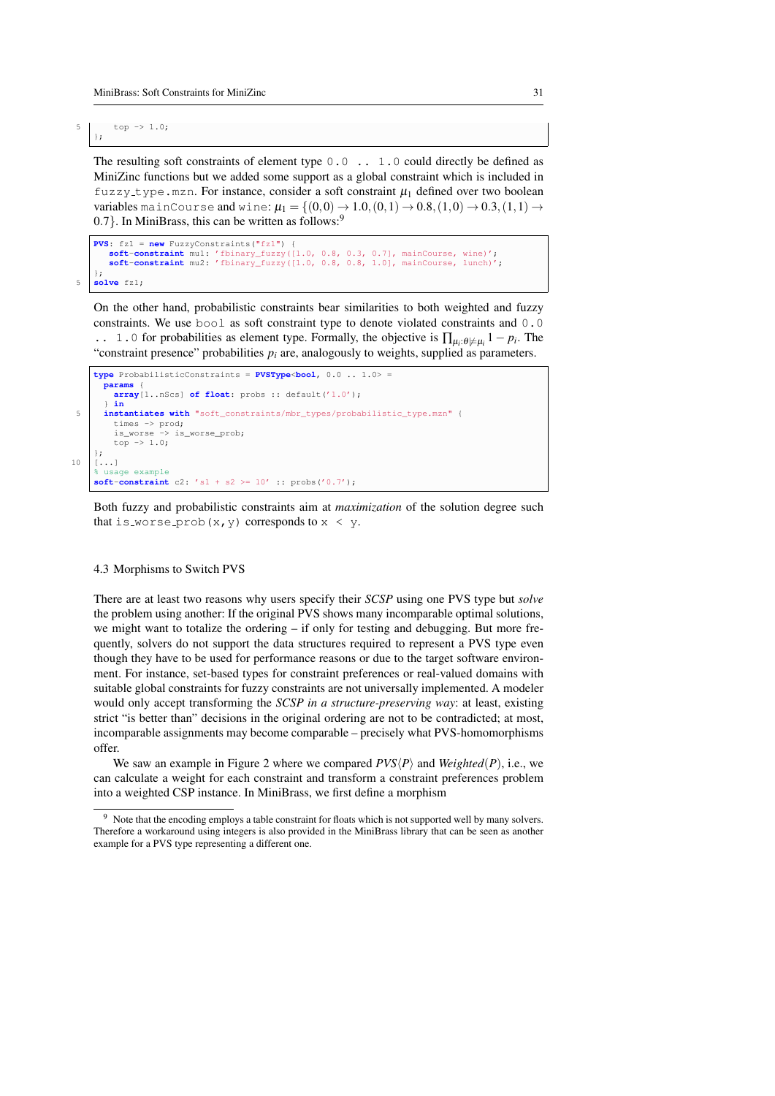MiniBrass: Soft Constraints for MiniZinc 31

5 top -> 1.0; };

> The resulting soft constraints of element type  $0.0$  ... 1.0 could directly be defined as MiniZinc functions but we added some support as a global constraint which is included in fuzzy type.mzn. For instance, consider a soft constraint  $\mu_1$  defined over two boolean variables mainCourse and wine:  $\mu_1 = \{(0,0) \to 1.0, (0,1) \to 0.8, (1,0) \to 0.3, (1,1) \to$  $0.7$ . In MiniBrass, this can be written as follows:<sup>[9](#page-30-1)</sup>

```
PVS: fz1 = new FuzzyConstraints("fz1") {
       soft-constraint mu1: 'fbinary_fuzzy([1.0, 0.8, 0.3, 0.7], mainCourse, wine)';
       soft-constraint mu2: 'fbinary_fuzzy([1.0, 0.8, 0.8, 1.0], mainCourse, lunch)';
    \mathfrak{t};
5 solve fz1;
```
On the other hand, probabilistic constraints bear similarities to both weighted and fuzzy constraints. We use bool as soft constraint type to denote violated constraints and 0.0 .. 1.0 for probabilities as element type. Formally, the objective is  $\prod_{\mu_i:\theta \neq \mu_i} 1 - p_i$ . The "constraint presence" probabilities  $p_i$  are, analogously to weights, supplied as parameters.

```
type ProbabilisticConstraints = PVSType<bool, 0.0 .. 1.0> =
      params {
        array[1..nScs] of float: probs :: default('1.0');
        } in
5 instantiates with "soft constraints/mbr_types/probabilistic_type.mzn" {
        times -> prod;
        is_worse -> is_worse_prob;
        top \rightarrow 1.0;
    };
10 [...]
      usage example
     soft-constraint c2: 's1 + s2 >= 10' :: probs('0.7');
```
Both fuzzy and probabilistic constraints aim at *maximization* of the solution degree such that is worse prob(x,y) corresponds to  $x < y$ .

#### <span id="page-30-0"></span>4.3 Morphisms to Switch PVS

There are at least two reasons why users specify their *SCSP* using one PVS type but *solve* the problem using another: If the original PVS shows many incomparable optimal solutions, we might want to totalize the ordering – if only for testing and debugging. But more frequently, solvers do not support the data structures required to represent a PVS type even though they have to be used for performance reasons or due to the target software environment. For instance, set-based types for constraint preferences or real-valued domains with suitable global constraints for fuzzy constraints are not universally implemented. A modeler would only accept transforming the *SCSP in a structure-preserving way*: at least, existing strict "is better than" decisions in the original ordering are not to be contradicted; at most, incomparable assignments may become comparable – precisely what PVS-homomorphisms offer.

We saw an example in Figure [2](#page-8-0) where we compared  $PVS\langle P \rangle$  and *Weighted*(*P*), i.e., we can calculate a weight for each constraint and transform a constraint preferences problem into a weighted CSP instance. In MiniBrass, we first define a morphism

<span id="page-30-1"></span><sup>&</sup>lt;sup>9</sup> Note that the encoding employs a table constraint for floats which is not supported well by many solvers. Therefore a workaround using integers is also provided in the MiniBrass library that can be seen as another example for a PVS type representing a different one.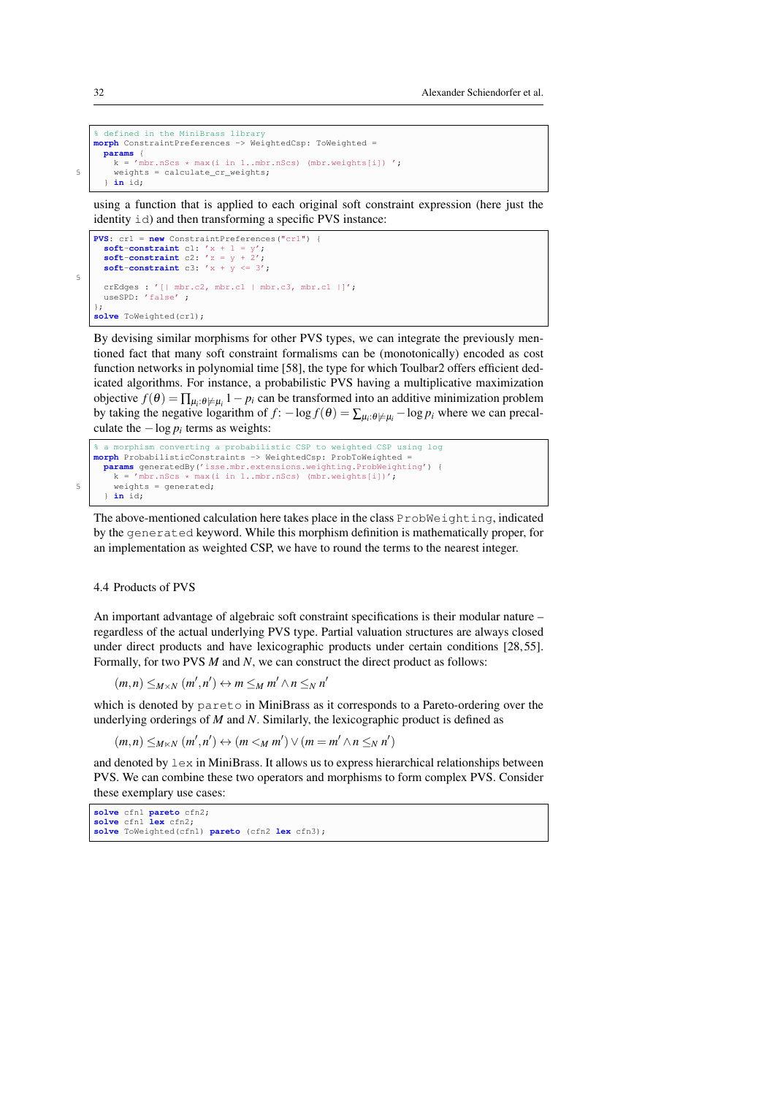```
% defined in the MiniBrass librar
    morph ConstraintPreferences -> WeightedCsp: ToWeighted =
      params {
k = 'mbr.nScs * max(i in 1..mbr.nScs) (mbr.weights[i]) ';
5 \mid weights = calculate_cr_weights;
     } in id;
```
using a function that is applied to each original soft constraint expression (here just the identity id) and then transforming a specific PVS instance:

```
PVS: cr1 = new ConstraintPreferences("cr1") {
   soft-constraint c1: 'x + 1 = y';
soft-constraint c2: 'z = y + 2';
  soft-constraint c3: 'x + y \le 3';
   crEdges : '[| mbr.c2, mbr.c1 | mbr.c3, mbr.c1 |]';
useSPD: 'false' ;
};
solve ToWeighted(cr1);
```
By devising similar morphisms for other PVS types, we can integrate the previously mentioned fact that many soft constraint formalisms can be (monotonically) encoded as cost function networks in polynomial time [\[58\]](#page-42-5), the type for which Toulbar2 offers efficient dedicated algorithms. For instance, a probabilistic PVS having a multiplicative maximization objective  $f(\theta) = \prod_{\mu_i : \theta \neq \mu_i} 1 - p_i$  can be transformed into an additive minimization problem by taking the negative logarithm of  $f$ :  $-\log f(\theta) = \sum_{\mu_i: \theta \neq \mu_i} -\log p_i$  where we can precalculate the  $-\log p_i$  terms as weights:

```
% a morphism converting a probabilistic CSP to weighted CSP using log
    morph ProbabilisticConstraints -> WeightedCsp: ProbToWeighted =
     params generatedBy('isse.mbr.extensions.weighting.ProbWeighting') {
       k = 'mbr.nScs * max(i in 1..mbr.nScs) (mbr.weights[i])';;5 \mid weights = generated;
     } in id;
```
The above-mentioned calculation here takes place in the class ProbWeighting, indicated by the generated keyword. While this morphism definition is mathematically proper, for an implementation as weighted CSP, we have to round the terms to the nearest integer.

#### 4.4 Products of PVS

An important advantage of algebraic soft constraint specifications is their modular nature – regardless of the actual underlying PVS type. Partial valuation structures are always closed under direct products and have lexicographic products under certain conditions [\[28,](#page-41-2)55]. Formally, for two PVS *M* and *N*, we can construct the direct product as follows:

 $(m,n) \leq_{M \times N} (m',n') \leftrightarrow m \leq_M m' \land n \leq_N n'$ 

which is denoted by pareto in MiniBrass as it corresponds to a Pareto-ordering over the underlying orderings of *M* and *N*. Similarly, the lexicographic product is defined as

$$
(m,n) \leq_{M \ltimes N} (m',n') \leftrightarrow (m \lt_M m') \vee (m=m' \wedge n \leq_N n')
$$

and denoted by  $l_{ex}$  in MiniBrass. It allows us to express hierarchical relationships between PVS. We can combine these two operators and morphisms to form complex PVS. Consider these exemplary use cases:

```
solve cfn1 pareto cfn2;
solve cfn1 lex cfn2;
solve ToWeighted(cfn1) pareto (cfn2 lex cfn3);
```
5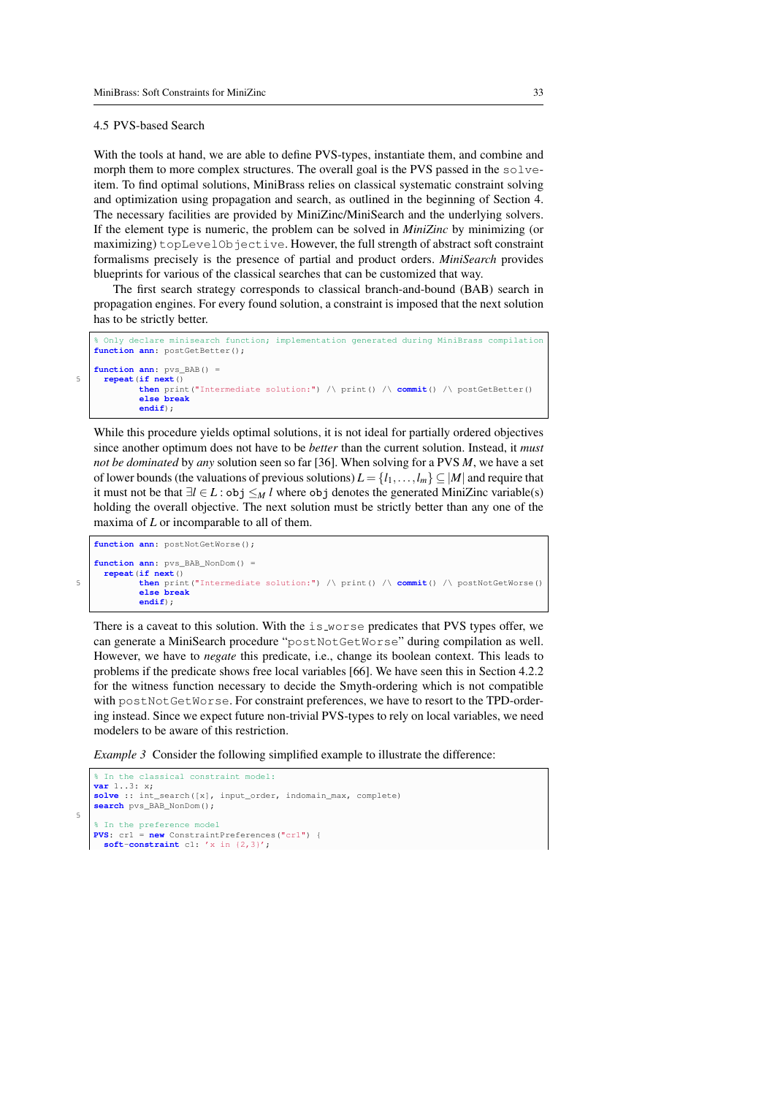### <span id="page-32-0"></span>4.5 PVS-based Search

With the tools at hand, we are able to define PVS-types, instantiate them, and combine and morph them to more complex structures. The overall goal is the PVS passed in the solveitem. To find optimal solutions, MiniBrass relies on classical systematic constraint solving and optimization using propagation and search, as outlined in the beginning of Section [4.](#page-20-0) The necessary facilities are provided by MiniZinc/MiniSearch and the underlying solvers. If the element type is numeric, the problem can be solved in *MiniZinc* by minimizing (or maximizing) topLevelObjective. However, the full strength of abstract soft constraint formalisms precisely is the presence of partial and product orders. *MiniSearch* provides blueprints for various of the classical searches that can be customized that way.

The first search strategy corresponds to classical branch-and-bound (BAB) search in propagation engines. For every found solution, a constraint is imposed that the next solution has to be strictly better.

```
% Only declare minisearch function; implementation generated during MiniBrass compilation
   function ann: postGetBetter();
   function ann: pvs_BAB() =
5 repeat(if next()
            then print("Intermediate solution:") /\ print() /\ commit() /\ postGetBetter()
            else break
            endif);
```
While this procedure yields optimal solutions, it is not ideal for partially ordered objectives since another optimum does not have to be *better* than the current solution. Instead, it *must not be dominated* by *any* solution seen so far [\[36\]](#page-41-21). When solving for a PVS *M*, we have a set of lower bounds (the valuations of previous solutions)  $L = \{l_1, \ldots, l_m\} \subset |M|$  and require that it must not be that  $∃l ∈ L : obj ≤ M$ *l* where obj denotes the generated MiniZinc variable(s) holding the overall objective. The next solution must be strictly better than any one of the maxima of *L* or incomparable to all of them.

```
function ann: postNotGetWorse();
   function ann: pvs BAB NonDom() =
     repeat(if next()
5 then print ("Intermediate solution:") /\ print () /\ commit () /\ postNotGetWorse()
            else break
            endif);
```
There is a caveat to this solution. With the is\_worse predicates that PVS types offer, we can generate a MiniSearch procedure "postNotGetWorse" during compilation as well. However, we have to *negate* this predicate, i.e., change its boolean context. This leads to problems if the predicate shows free local variables [\[66\]](#page-42-7). We have seen this in Section [4.2.2](#page-27-0) for the witness function necessary to decide the Smyth-ordering which is not compatible with postNotGetWorse. For constraint preferences, we have to resort to the TPD-ordering instead. Since we expect future non-trivial PVS-types to rely on local variables, we need modelers to be aware of this restriction.

*Example 3* Consider the following simplified example to illustrate the difference:

```
% In the classical constraint model:
var 1..3: x;
solve :: int_search([x], input_order, indomain_max, complete)
search pvs_BAB_NonDom();
 In the preference model
PVS: cr1 = new ConstraintPreferences("cr1") {
 soft-constraint c1: 'x in {2,3}';
```
5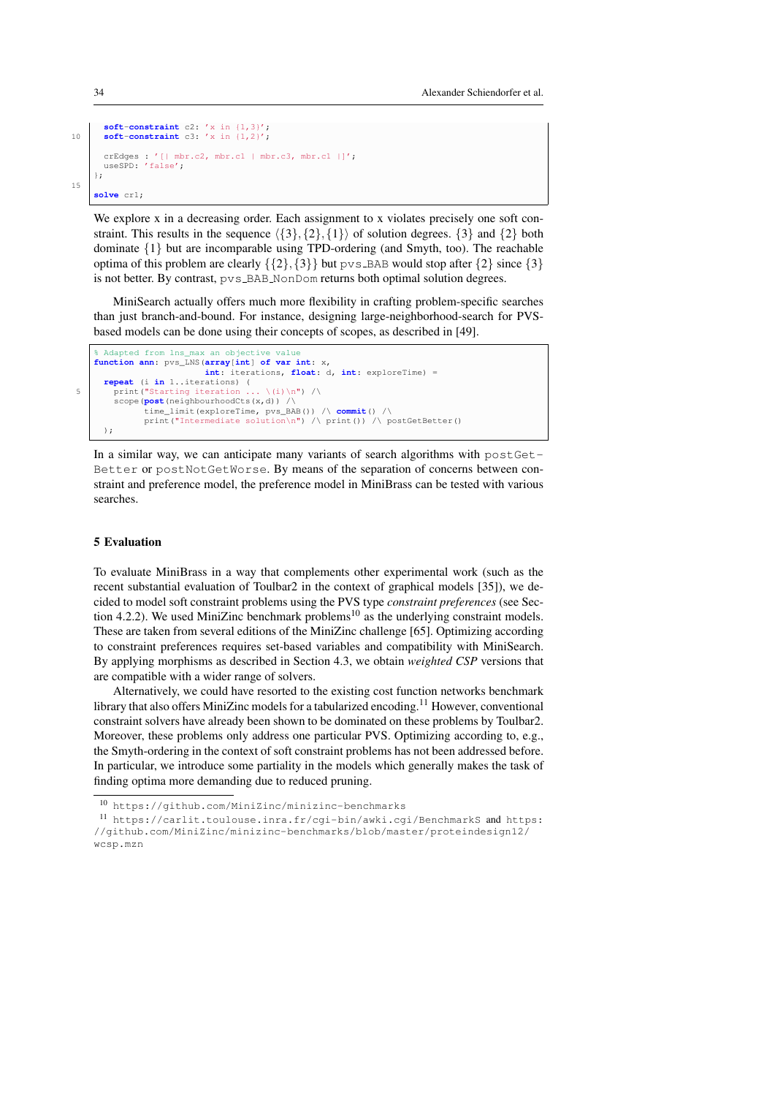```
soft-constraint c2: 'x in {1,3}';
10 soft-constraint c3: 'x in {1,2}';
         crEdges : '[| mbr.c2, mbr.c1 | mbr.c3, mbr.c1 |]';
useSPD: 'false';
      };
      solve cr1;
```
We explore x in a decreasing order. Each assignment to x violates precisely one soft constraint. This results in the sequence  $\langle \{3\},\{2\},\{1\} \rangle$  of solution degrees.  $\{3\}$  and  $\{2\}$  both dominate {1} but are incomparable using TPD-ordering (and Smyth, too). The reachable optima of this problem are clearly  $\{\{2\},\{3\}\}\$  but pvs BAB would stop after  $\{2\}$  since  $\{3\}$ is not better. By contrast,  $pvs$ -BAB-NonDom returns both optimal solution degrees.

MiniSearch actually offers much more flexibility in crafting problem-specific searches than just branch-and-bound. For instance, designing large-neighborhood-search for PVSbased models can be done using their concepts of scopes, as described in [\[49\]](#page-42-8).

```
% Adapted from lns_max an objective value
   function ann: pvs_LNS(array[int] of var int: x,
                         int: iterations, float: d, int: exploreTime) =
     repeat (i in 1..iterations) (
5 print ("Starting iteration ... \(i)\n") /\
       scope(post(neighbourhoodCts(x,d)) /
             time_limit(exploreTime, pvs_BAB()) /\ commit() /\
             print("Intermediate solution\n") /\ print()) /\ postGetBetter()
     );
```
In a similar way, we can anticipate many variants of search algorithms with postGet-Better or postNotGetWorse. By means of the separation of concerns between constraint and preference model, the preference model in MiniBrass can be tested with various searches.

### <span id="page-33-0"></span>5 Evaluation

To evaluate MiniBrass in a way that complements other experimental work (such as the recent substantial evaluation of Toulbar2 in the context of graphical models [\[35\]](#page-41-8)), we decided to model soft constraint problems using the PVS type *constraint preferences* (see Sec-tion [4.2.2\)](#page-27-0). We used MiniZinc benchmark problems<sup>[10](#page-33-1)</sup> as the underlying constraint models. These are taken from several editions of the MiniZinc challenge [\[65\]](#page-42-10). Optimizing according to constraint preferences requires set-based variables and compatibility with MiniSearch. By applying morphisms as described in Section [4.3,](#page-30-0) we obtain *weighted CSP* versions that are compatible with a wider range of solvers.

Alternatively, we could have resorted to the existing cost function networks benchmark library that also offers MiniZinc models for a tabularized encoding.<sup>[11](#page-33-2)</sup> However, conventional constraint solvers have already been shown to be dominated on these problems by Toulbar2. Moreover, these problems only address one particular PVS. Optimizing according to, e.g., the Smyth-ordering in the context of soft constraint problems has not been addressed before. In particular, we introduce some partiality in the models which generally makes the task of finding optima more demanding due to reduced pruning.

15

<span id="page-33-2"></span><span id="page-33-1"></span><sup>10</sup> <https://github.com/MiniZinc/minizinc-benchmarks>

<sup>11</sup> <https://carlit.toulouse.inra.fr/cgi-bin/awki.cgi/BenchmarkS> and [https:](https://github.com/MiniZinc/minizinc-benchmarks/blob/master/proteindesign12/wcsp.mzn) [//github.com/MiniZinc/minizinc-benchmarks/blob/master/proteindesign12/](https://github.com/MiniZinc/minizinc-benchmarks/blob/master/proteindesign12/wcsp.mzn) [wcsp.mzn](https://github.com/MiniZinc/minizinc-benchmarks/blob/master/proteindesign12/wcsp.mzn)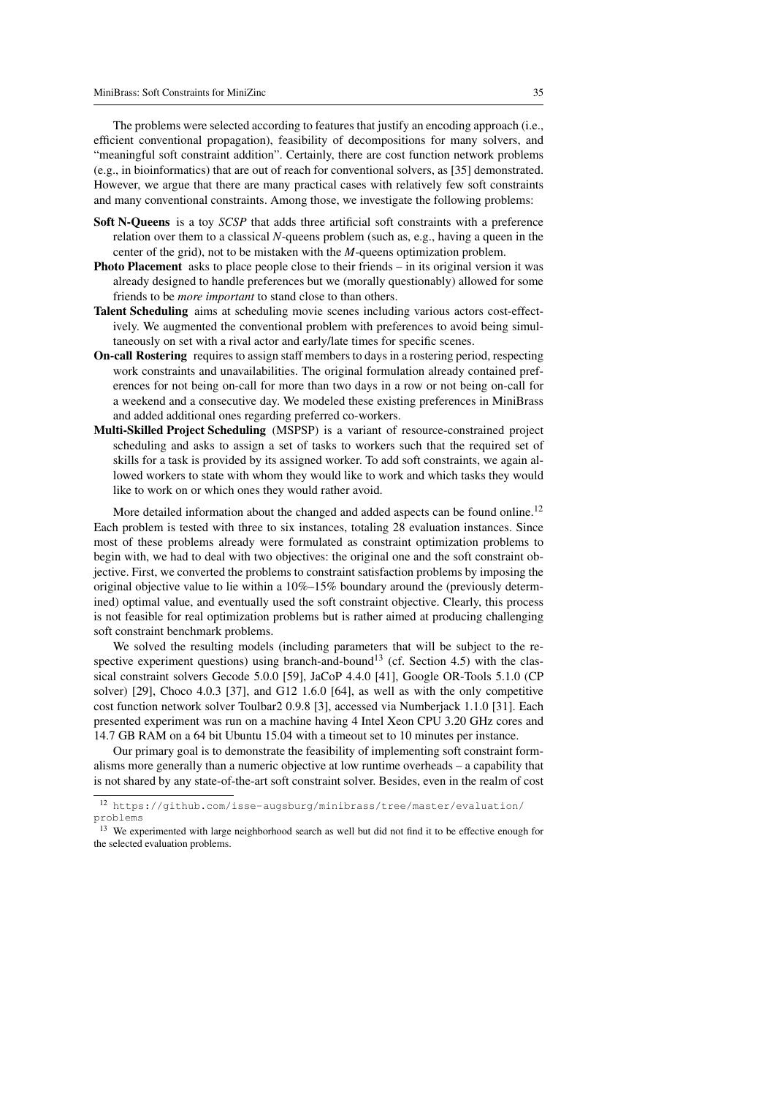The problems were selected according to features that justify an encoding approach (i.e., efficient conventional propagation), feasibility of decompositions for many solvers, and "meaningful soft constraint addition". Certainly, there are cost function network problems (e.g., in bioinformatics) that are out of reach for conventional solvers, as [\[35\]](#page-41-8) demonstrated. However, we argue that there are many practical cases with relatively few soft constraints and many conventional constraints. Among those, we investigate the following problems:

- Soft N-Queens is a toy *SCSP* that adds three artificial soft constraints with a preference relation over them to a classical *N*-queens problem (such as, e.g., having a queen in the center of the grid), not to be mistaken with the *M*-queens optimization problem.
- Photo Placement asks to place people close to their friends in its original version it was already designed to handle preferences but we (morally questionably) allowed for some friends to be *more important* to stand close to than others.
- Talent Scheduling aims at scheduling movie scenes including various actors cost-effectively. We augmented the conventional problem with preferences to avoid being simultaneously on set with a rival actor and early/late times for specific scenes.
- On-call Rostering requires to assign staff members to days in a rostering period, respecting work constraints and unavailabilities. The original formulation already contained preferences for not being on-call for more than two days in a row or not being on-call for a weekend and a consecutive day. We modeled these existing preferences in MiniBrass and added additional ones regarding preferred co-workers.
- Multi-Skilled Project Scheduling (MSPSP) is a variant of resource-constrained project scheduling and asks to assign a set of tasks to workers such that the required set of skills for a task is provided by its assigned worker. To add soft constraints, we again allowed workers to state with whom they would like to work and which tasks they would like to work on or which ones they would rather avoid.

More detailed information about the changed and added aspects can be found online.<sup>[12](#page-34-0)</sup> Each problem is tested with three to six instances, totaling 28 evaluation instances. Since most of these problems already were formulated as constraint optimization problems to begin with, we had to deal with two objectives: the original one and the soft constraint objective. First, we converted the problems to constraint satisfaction problems by imposing the original objective value to lie within a  $10\%-15\%$  boundary around the (previously determined) optimal value, and eventually used the soft constraint objective. Clearly, this process is not feasible for real optimization problems but is rather aimed at producing challenging soft constraint benchmark problems.

We solved the resulting models (including parameters that will be subject to the re-spective experiment questions) using branch-and-bound<sup>[13](#page-34-1)</sup> (cf. Section [4.5\)](#page-32-0) with the classical constraint solvers Gecode 5.0.0 [\[59\]](#page-42-15), JaCoP 4.4.0 [\[41\]](#page-41-23), Google OR-Tools 5.1.0 (CP solver) [\[29\]](#page-41-24), Choco 4.0.3 [\[37\]](#page-41-25), and G12 1.6.0 [\[64\]](#page-42-22), as well as with the only competitive cost function network solver Toulbar2 0.9.8 [\[3\]](#page-40-0), accessed via Numberjack 1.1.0 [\[31\]](#page-41-26). Each presented experiment was run on a machine having 4 Intel Xeon CPU 3.20 GHz cores and 14.7 GB RAM on a 64 bit Ubuntu 15.04 with a timeout set to 10 minutes per instance.

Our primary goal is to demonstrate the feasibility of implementing soft constraint formalisms more generally than a numeric objective at low runtime overheads – a capability that is not shared by any state-of-the-art soft constraint solver. Besides, even in the realm of cost

<span id="page-34-0"></span><sup>12</sup> [https://github.com/isse-augsburg/minibrass/tree/master/evaluation/](https://github.com/isse-augsburg/minibrass/tree/master/evaluation/problems) [problems](https://github.com/isse-augsburg/minibrass/tree/master/evaluation/problems)

<span id="page-34-1"></span><sup>&</sup>lt;sup>13</sup> We experimented with large neighborhood search as well but did not find it to be effective enough for the selected evaluation problems.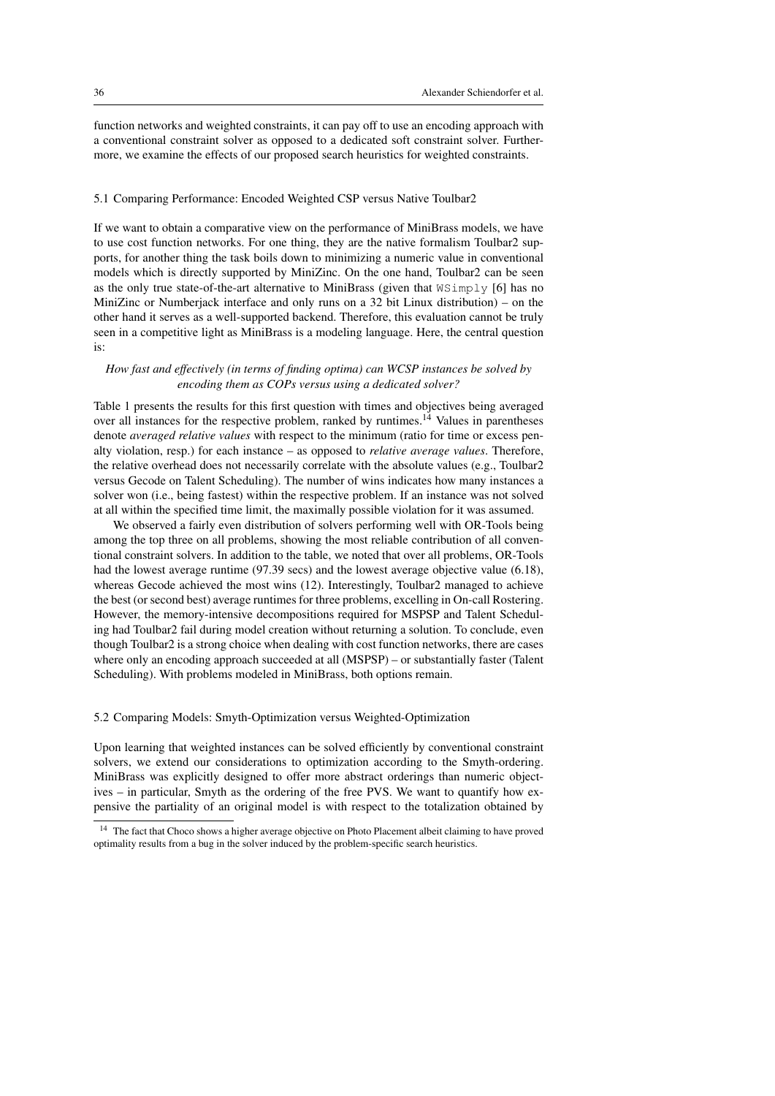function networks and weighted constraints, it can pay off to use an encoding approach with a conventional constraint solver as opposed to a dedicated soft constraint solver. Furthermore, we examine the effects of our proposed search heuristics for weighted constraints.

### <span id="page-35-1"></span>5.1 Comparing Performance: Encoded Weighted CSP versus Native Toulbar2

If we want to obtain a comparative view on the performance of MiniBrass models, we have to use cost function networks. For one thing, they are the native formalism Toulbar2 supports, for another thing the task boils down to minimizing a numeric value in conventional models which is directly supported by MiniZinc. On the one hand, Toulbar2 can be seen as the only true state-of-the-art alternative to MiniBrass (given that WSimply [\[6\]](#page-40-5) has no MiniZinc or Numberjack interface and only runs on a 32 bit Linux distribution) – on the other hand it serves as a well-supported backend. Therefore, this evaluation cannot be truly seen in a competitive light as MiniBrass is a modeling language. Here, the central question is:

# *How fast and effectively (in terms of finding optima) can WCSP instances be solved by encoding them as COPs versus using a dedicated solver?*

Table [1](#page-36-0) presents the results for this first question with times and objectives being averaged over all instances for the respective problem, ranked by runtimes.[14](#page-35-0) Values in parentheses denote *averaged relative values* with respect to the minimum (ratio for time or excess penalty violation, resp.) for each instance – as opposed to *relative average values*. Therefore, the relative overhead does not necessarily correlate with the absolute values (e.g., Toulbar2 versus Gecode on Talent Scheduling). The number of wins indicates how many instances a solver won (i.e., being fastest) within the respective problem. If an instance was not solved at all within the specified time limit, the maximally possible violation for it was assumed.

We observed a fairly even distribution of solvers performing well with OR-Tools being among the top three on all problems, showing the most reliable contribution of all conventional constraint solvers. In addition to the table, we noted that over all problems, OR-Tools had the lowest average runtime (97.39 secs) and the lowest average objective value (6.18), whereas Gecode achieved the most wins (12). Interestingly, Toulbar2 managed to achieve the best (or second best) average runtimes for three problems, excelling in On-call Rostering. However, the memory-intensive decompositions required for MSPSP and Talent Scheduling had Toulbar2 fail during model creation without returning a solution. To conclude, even though Toulbar2 is a strong choice when dealing with cost function networks, there are cases where only an encoding approach succeeded at all (MSPSP) – or substantially faster (Talent Scheduling). With problems modeled in MiniBrass, both options remain.

# 5.2 Comparing Models: Smyth-Optimization versus Weighted-Optimization

Upon learning that weighted instances can be solved efficiently by conventional constraint solvers, we extend our considerations to optimization according to the Smyth-ordering. MiniBrass was explicitly designed to offer more abstract orderings than numeric objectives – in particular, Smyth as the ordering of the free PVS. We want to quantify how expensive the partiality of an original model is with respect to the totalization obtained by

<span id="page-35-0"></span><sup>&</sup>lt;sup>14</sup> The fact that Choco shows a higher average objective on Photo Placement albeit claiming to have proved optimality results from a bug in the solver induced by the problem-specific search heuristics.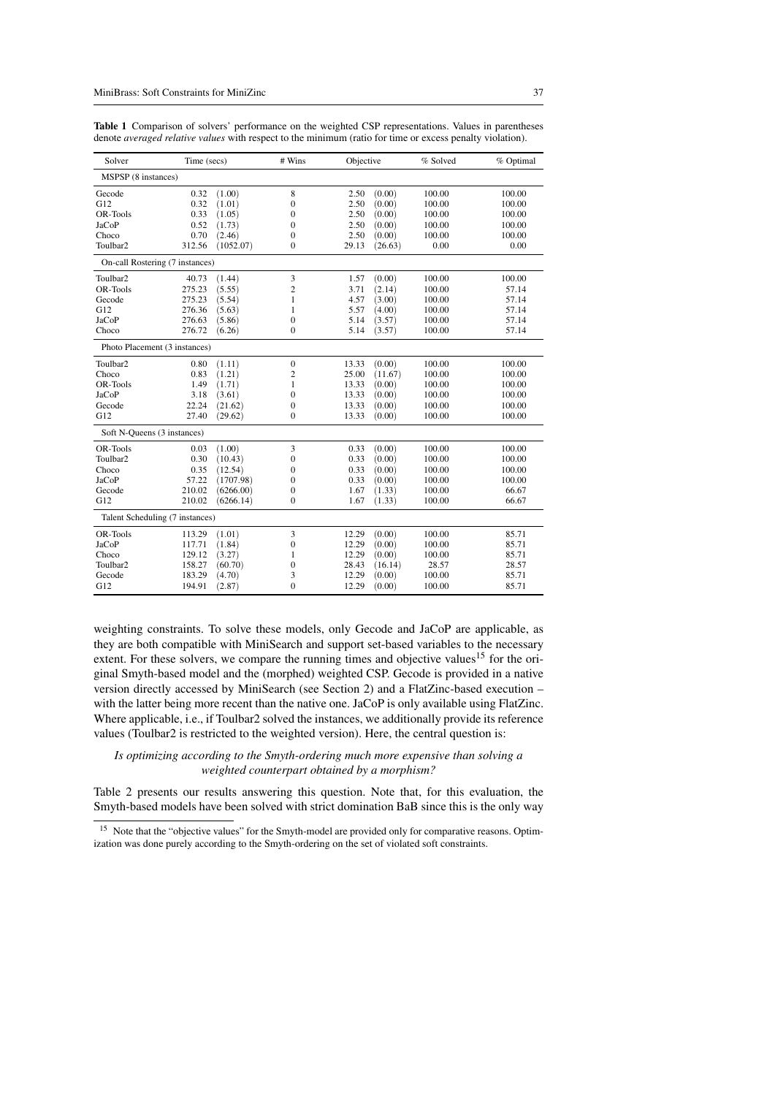| Solver                          | Time (secs) |           | # Wins           | Objective |         | % Solved | % Optimal |
|---------------------------------|-------------|-----------|------------------|-----------|---------|----------|-----------|
| MSPSP (8 instances)             |             |           |                  |           |         |          |           |
| Gecode                          | 0.32        | (1.00)    | 8                | 2.50      | (0.00)  | 100.00   | 100.00    |
| G12                             | 0.32        | (1.01)    | $\boldsymbol{0}$ | 2.50      | (0.00)  | 100.00   | 100.00    |
| OR-Tools                        | 0.33        | (1.05)    | $\mathbf{0}$     | 2.50      | (0.00)  | 100.00   | 100.00    |
| <b>JaCoP</b>                    | 0.52        | (1.73)    | $\boldsymbol{0}$ | 2.50      | (0.00)  | 100.00   | 100.00    |
| Choco                           | 0.70        | (2.46)    | $\overline{0}$   | 2.50      | (0.00)  | 100.00   | 100.00    |
| Toulbar2                        | 312.56      | (1052.07) | $\overline{0}$   | 29.13     | (26.63) | 0.00     | 0.00      |
| On-call Rostering (7 instances) |             |           |                  |           |         |          |           |
| Toulbar2                        | 40.73       | (1.44)    | 3                | 1.57      | (0.00)  | 100.00   | 100.00    |
| OR-Tools                        | 275.23      | (5.55)    | $\overline{c}$   | 3.71      | (2.14)  | 100.00   | 57.14     |
| Gecode                          | 275.23      | (5.54)    | 1                | 4.57      | (3.00)  | 100.00   | 57.14     |
| G12                             | 276.36      | (5.63)    | 1                | 5.57      | (4.00)  | 100.00   | 57.14     |
| <b>JaCoP</b>                    | 276.63      | (5.86)    | $\mathbf{0}$     | 5.14      | (3.57)  | 100.00   | 57.14     |
| Choco                           | 276.72      | (6.26)    | $\mathbf{0}$     | 5.14      | (3.57)  | 100.00   | 57.14     |
| Photo Placement (3 instances)   |             |           |                  |           |         |          |           |
| Toulbar2                        | 0.80        | (1.11)    | $\boldsymbol{0}$ | 13.33     | (0.00)  | 100.00   | 100.00    |
| Choco                           | 0.83        | (1.21)    | $\overline{c}$   | 25.00     | (11.67) | 100.00   | 100.00    |
| OR-Tools                        | 1.49        | (1.71)    | 1                | 13.33     | (0.00)  | 100.00   | 100.00    |
| <b>JaCoP</b>                    | 3.18        | (3.61)    | $\boldsymbol{0}$ | 13.33     | (0.00)  | 100.00   | 100.00    |
| Gecode                          | 22.24       | (21.62)   | $\mathbf{0}$     | 13.33     | (0.00)  | 100.00   | 100.00    |
| G12                             | 27.40       | (29.62)   | $\overline{0}$   | 13.33     | (0.00)  | 100.00   | 100.00    |
| Soft N-Queens (3 instances)     |             |           |                  |           |         |          |           |
| OR-Tools                        | 0.03        | (1.00)    | 3                | 0.33      | (0.00)  | 100.00   | 100.00    |
| Toulbar2                        | 0.30        | (10.43)   | $\mathbf{0}$     | 0.33      | (0.00)  | 100.00   | 100.00    |
| Choco                           | 0.35        | (12.54)   | $\boldsymbol{0}$ | 0.33      | (0.00)  | 100.00   | 100.00    |
| <b>JaCoP</b>                    | 57.22       | (1707.98) | $\mathbf{0}$     | 0.33      | (0.00)  | 100.00   | 100.00    |
| Gecode                          | 210.02      | (6266.00) | $\boldsymbol{0}$ | 1.67      | (1.33)  | 100.00   | 66.67     |
| G12                             | 210.02      | (6266.14) | $\overline{0}$   | 1.67      | (1.33)  | 100.00   | 66.67     |
| Talent Scheduling (7 instances) |             |           |                  |           |         |          |           |
| OR-Tools                        | 113.29      | (1.01)    | 3                | 12.29     | (0.00)  | 100.00   | 85.71     |
| <b>JaCoP</b>                    | 117.71      | (1.84)    | $\mathbf{0}$     | 12.29     | (0.00)  | 100.00   | 85.71     |
| Choco                           | 129.12      | (3.27)    | 1                | 12.29     | (0.00)  | 100.00   | 85.71     |
| Toulbar2                        | 158.27      | (60.70)   | $\boldsymbol{0}$ | 28.43     | (16.14) | 28.57    | 28.57     |
| Gecode                          | 183.29      | (4.70)    | 3                | 12.29     | (0.00)  | 100.00   | 85.71     |
| G12                             | 194.91      | (2.87)    | $\overline{0}$   | 12.29     | (0.00)  | 100.00   | 85.71     |

<span id="page-36-0"></span>Table 1 Comparison of solvers' performance on the weighted CSP representations. Values in parentheses denote *averaged relative values* with respect to the minimum (ratio for time or excess penalty violation).

weighting constraints. To solve these models, only Gecode and JaCoP are applicable, as they are both compatible with MiniSearch and support set-based variables to the necessary extent. For these solvers, we compare the running times and objective values<sup>[15](#page-36-1)</sup> for the original Smyth-based model and the (morphed) weighted CSP. Gecode is provided in a native version directly accessed by MiniSearch (see Section [2\)](#page-3-0) and a FlatZinc-based execution – with the latter being more recent than the native one. JaCoP is only available using FlatZinc. Where applicable, i.e., if Toulbar2 solved the instances, we additionally provide its reference values (Toulbar2 is restricted to the weighted version). Here, the central question is:

# *Is optimizing according to the Smyth-ordering much more expensive than solving a weighted counterpart obtained by a morphism?*

Table [2](#page-37-0) presents our results answering this question. Note that, for this evaluation, the Smyth-based models have been solved with strict domination BaB since this is the only way

<span id="page-36-1"></span><sup>&</sup>lt;sup>15</sup> Note that the "objective values" for the Smyth-model are provided only for comparative reasons. Optimization was done purely according to the Smyth-ordering on the set of violated soft constraints.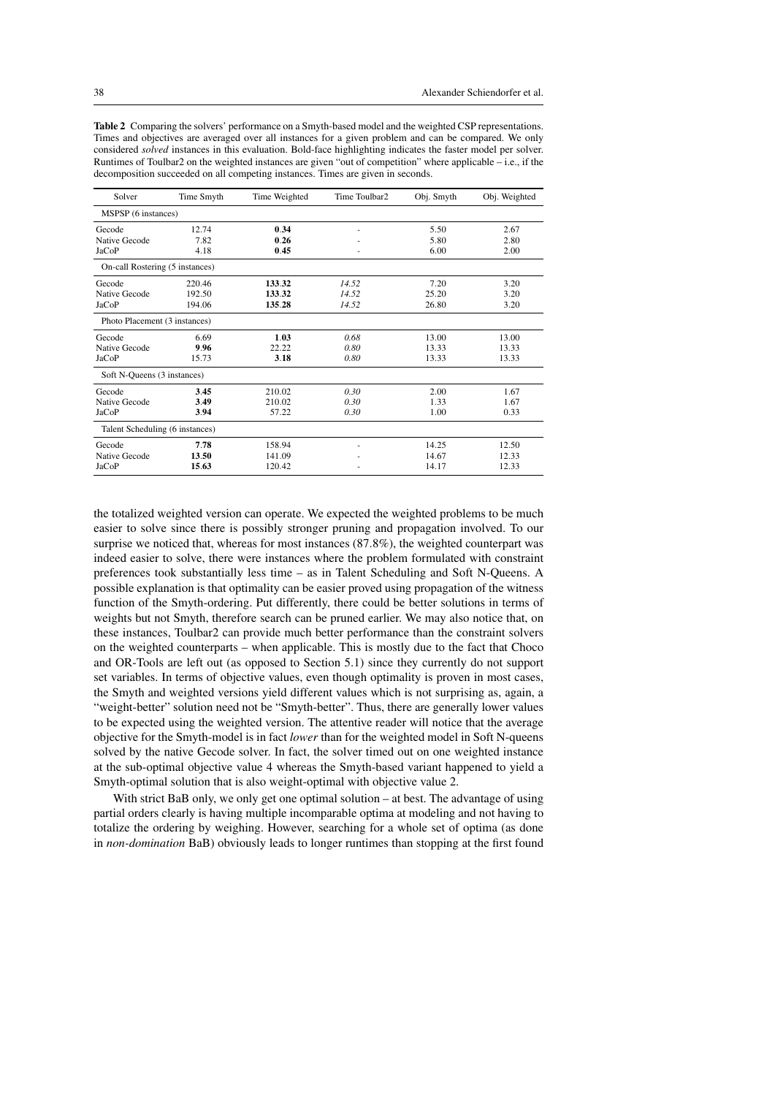<span id="page-37-0"></span>Table 2 Comparing the solvers' performance on a Smyth-based model and the weighted CSP representations. Times and objectives are averaged over all instances for a given problem and can be compared. We only considered *solved* instances in this evaluation. Bold-face highlighting indicates the faster model per solver. Runtimes of Toulbar2 on the weighted instances are given "out of competition" where applicable – i.e., if the decomposition succeeded on all competing instances. Times are given in seconds.

| Solver                          | Time Smyth | Time Weighted | Time Toulbar2 | Obj. Smyth | Obj. Weighted |
|---------------------------------|------------|---------------|---------------|------------|---------------|
| MSPSP (6 instances)             |            |               |               |            |               |
| Gecode                          | 12.74      | 0.34          |               | 5.50       | 2.67          |
| Native Gecode                   | 7.82       | 0.26          |               | 5.80       | 2.80          |
| <b>JaCoP</b>                    | 4.18       | 0.45          |               | 6.00       | 2.00          |
| On-call Rostering (5 instances) |            |               |               |            |               |
| Gecode                          | 220.46     | 133.32        | 14.52         | 7.20       | 3.20          |
| Native Gecode                   | 192.50     | 133.32        | 14.52         | 25.20      | 3.20          |
| <b>JaCoP</b>                    | 194.06     | 135.28        | 14.52         | 26.80      | 3.20          |
| Photo Placement (3 instances)   |            |               |               |            |               |
| Gecode                          | 6.69       | 1.03          | 0.68          | 13.00      | 13.00         |
| Native Gecode                   | 9.96       | 22.22         | 0.80          | 13.33      | 13.33         |
| <b>JaCoP</b>                    | 15.73      | 3.18          | 0.80          | 13.33      | 13.33         |
| Soft N-Queens (3 instances)     |            |               |               |            |               |
| Gecode                          | 3.45       | 210.02        | 0.30          | 2.00       | 1.67          |
| Native Gecode                   | 3.49       | 210.02        | 0.30          | 1.33       | 1.67          |
| JaCoP                           | 3.94       | 57.22         | 0.30          | 1.00       | 0.33          |
| Talent Scheduling (6 instances) |            |               |               |            |               |
| Gecode                          | 7.78       | 158.94        | ٠             | 14.25      | 12.50         |
| Native Gecode                   | 13.50      | 141.09        |               | 14.67      | 12.33         |
| <b>JaCoP</b>                    | 15.63      | 120.42        |               | 14.17      | 12.33         |

the totalized weighted version can operate. We expected the weighted problems to be much easier to solve since there is possibly stronger pruning and propagation involved. To our surprise we noticed that, whereas for most instances (87.8%), the weighted counterpart was indeed easier to solve, there were instances where the problem formulated with constraint preferences took substantially less time – as in Talent Scheduling and Soft N-Queens. A possible explanation is that optimality can be easier proved using propagation of the witness function of the Smyth-ordering. Put differently, there could be better solutions in terms of weights but not Smyth, therefore search can be pruned earlier. We may also notice that, on these instances, Toulbar2 can provide much better performance than the constraint solvers on the weighted counterparts – when applicable. This is mostly due to the fact that Choco and OR-Tools are left out (as opposed to Section [5.1\)](#page-35-1) since they currently do not support set variables. In terms of objective values, even though optimality is proven in most cases, the Smyth and weighted versions yield different values which is not surprising as, again, a "weight-better" solution need not be "Smyth-better". Thus, there are generally lower values to be expected using the weighted version. The attentive reader will notice that the average objective for the Smyth-model is in fact *lower* than for the weighted model in Soft N-queens solved by the native Gecode solver. In fact, the solver timed out on one weighted instance at the sub-optimal objective value 4 whereas the Smyth-based variant happened to yield a Smyth-optimal solution that is also weight-optimal with objective value 2.

With strict BaB only, we only get one optimal solution – at best. The advantage of using partial orders clearly is having multiple incomparable optima at modeling and not having to totalize the ordering by weighing. However, searching for a whole set of optima (as done in *non-domination* BaB) obviously leads to longer runtimes than stopping at the first found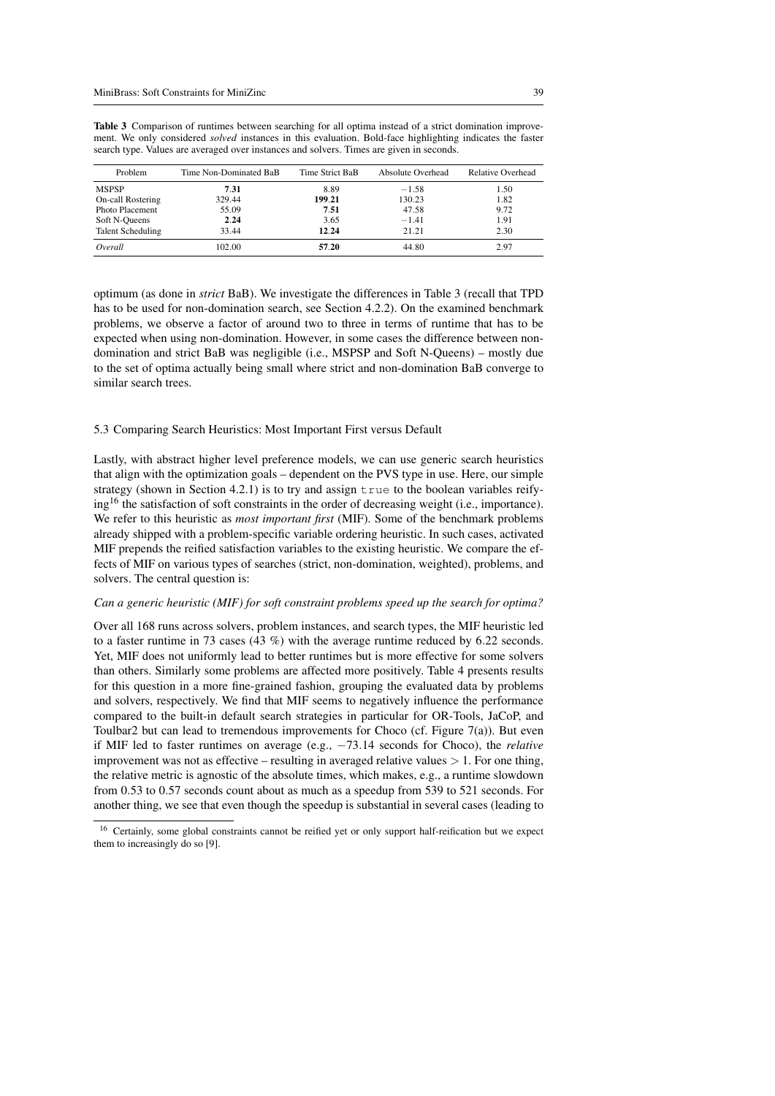| Problem           | Time Non-Dominated BaB | Time Strict BaB | Absolute Overhead | <b>Relative Overhead</b> |
|-------------------|------------------------|-----------------|-------------------|--------------------------|
| <b>MSPSP</b>      | 7.31                   | 8.89            | $-1.58$           | 1.50                     |
| On-call Rostering | 329.44                 | 199.21          | 130.23            | 1.82                     |
| Photo Placement   | 55.09                  | 7.51            | 47.58             | 9.72                     |
| Soft N-Queens     | 2.24                   | 3.65            | $-1.41$           | 1.91                     |
| Talent Scheduling | 33.44                  | 12.24           | 21.21             | 2.30                     |
| Overall           | 102.00                 | 57.20           | 44.80             | 2.97                     |

<span id="page-38-1"></span>Table 3 Comparison of runtimes between searching for all optima instead of a strict domination improvement. We only considered *solved* instances in this evaluation. Bold-face highlighting indicates the faster search type. Values are averaged over instances and solvers. Times are given in seconds.

optimum (as done in *strict* BaB). We investigate the differences in Table [3](#page-38-1) (recall that TPD has to be used for non-domination search, see Section [4.2.2\)](#page-27-0). On the examined benchmark problems, we observe a factor of around two to three in terms of runtime that has to be expected when using non-domination. However, in some cases the difference between nondomination and strict BaB was negligible (i.e., MSPSP and Soft N-Queens) – mostly due to the set of optima actually being small where strict and non-domination BaB converge to similar search trees.

#### <span id="page-38-0"></span>5.3 Comparing Search Heuristics: Most Important First versus Default

Lastly, with abstract higher level preference models, we can use generic search heuristics that align with the optimization goals – dependent on the PVS type in use. Here, our simple strategy (shown in Section [4.2.1\)](#page-25-0) is to try and assign  $true$  to the boolean variables reifying[16](#page-38-2) the satisfaction of soft constraints in the order of decreasing weight (i.e., importance). We refer to this heuristic as *most important first* (MIF). Some of the benchmark problems already shipped with a problem-specific variable ordering heuristic. In such cases, activated MIF prepends the reified satisfaction variables to the existing heuristic. We compare the effects of MIF on various types of searches (strict, non-domination, weighted), problems, and solvers. The central question is:

### *Can a generic heuristic (MIF) for soft constraint problems speed up the search for optima?*

Over all 168 runs across solvers, problem instances, and search types, the MIF heuristic led to a faster runtime in 73 cases (43 %) with the average runtime reduced by 6.22 seconds. Yet, MIF does not uniformly lead to better runtimes but is more effective for some solvers than others. Similarly some problems are affected more positively. Table [4](#page-39-0) presents results for this question in a more fine-grained fashion, grouping the evaluated data by problems and solvers, respectively. We find that MIF seems to negatively influence the performance compared to the built-in default search strategies in particular for OR-Tools, JaCoP, and Toulbar2 but can lead to tremendous improvements for Choco (cf. Figure [7\(a\)\)](#page-39-1). But even if MIF led to faster runtimes on average (e.g., −73.14 seconds for Choco), the *relative* improvement was not as effective – resulting in averaged relative values  $> 1$ . For one thing, the relative metric is agnostic of the absolute times, which makes, e.g., a runtime slowdown from 0.53 to 0.57 seconds count about as much as a speedup from 539 to 521 seconds. For another thing, we see that even though the speedup is substantial in several cases (leading to

<span id="page-38-2"></span><sup>16</sup> Certainly, some global constraints cannot be reified yet or only support half-reification but we expect them to increasingly do so [\[9\]](#page-40-7).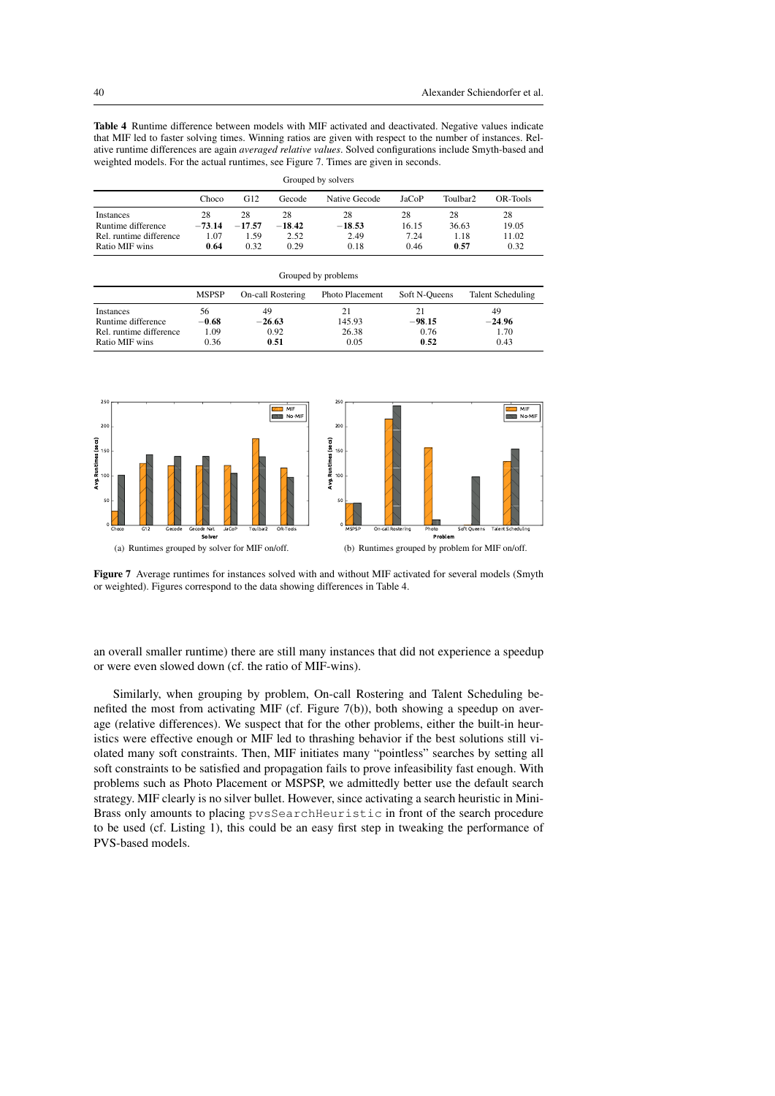<span id="page-39-0"></span>Table 4 Runtime difference between models with MIF activated and deactivated. Negative values indicate that MIF led to faster solving times. Winning ratios are given with respect to the number of instances. Relative runtime differences are again *averaged relative values*. Solved configurations include Smyth-based and weighted models. For the actual runtimes, see Figure [7.](#page-39-2) Times are given in seconds.

| Grouped by solvers                                                           |                                |                                |                               |                                |                             |                             |                              |
|------------------------------------------------------------------------------|--------------------------------|--------------------------------|-------------------------------|--------------------------------|-----------------------------|-----------------------------|------------------------------|
|                                                                              | Choco                          | G12                            | Gecode                        | Native Gecode                  | JaCoP                       | Toulbar <sub>2</sub>        | OR-Tools                     |
| Instances<br>Runtime difference<br>Rel. runtime difference<br>Ratio MIF wins | 28<br>$-73.14$<br>1.07<br>0.64 | 28<br>$-17.57$<br>1.59<br>0.32 | 28<br>$-1842$<br>2.52<br>0.29 | 28<br>$-18.53$<br>2.49<br>0.18 | 28<br>16.15<br>7.24<br>0.46 | 28<br>36.63<br>1.18<br>0.57 | 28<br>19.05<br>11.02<br>0.32 |

| Grouped by problems     |              |                   |                 |               |                          |  |  |
|-------------------------|--------------|-------------------|-----------------|---------------|--------------------------|--|--|
|                         | <b>MSPSP</b> | On-call Rostering | Photo Placement | Soft N-Queens | <b>Talent Scheduling</b> |  |  |
| Instances               | 56           | 49                | 21              | 21            | 49                       |  |  |
| Runtime difference      | $-0.68$      | $-26.63$          | 145.93          | $-98.15$      | $-24.96$                 |  |  |
| Rel. runtime difference | 1.09         | 0.92              | 26.38           | 0.76          | 1.70                     |  |  |
| Ratio MIF wins          | 0.36         | 0.51              | 0.05            | 0.52          | 0.43                     |  |  |

<span id="page-39-1"></span>

<span id="page-39-3"></span><span id="page-39-2"></span>Figure 7 Average runtimes for instances solved with and without MIF activated for several models (Smyth or weighted). Figures correspond to the data showing differences in Table [4.](#page-39-0)

an overall smaller runtime) there are still many instances that did not experience a speedup or were even slowed down (cf. the ratio of MIF-wins).

Similarly, when grouping by problem, On-call Rostering and Talent Scheduling benefited the most from activating MIF (cf. Figure [7\(b\)\)](#page-39-3), both showing a speedup on average (relative differences). We suspect that for the other problems, either the built-in heuristics were effective enough or MIF led to thrashing behavior if the best solutions still violated many soft constraints. Then, MIF initiates many "pointless" searches by setting all soft constraints to be satisfied and propagation fails to prove infeasibility fast enough. With problems such as Photo Placement or MSPSP, we admittedly better use the default search strategy. MIF clearly is no silver bullet. However, since activating a search heuristic in Mini-Brass only amounts to placing pvsSearchHeuristic in front of the search procedure to be used (cf. Listing [1\)](#page-21-0), this could be an easy first step in tweaking the performance of PVS-based models.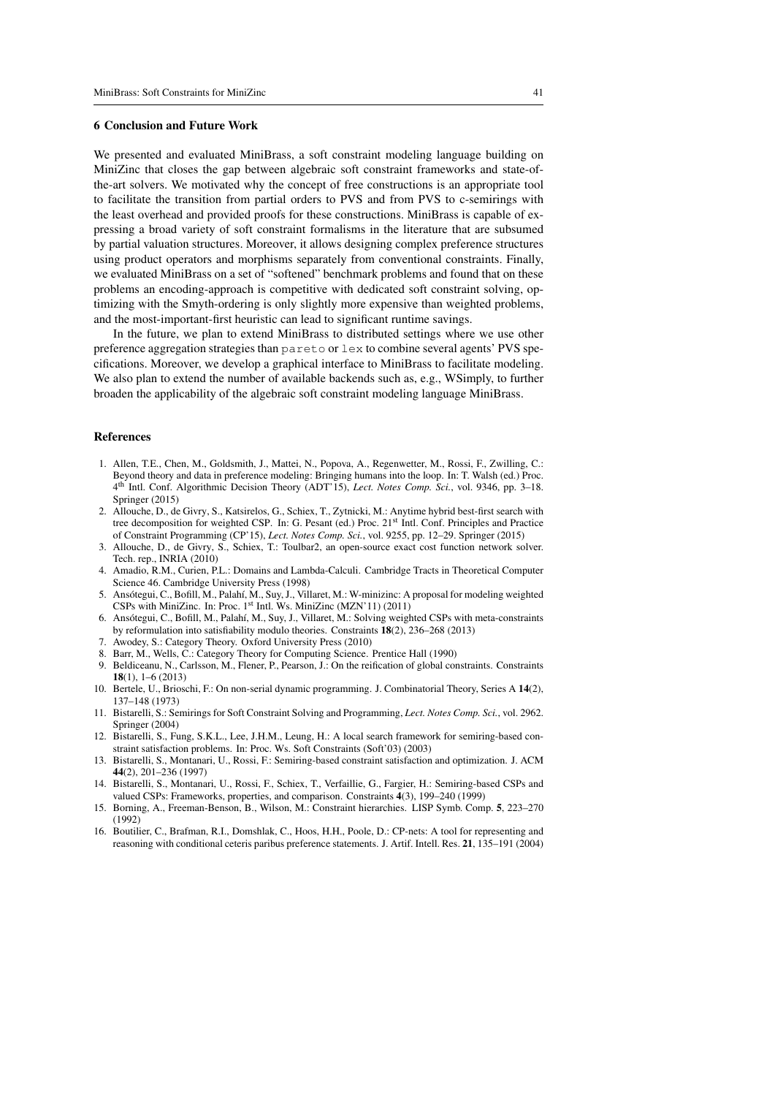### 6 Conclusion and Future Work

We presented and evaluated MiniBrass, a soft constraint modeling language building on MiniZinc that closes the gap between algebraic soft constraint frameworks and state-ofthe-art solvers. We motivated why the concept of free constructions is an appropriate tool to facilitate the transition from partial orders to PVS and from PVS to c-semirings with the least overhead and provided proofs for these constructions. MiniBrass is capable of expressing a broad variety of soft constraint formalisms in the literature that are subsumed by partial valuation structures. Moreover, it allows designing complex preference structures using product operators and morphisms separately from conventional constraints. Finally, we evaluated MiniBrass on a set of "softened" benchmark problems and found that on these problems an encoding-approach is competitive with dedicated soft constraint solving, optimizing with the Smyth-ordering is only slightly more expensive than weighted problems, and the most-important-first heuristic can lead to significant runtime savings.

In the future, we plan to extend MiniBrass to distributed settings where we use other preference aggregation strategies than pareto or lex to combine several agents' PVS specifications. Moreover, we develop a graphical interface to MiniBrass to facilitate modeling. We also plan to extend the number of available backends such as, e.g., WSimply, to further broaden the applicability of the algebraic soft constraint modeling language MiniBrass.

### References

- <span id="page-40-10"></span>1. Allen, T.E., Chen, M., Goldsmith, J., Mattei, N., Popova, A., Regenwetter, M., Rossi, F., Zwilling, C.: Beyond theory and data in preference modeling: Bringing humans into the loop. In: T. Walsh (ed.) Proc. 4 th Intl. Conf. Algorithmic Decision Theory (ADT'15), *Lect. Notes Comp. Sci.*, vol. 9346, pp. 3–18. Springer (2015)
- <span id="page-40-4"></span>2. Allouche, D., de Givry, S., Katsirelos, G., Schiex, T., Zytnicki, M.: Anytime hybrid best-first search with tree decomposition for weighted CSP. In: G. Pesant (ed.) Proc. 21st Intl. Conf. Principles and Practice of Constraint Programming (CP'15), *Lect. Notes Comp. Sci.*, vol. 9255, pp. 12–29. Springer (2015)
- <span id="page-40-0"></span>3. Allouche, D., de Givry, S., Schiex, T.: Toulbar2, an open-source exact cost function network solver. Tech. rep., INRIA (2010)
- <span id="page-40-11"></span>4. Amadio, R.M., Curien, P.L.: Domains and Lambda-Calculi. Cambridge Tracts in Theoretical Computer Science 46. Cambridge University Press (1998)
- <span id="page-40-9"></span>5. Ansótegui, C., Bofill, M., Palahí, M., Suy, J., Villaret, M.: W-minizinc: A proposal for modeling weighted CSPs with MiniZinc. In: Proc. 1st Intl. Ws. MiniZinc (MZN'11) (2011)
- <span id="page-40-5"></span>6. Ansótegui, C., Bofill, M., Palahí, M., Suy, J., Villaret, M.: Solving weighted CSPs with meta-constraints by reformulation into satisfiability modulo theories. Constraints 18(2), 236–268 (2013)
- <span id="page-40-13"></span>7. Awodey, S.: Category Theory. Oxford University Press (2010)
- <span id="page-40-12"></span>8. Barr, M., Wells, C.: Category Theory for Computing Science. Prentice Hall (1990)
- <span id="page-40-7"></span>9. Beldiceanu, N., Carlsson, M., Flener, P., Pearson, J.: On the reification of global constraints. Constraints 18(1), 1–6 (2013)
- <span id="page-40-3"></span>10. Bertele, U., Brioschi, F.: On non-serial dynamic programming. J. Combinatorial Theory, Series A 14(2), 137–148 (1973)
- <span id="page-40-15"></span>11. Bistarelli, S.: Semirings for Soft Constraint Solving and Programming, *Lect. Notes Comp. Sci.*, vol. 2962. Springer (2004)
- <span id="page-40-8"></span>12. Bistarelli, S., Fung, S.K.L., Lee, J.H.M., Leung, H.: A local search framework for semiring-based constraint satisfaction problems. In: Proc. Ws. Soft Constraints (Soft'03) (2003)
- <span id="page-40-2"></span>13. Bistarelli, S., Montanari, U., Rossi, F.: Semiring-based constraint satisfaction and optimization. J. ACM 44(2), 201–236 (1997)
- <span id="page-40-14"></span>14. Bistarelli, S., Montanari, U., Rossi, F., Schiex, T., Verfaillie, G., Fargier, H.: Semiring-based CSPs and valued CSPs: Frameworks, properties, and comparison. Constraints 4(3), 199–240 (1999)
- <span id="page-40-6"></span>15. Borning, A., Freeman-Benson, B., Wilson, M.: Constraint hierarchies. LISP Symb. Comp. 5, 223–270 (1992)
- <span id="page-40-1"></span>16. Boutilier, C., Brafman, R.I., Domshlak, C., Hoos, H.H., Poole, D.: CP-nets: A tool for representing and reasoning with conditional ceteris paribus preference statements. J. Artif. Intell. Res. 21, 135–191 (2004)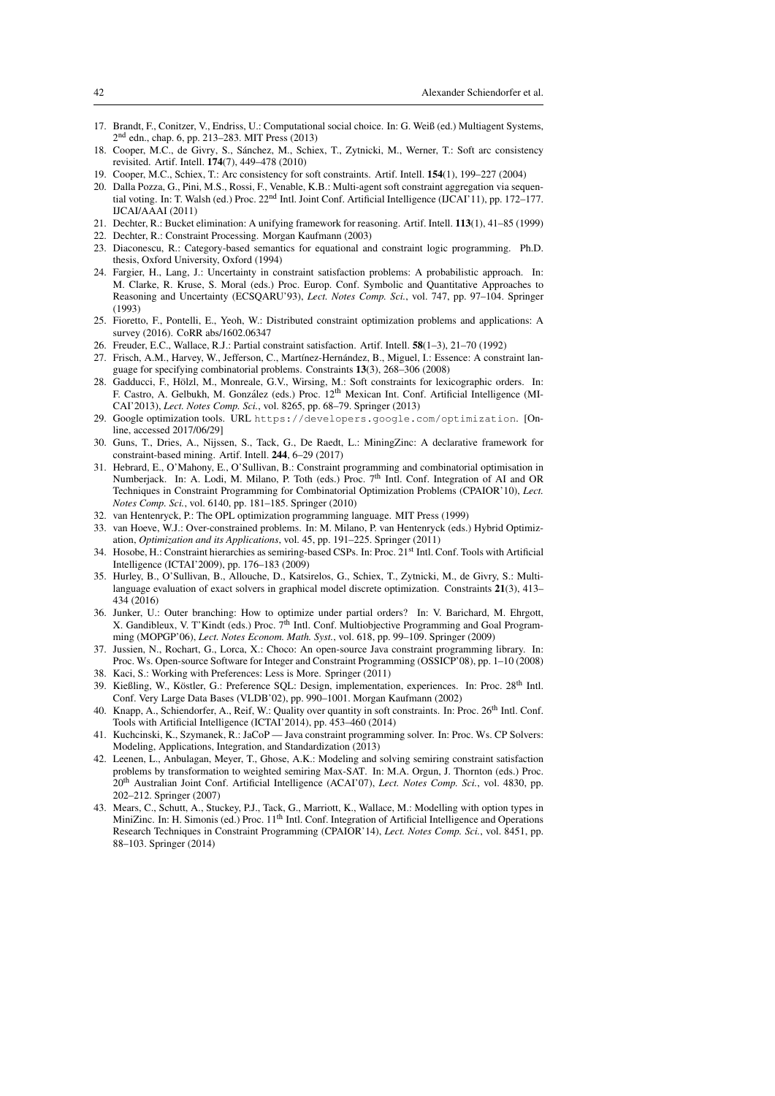- <span id="page-41-16"></span>17. Brandt, F., Conitzer, V., Endriss, U.: Computational social choice. In: G. Weiß (ed.) Multiagent Systems, 2 nd edn., chap. 6, pp. 213–283. MIT Press (2013)
- <span id="page-41-3"></span>18. Cooper, M.C., de Givry, S., Sanchez, M., Schiex, T., Zytnicki, M., Werner, T.: Soft arc consistency ´ revisited. Artif. Intell. 174(7), 449–478 (2010)
- <span id="page-41-20"></span>19. Cooper, M.C., Schiex, T.: Arc consistency for soft constraints. Artif. Intell. 154(1), 199–227 (2004)
- <span id="page-41-17"></span>20. Dalla Pozza, G., Pini, M.S., Rossi, F., Venable, K.B.: Multi-agent soft constraint aggregation via sequential voting. In: T. Walsh (ed.) Proc. 22<sup>nd</sup> Intl. Joint Conf. Artificial Intelligence (IJCAI'11), pp. 172-177. IJCAI/AAAI (2011)
- <span id="page-41-22"></span>21. Dechter, R.: Bucket elimination: A unifying framework for reasoning. Artif. Intell. 113(1), 41–85 (1999)
- <span id="page-41-4"></span>22. Dechter, R.: Constraint Processing. Morgan Kaufmann (2003)
- <span id="page-41-19"></span>23. Diaconescu, R.: Category-based semantics for equational and constraint logic programming. Ph.D. thesis, Oxford University, Oxford (1994)
- <span id="page-41-9"></span>24. Fargier, H., Lang, J.: Uncertainty in constraint satisfaction problems: A probabilistic approach. In: M. Clarke, R. Kruse, S. Moral (eds.) Proc. Europ. Conf. Symbolic and Quantitative Approaches to Reasoning and Uncertainty (ECSQARU'93), *Lect. Notes Comp. Sci.*, vol. 747, pp. 97–104. Springer (1993)
- <span id="page-41-18"></span>25. Fioretto, F., Pontelli, E., Yeoh, W.: Distributed constraint optimization problems and applications: A survey (2016). CoRR abs/1602.06347
- <span id="page-41-11"></span>26. Freuder, E.C., Wallace, R.J.: Partial constraint satisfaction. Artif. Intell. 58(1–3), 21–70 (1992)
- <span id="page-41-5"></span>27. Frisch, A.M., Harvey, W., Jefferson, C., Martínez-Hernández, B., Miguel, I.: Essence: A constraint language for specifying combinatorial problems. Constraints 13(3), 268–306 (2008)
- <span id="page-41-2"></span>28. Gadducci, F., Holzl, M., Monreale, G.V., Wirsing, M.: Soft constraints for lexicographic orders. In: ¨ F. Castro, A. Gelbukh, M. González (eds.) Proc. 12<sup>th</sup> Mexican Int. Conf. Artificial Intelligence (MI-CAI'2013), *Lect. Notes Comp. Sci.*, vol. 8265, pp. 68–79. Springer (2013)
- <span id="page-41-24"></span>29. Google optimization tools. URL <https://developers.google.com/optimization>. [Online, accessed 2017/06/29]
- <span id="page-41-14"></span>30. Guns, T., Dries, A., Nijssen, S., Tack, G., De Raedt, L.: MiningZinc: A declarative framework for constraint-based mining. Artif. Intell. 244, 6–29 (2017)
- <span id="page-41-26"></span>31. Hebrard, E., O'Mahony, E., O'Sullivan, B.: Constraint programming and combinatorial optimisation in Numberjack. In: A. Lodi, M. Milano, P. Toth (eds.) Proc. 7<sup>th</sup> Intl. Conf. Integration of AI and OR Techniques in Constraint Programming for Combinatorial Optimization Problems (CPAIOR'10), *Lect. Notes Comp. Sci.*, vol. 6140, pp. 181–185. Springer (2010)
- <span id="page-41-6"></span>32. van Hentenryck, P.: The OPL optimization programming language. MIT Press (1999)
- <span id="page-41-0"></span>33. van Hoeve, W.J.: Over-constrained problems. In: M. Milano, P. van Hentenryck (eds.) Hybrid Optimization, *Optimization and its Applications*, vol. 45, pp. 191–225. Springer (2011)
- <span id="page-41-12"></span>34. Hosobe, H.: Constraint hierarchies as semiring-based CSPs. In: Proc. 21st Intl. Conf. Tools with Artificial Intelligence (ICTAI'2009), pp. 176–183 (2009)
- <span id="page-41-8"></span>35. Hurley, B., O'Sullivan, B., Allouche, D., Katsirelos, G., Schiex, T., Zytnicki, M., de Givry, S.: Multilanguage evaluation of exact solvers in graphical model discrete optimization. Constraints 21(3), 413– 434 (2016)
- <span id="page-41-21"></span>36. Junker, U.: Outer branching: How to optimize under partial orders? In: V. Barichard, M. Ehrgott, X. Gandibleux, V. T'Kindt (eds.) Proc. 7<sup>th</sup> Intl. Conf. Multiobjective Programming and Goal Programming (MOPGP'06), *Lect. Notes Econom. Math. Syst.*, vol. 618, pp. 99–109. Springer (2009)
- <span id="page-41-25"></span>37. Jussien, N., Rochart, G., Lorca, X.: Choco: An open-source Java constraint programming library. In: Proc. Ws. Open-source Software for Integer and Constraint Programming (OSSICP'08), pp. 1–10 (2008)
- <span id="page-41-1"></span>38. Kaci, S.: Working with Preferences: Less is More. Springer (2011)
- <span id="page-41-15"></span>39. Kießling, W., Köstler, G.: Preference SQL: Design, implementation, experiences. In: Proc. 28<sup>th</sup> Intl. Conf. Very Large Data Bases (VLDB'02), pp. 990–1001. Morgan Kaufmann (2002)
- <span id="page-41-10"></span>40. Knapp, A., Schiendorfer, A., Reif, W.: Quality over quantity in soft constraints. In: Proc. 26<sup>th</sup> Intl. Conf. Tools with Artificial Intelligence (ICTAI'2014), pp. 453–460 (2014)
- <span id="page-41-23"></span>41. Kuchcinski, K., Szymanek, R.: JaCoP — Java constraint programming solver. In: Proc. Ws. CP Solvers: Modeling, Applications, Integration, and Standardization (2013)
- <span id="page-41-13"></span>42. Leenen, L., Anbulagan, Meyer, T., Ghose, A.K.: Modeling and solving semiring constraint satisfaction problems by transformation to weighted semiring Max-SAT. In: M.A. Orgun, J. Thornton (eds.) Proc. 20th Australian Joint Conf. Artificial Intelligence (ACAI'07), *Lect. Notes Comp. Sci.*, vol. 4830, pp. 202–212. Springer (2007)
- <span id="page-41-7"></span>43. Mears, C., Schutt, A., Stuckey, P.J., Tack, G., Marriott, K., Wallace, M.: Modelling with option types in MiniZinc. In: H. Simonis (ed.) Proc. 11<sup>th</sup> Intl. Conf. Integration of Artificial Intelligence and Operations Research Techniques in Constraint Programming (CPAIOR'14), *Lect. Notes Comp. Sci.*, vol. 8451, pp. 88–103. Springer (2014)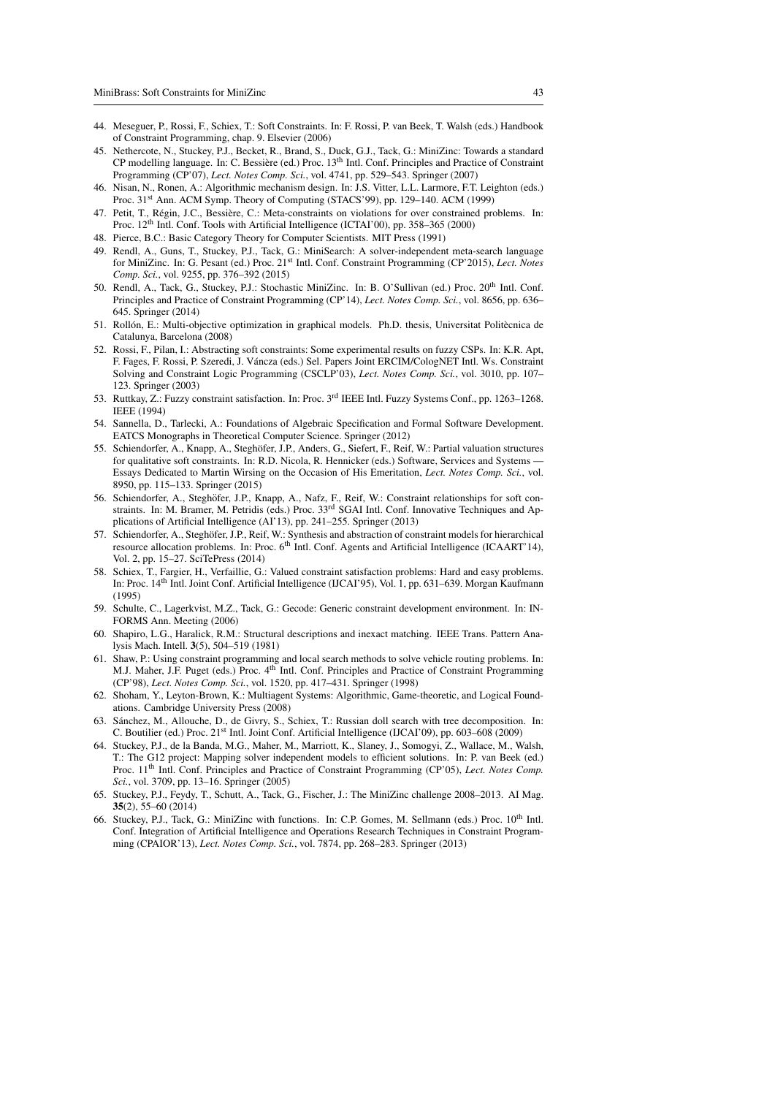- <span id="page-42-4"></span>44. Meseguer, P., Rossi, F., Schiex, T.: Soft Constraints. In: F. Rossi, P. van Beek, T. Walsh (eds.) Handbook of Constraint Programming, chap. 9. Elsevier (2006)
- <span id="page-42-6"></span>45. Nethercote, N., Stuckey, P.J., Becket, R., Brand, S., Duck, G.J., Tack, G.: MiniZinc: Towards a standard CP modelling language. In: C. Bessière (ed.) Proc. 13<sup>th</sup> Intl. Conf. Principles and Practice of Constraint Programming (CP'07), *Lect. Notes Comp. Sci.*, vol. 4741, pp. 529–543. Springer (2007)
- <span id="page-42-16"></span>46. Nisan, N., Ronen, A.: Algorithmic mechanism design. In: J.S. Vitter, L.L. Larmore, F.T. Leighton (eds.) Proc. 31<sup>st</sup> Ann. ACM Symp. Theory of Computing (STACS'99), pp. 129-140. ACM (1999)
- <span id="page-42-12"></span>47. Petit, T., Régin, J.C., Bessière, C.: Meta-constraints on violations for over constrained problems. In: Proc. 12<sup>th</sup> Intl. Conf. Tools with Artificial Intelligence (ICTAI'00), pp. 358-365 (2000)
- <span id="page-42-19"></span>48. Pierce, B.C.: Basic Category Theory for Computer Scientists. MIT Press (1991)
- <span id="page-42-8"></span>49. Rendl, A., Guns, T., Stuckey, P.J., Tack, G.: MiniSearch: A solver-independent meta-search language for MiniZinc. In: G. Pesant (ed.) Proc. 21st Intl. Conf. Constraint Programming (CP'2015), *Lect. Notes Comp. Sci.*, vol. 9255, pp. 376–392 (2015)
- <span id="page-42-14"></span>50. Rendl, A., Tack, G., Stuckey, P.J.: Stochastic MiniZinc. In: B. O'Sullivan (ed.) Proc. 20<sup>th</sup> Intl. Conf. Principles and Practice of Constraint Programming (CP'14), *Lect. Notes Comp. Sci.*, vol. 8656, pp. 636– 645. Springer (2014)
- <span id="page-42-20"></span>51. Rollón, E.: Multi-objective optimization in graphical models. Ph.D. thesis, Universitat Politècnica de Catalunya, Barcelona (2008)
- <span id="page-42-13"></span>52. Rossi, F., Pilan, I.: Abstracting soft constraints: Some experimental results on fuzzy CSPs. In: K.R. Apt, F. Fages, F. Rossi, P. Szeredi, J. Vancza (eds.) Sel. Papers Joint ERCIM/CologNET Intl. Ws. Constraint ´ Solving and Constraint Logic Programming (CSCLP'03), *Lect. Notes Comp. Sci.*, vol. 3010, pp. 107– 123. Springer (2003)
- <span id="page-42-2"></span>53. Ruttkay, Z.: Fuzzy constraint satisfaction. In: Proc. 3rd IEEE Intl. Fuzzy Systems Conf., pp. 1263–1268. IEEE (1994)
- <span id="page-42-18"></span>54. Sannella, D., Tarlecki, A.: Foundations of Algebraic Specification and Formal Software Development. EATCS Monographs in Theoretical Computer Science. Springer (2012)
- <span id="page-42-1"></span>55. Schiendorfer, A., Knapp, A., Steghöfer, J.P., Anders, G., Siefert, F., Reif, W.: Partial valuation structures for qualitative soft constraints. In: R.D. Nicola, R. Hennicker (eds.) Software, Services and Systems — Essays Dedicated to Martin Wirsing on the Occasion of His Emeritation, *Lect. Notes Comp. Sci.*, vol. 8950, pp. 115–133. Springer (2015)
- <span id="page-42-3"></span>56. Schiendorfer, A., Steghöfer, J.P., Knapp, A., Nafz, F., Reif, W.: Constraint relationships for soft constraints. In: M. Bramer, M. Petridis (eds.) Proc. 33<sup>rd</sup> SGAI Intl. Conf. Innovative Techniques and Applications of Artificial Intelligence (AI'13), pp. 241–255. Springer (2013)
- <span id="page-42-0"></span>57. Schiendorfer, A., Steghöfer, J.P., Reif, W.: Synthesis and abstraction of constraint models for hierarchical resource allocation problems. In: Proc. 6<sup>th</sup> Intl. Conf. Agents and Artificial Intelligence (ICAART'14), Vol. 2, pp. 15–27. SciTePress (2014)
- <span id="page-42-5"></span>58. Schiex, T., Fargier, H., Verfaillie, G.: Valued constraint satisfaction problems: Hard and easy problems. In: Proc. 14th Intl. Joint Conf. Artificial Intelligence (IJCAI'95), Vol. 1, pp. 631–639. Morgan Kaufmann (1995)
- <span id="page-42-15"></span>59. Schulte, C., Lagerkvist, M.Z., Tack, G.: Gecode: Generic constraint development environment. In: IN-FORMS Ann. Meeting (2006)
- <span id="page-42-9"></span>60. Shapiro, L.G., Haralick, R.M.: Structural descriptions and inexact matching. IEEE Trans. Pattern Analysis Mach. Intell. 3(5), 504–519 (1981)
- <span id="page-42-21"></span>61. Shaw, P.: Using constraint programming and local search methods to solve vehicle routing problems. In: M.J. Maher, J.F. Puget (eds.) Proc. 4<sup>th</sup> Intl. Conf. Principles and Practice of Constraint Programming (CP'98), *Lect. Notes Comp. Sci.*, vol. 1520, pp. 417–431. Springer (1998)
- <span id="page-42-17"></span>62. Shoham, Y., Leyton-Brown, K.: Multiagent Systems: Algorithmic, Game-theoretic, and Logical Foundations. Cambridge University Press (2008)
- <span id="page-42-11"></span>63. Sanchez, M., Allouche, D., de Givry, S., Schiex, T.: Russian doll search with tree decomposition. In: ´ C. Boutilier (ed.) Proc. 21st Intl. Joint Conf. Artificial Intelligence (IJCAI'09), pp. 603–608 (2009)
- <span id="page-42-22"></span>64. Stuckey, P.J., de la Banda, M.G., Maher, M., Marriott, K., Slaney, J., Somogyi, Z., Wallace, M., Walsh, T.: The G12 project: Mapping solver independent models to efficient solutions. In: P. van Beek (ed.) Proc. 11th Intl. Conf. Principles and Practice of Constraint Programming (CP'05), *Lect. Notes Comp. Sci.*, vol. 3709, pp. 13–16. Springer (2005)
- <span id="page-42-10"></span>65. Stuckey, P.J., Feydy, T., Schutt, A., Tack, G., Fischer, J.: The MiniZinc challenge 2008–2013. AI Mag. 35(2), 55–60 (2014)
- <span id="page-42-7"></span>66. Stuckey, P.J., Tack, G.: MiniZinc with functions. In: C.P. Gomes, M. Sellmann (eds.) Proc. 10th Intl. Conf. Integration of Artificial Intelligence and Operations Research Techniques in Constraint Programming (CPAIOR'13), *Lect. Notes Comp. Sci.*, vol. 7874, pp. 268–283. Springer (2013)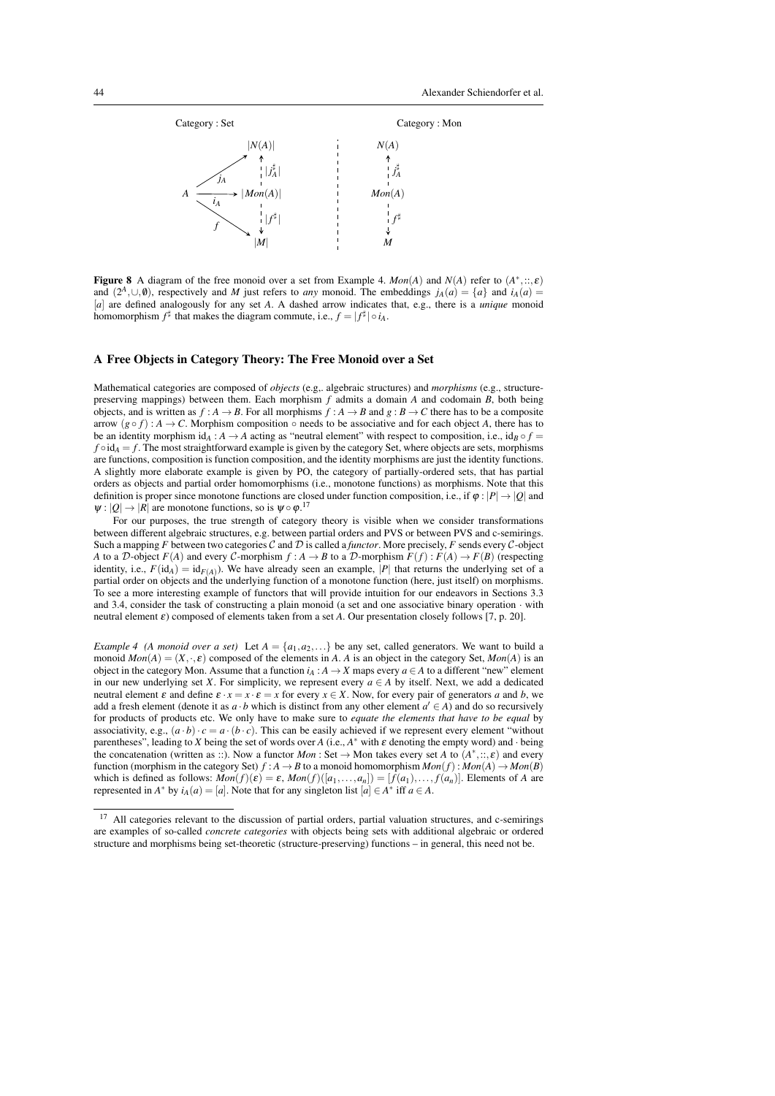

<span id="page-43-3"></span>Figure 8 A diagram of the free monoid over a set from Example [4.](#page-43-1)  $Mon(A)$  and  $N(A)$  refer to  $(A^*,::, \varepsilon)$ and  $(2<sup>A</sup>, ∪, ∅)$ , respectively and *M* just refers to *any* monoid. The embeddings  $j<sub>A</sub>(a) = {a}$  and  $i<sub>A</sub>(a) =$ [*a*] are defined analogously for any set *A*. A dashed arrow indicates that, e.g., there is a *unique* monoid homomorphism  $f^{\sharp}$  that makes the diagram commute, i.e.,  $f = |f^{\sharp}| \circ i_A$ .

### <span id="page-43-0"></span>A Free Objects in Category Theory: The Free Monoid over a Set

Mathematical categories are composed of *objects* (e.g,. algebraic structures) and *morphisms* (e.g., structurepreserving mappings) between them. Each morphism *f* admits a domain *A* and codomain *B*, both being objects, and is written as  $f : A \to B$ . For all morphisms  $f : A \to B$  and  $g : B \to C$  there has to be a composite arrow  $(g \circ f) : A \to C$ . Morphism composition  $\circ$  needs to be associative and for each object *A*, there has to be an identity morphism id<sub>A</sub> :  $A \rightarrow A$  acting as "neutral element" with respect to composition, i.e., id<sub>B</sub> ◦ *f* =  $f \circ id_A = f$ . The most straightforward example is given by the category Set, where objects are sets, morphisms are functions, composition is function composition, and the identity morphisms are just the identity functions. A slightly more elaborate example is given by PO, the category of partially-ordered sets, that has partial orders as objects and partial order homomorphisms (i.e., monotone functions) as morphisms. Note that this definition is proper since monotone functions are closed under function composition, i.e., if  $\varphi : |P| \to |Q|$  and  $\psi : |Q| \to |R|$  are monotone functions, so is  $\psi \circ \varphi$ .<sup>[17](#page-43-2)</sup>

For our purposes, the true strength of category theory is visible when we consider transformations between different algebraic structures, e.g. between partial orders and PVS or between PVS and c-semirings. Such a mapping *F* between two categories C and D is called a *functor*. More precisely, *F* sends every C-object *A* to a D-object  $F(A)$  and every C-morphism  $f : A \rightarrow B$  to a D-morphism  $F(f) : F(A) \rightarrow F(B)$  (respecting identity, i.e.,  $F(\text{id}_A) = \text{id}_{F(A)}$ . We have already seen an example, |*P*| that returns the underlying set of a partial order on objects and the underlying function of a monotone function (here, just itself) on morphisms. To see a more interesting example of functors that will provide intuition for our endeavors in Sections [3.3](#page-9-0) and [3.4,](#page-13-0) consider the task of constructing a plain monoid (a set and one associative binary operation · with neutral element ε) composed of elements taken from a set *A*. Our presentation closely follows [\[7,](#page-40-13) p. 20].

<span id="page-43-1"></span>*Example 4 (A monoid over a set)* Let  $A = \{a_1, a_2, ...\}$  be any set, called generators. We want to build a monoid  $Mon(A) = (X, \cdot, \varepsilon)$  composed of the elements in *A*. *A* is an object in the category Set,  $Mon(A)$  is an object in the category Mon. Assume that a function  $i_A : A \to X$  maps every  $a \in A$  to a different "new" element in our new underlying set *X*. For simplicity, we represent every  $a \in A$  by itself. Next, we add a dedicated neutral element ε and define  $\epsilon \cdot x = x \cdot \epsilon = x$  for every  $x \in X$ . Now, for every pair of generators *a* and *b*, we add a fresh element (denote it as  $a \cdot b$  which is distinct from any other element  $a' \in A$ ) and do so recursively for products of products etc. We only have to make sure to *equate the elements that have to be equal* by associativity, e.g.,  $(a \cdot b) \cdot c = a \cdot (b \cdot c)$ . This can be easily achieved if we represent every element "without parentheses", leading to *X* being the set of words over *A* (i.e., *A* <sup>∗</sup> with ε denoting the empty word) and · being the concatenation (written as ::). Now a functor *Mon* : Set  $\rightarrow$  Mon takes every set *A* to  $(A^*,::, \varepsilon)$  and every function (morphism in the category Set)  $f : A \rightarrow B$  to a monoid homomorphism  $Mon(f) : Mon(A) \rightarrow Mon(B)$ which is defined as follows:  $\text{Mon}(f)(\varepsilon) = \varepsilon$ ,  $\text{Mon}(f)([a_1, \ldots, a_n]) = [f(a_1), \ldots, f(a_n)]$ . Elements of *A* are represented in *A*<sup>\*</sup> by  $i_A(a) = [a]$ . Note that for any singleton list  $[a] \in A^*$  iff  $a \in A$ .

<span id="page-43-2"></span><sup>&</sup>lt;sup>17</sup> All categories relevant to the discussion of partial orders, partial valuation structures, and c-semirings are examples of so-called *concrete categories* with objects being sets with additional algebraic or ordered structure and morphisms being set-theoretic (structure-preserving) functions – in general, this need not be.